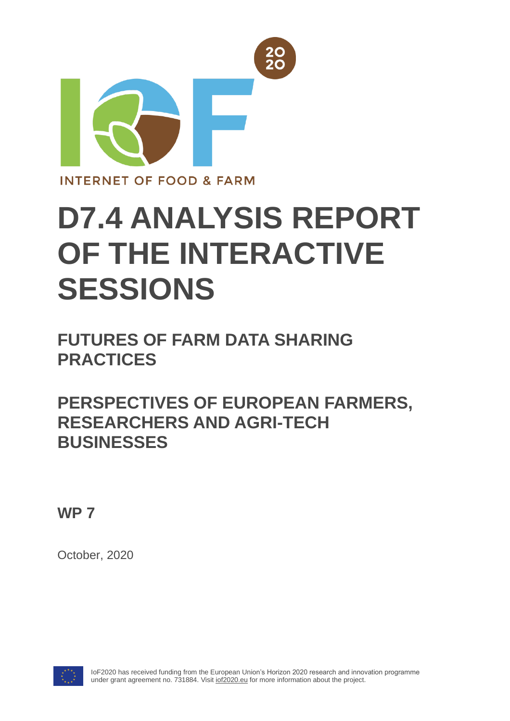

# **D7.4 ANALYSIS REPORT OF THE INTERACTIVE SESSIONS**

**FUTURES OF FARM DATA SHARING PRACTICES**

**PERSPECTIVES OF EUROPEAN FARMERS, RESEARCHERS AND AGRI-TECH BUSINESSES**

**WP 7**

October, 2020

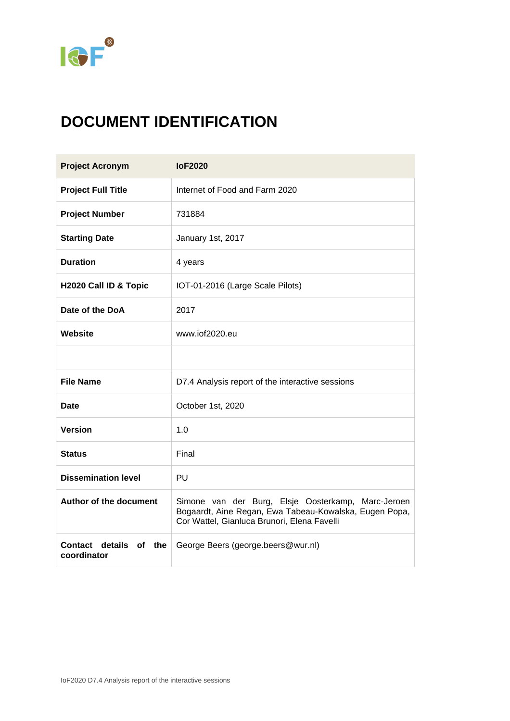# **DOCUMENT IDENTIFICATION**

| <b>Project Acronym</b>                | <b>IoF2020</b>                                                                                                                                              |  |  |  |  |  |  |  |
|---------------------------------------|-------------------------------------------------------------------------------------------------------------------------------------------------------------|--|--|--|--|--|--|--|
| <b>Project Full Title</b>             | Internet of Food and Farm 2020                                                                                                                              |  |  |  |  |  |  |  |
| <b>Project Number</b>                 | 731884                                                                                                                                                      |  |  |  |  |  |  |  |
| <b>Starting Date</b>                  | January 1st, 2017                                                                                                                                           |  |  |  |  |  |  |  |
| <b>Duration</b>                       | 4 years                                                                                                                                                     |  |  |  |  |  |  |  |
| <b>H2020 Call ID &amp; Topic</b>      | IOT-01-2016 (Large Scale Pilots)                                                                                                                            |  |  |  |  |  |  |  |
| Date of the DoA                       | 2017                                                                                                                                                        |  |  |  |  |  |  |  |
| Website                               | www.iof2020.eu                                                                                                                                              |  |  |  |  |  |  |  |
|                                       |                                                                                                                                                             |  |  |  |  |  |  |  |
| <b>File Name</b>                      | D7.4 Analysis report of the interactive sessions                                                                                                            |  |  |  |  |  |  |  |
| Date                                  | October 1st, 2020                                                                                                                                           |  |  |  |  |  |  |  |
| <b>Version</b>                        | 1.0                                                                                                                                                         |  |  |  |  |  |  |  |
| <b>Status</b>                         | Final                                                                                                                                                       |  |  |  |  |  |  |  |
| <b>Dissemination level</b>            | PU                                                                                                                                                          |  |  |  |  |  |  |  |
| Author of the document                | Simone van der Burg, Elsje Oosterkamp, Marc-Jeroen<br>Bogaardt, Aine Regan, Ewa Tabeau-Kowalska, Eugen Popa,<br>Cor Wattel, Gianluca Brunori, Elena Favelli |  |  |  |  |  |  |  |
| Contact details of the<br>coordinator | George Beers (george.beers@wur.nl)                                                                                                                          |  |  |  |  |  |  |  |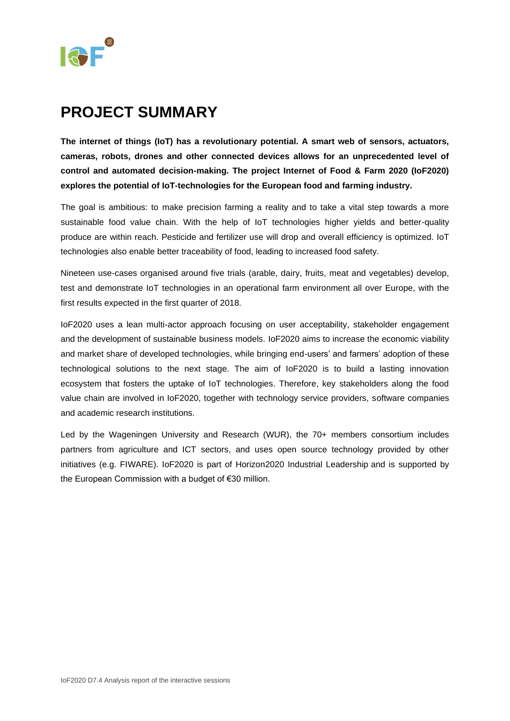

## **PROJECT SUMMARY**

**The internet of things (IoT) has a revolutionary potential. A smart web of sensors, actuators, cameras, robots, drones and other connected devices allows for an unprecedented level of control and automated decision-making. The project Internet of Food & Farm 2020 (IoF2020) explores the potential of IoT-technologies for the European food and farming industry.**

The goal is ambitious: to make precision farming a reality and to take a vital step towards a more sustainable food value chain. With the help of IoT technologies higher yields and better-quality produce are within reach. Pesticide and fertilizer use will drop and overall efficiency is optimized. IoT technologies also enable better traceability of food, leading to increased food safety.

Nineteen use-cases organised around five trials (arable, dairy, fruits, meat and vegetables) develop, test and demonstrate IoT technologies in an operational farm environment all over Europe, with the first results expected in the first quarter of 2018.

IoF2020 uses a lean multi-actor approach focusing on user acceptability, stakeholder engagement and the development of sustainable business models. IoF2020 aims to increase the economic viability and market share of developed technologies, while bringing end-users' and farmers' adoption of these technological solutions to the next stage. The aim of IoF2020 is to build a lasting innovation ecosystem that fosters the uptake of IoT technologies. Therefore, key stakeholders along the food value chain are involved in IoF2020, together with technology service providers, software companies and academic research institutions.

Led by the Wageningen University and Research (WUR), the 70+ members consortium includes partners from agriculture and ICT sectors, and uses open source technology provided by other initiatives (e.g. FIWARE). IoF2020 is part of Horizon2020 Industrial Leadership and is supported by the European Commission with a budget of €30 million.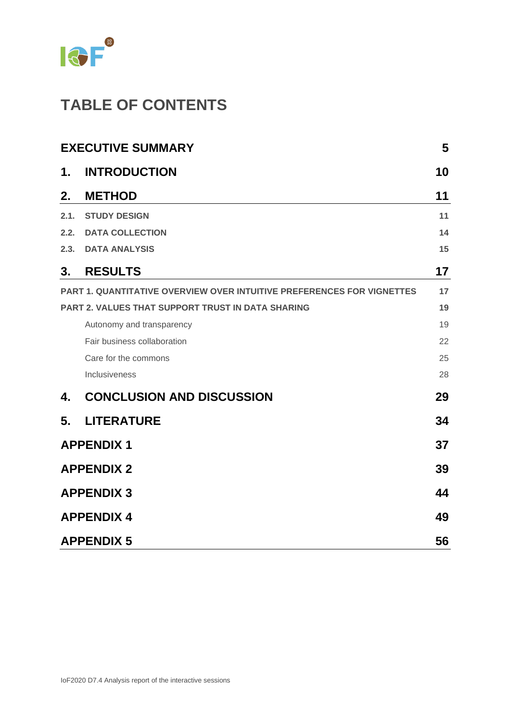

# **TABLE OF CONTENTS**

|      | <b>EXECUTIVE SUMMARY</b>                                               | 5  |
|------|------------------------------------------------------------------------|----|
| 1.   | <b>INTRODUCTION</b>                                                    | 10 |
| 2.   | <b>METHOD</b>                                                          | 11 |
| 2.1. | <b>STUDY DESIGN</b>                                                    | 11 |
| 2.2. | <b>DATA COLLECTION</b>                                                 | 14 |
| 2.3. | <b>DATA ANALYSIS</b>                                                   | 15 |
| 3.   | <b>RESULTS</b>                                                         | 17 |
|      | PART 1. QUANTITATIVE OVERVIEW OVER INTUITIVE PREFERENCES FOR VIGNETTES | 17 |
|      | <b>PART 2. VALUES THAT SUPPORT TRUST IN DATA SHARING</b>               | 19 |
|      | Autonomy and transparency                                              | 19 |
|      | Fair business collaboration                                            | 22 |
|      | Care for the commons                                                   | 25 |
|      | Inclusiveness                                                          | 28 |
| 4.   | <b>CONCLUSION AND DISCUSSION</b>                                       | 29 |
| 5.   | <b>LITERATURE</b>                                                      | 34 |
|      | <b>APPENDIX1</b>                                                       | 37 |
|      | <b>APPENDIX 2</b>                                                      | 39 |
|      | <b>APPENDIX 3</b>                                                      | 44 |
|      | <b>APPENDIX 4</b>                                                      | 49 |
|      | <b>APPENDIX 5</b>                                                      | 56 |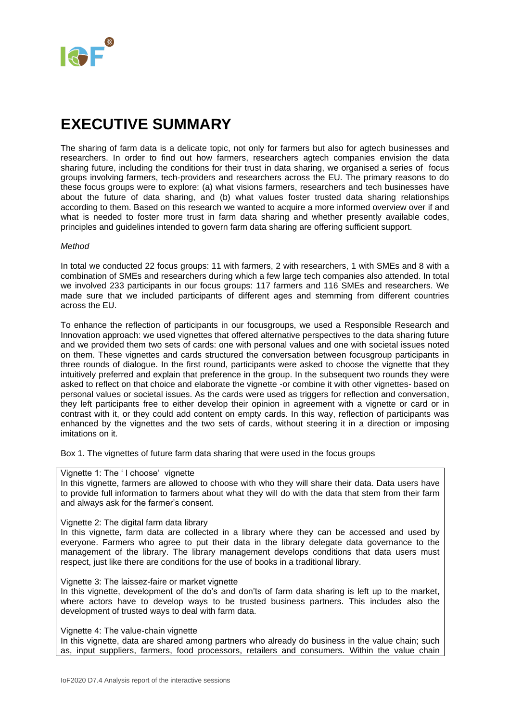

# **EXECUTIVE SUMMARY**

The sharing of farm data is a delicate topic, not only for farmers but also for agtech businesses and researchers. In order to find out how farmers, researchers agtech companies envision the data sharing future, including the conditions for their trust in data sharing, we organised a series of focus groups involving farmers, tech-providers and researchers across the EU. The primary reasons to do these focus groups were to explore: (a) what visions farmers, researchers and tech businesses have about the future of data sharing, and (b) what values foster trusted data sharing relationships according to them. Based on this research we wanted to acquire a more informed overview over if and what is needed to foster more trust in farm data sharing and whether presently available codes, principles and guidelines intended to govern farm data sharing are offering sufficient support.

#### *Method*

In total we conducted 22 focus groups: 11 with farmers, 2 with researchers, 1 with SMEs and 8 with a combination of SMEs and researchers during which a few large tech companies also attended. In total we involved 233 participants in our focus groups: 117 farmers and 116 SMEs and researchers. We made sure that we included participants of different ages and stemming from different countries across the EU.

To enhance the reflection of participants in our focusgroups, we used a Responsible Research and Innovation approach: we used vignettes that offered alternative perspectives to the data sharing future and we provided them two sets of cards: one with personal values and one with societal issues noted on them. These vignettes and cards structured the conversation between focusgroup participants in three rounds of dialogue. In the first round, participants were asked to choose the vignette that they intuitively preferred and explain that preference in the group. In the subsequent two rounds they were asked to reflect on that choice and elaborate the vignette -or combine it with other vignettes- based on personal values or societal issues. As the cards were used as triggers for reflection and conversation, they left participants free to either develop their opinion in agreement with a vignette or card or in contrast with it, or they could add content on empty cards. In this way, reflection of participants was enhanced by the vignettes and the two sets of cards, without steering it in a direction or imposing imitations on it.

Box 1. The vignettes of future farm data sharing that were used in the focus groups

#### Vignette 1: The ' I choose' vignette

In this vignette, farmers are allowed to choose with who they will share their data. Data users have to provide full information to farmers about what they will do with the data that stem from their farm and always ask for the farmer's consent.

#### Vignette 2: The digital farm data library

In this vignette, farm data are collected in a library where they can be accessed and used by everyone. Farmers who agree to put their data in the library delegate data governance to the management of the library. The library management develops conditions that data users must respect, just like there are conditions for the use of books in a traditional library.

#### Vignette 3: The laissez-faire or market vignette

In this vignette, development of the do's and don'ts of farm data sharing is left up to the market, where actors have to develop ways to be trusted business partners. This includes also the development of trusted ways to deal with farm data.

#### Vignette 4: The value-chain vignette

In this vignette, data are shared among partners who already do business in the value chain; such as, input suppliers, farmers, food processors, retailers and consumers. Within the value chain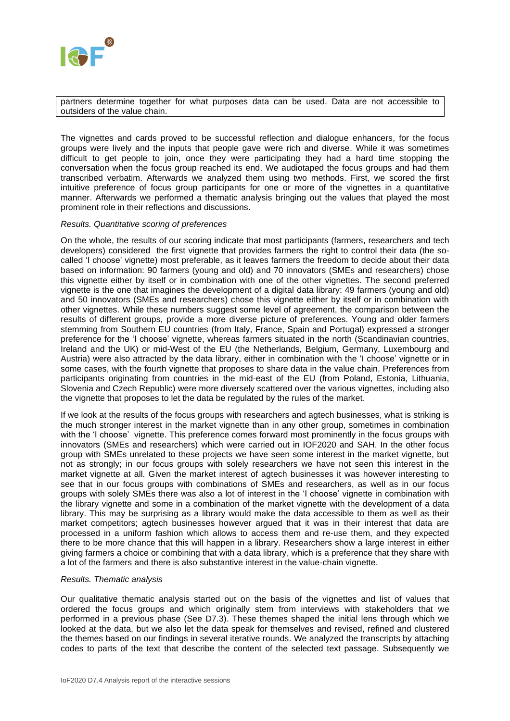

partners determine together for what purposes data can be used. Data are not accessible to outsiders of the value chain.

The vignettes and cards proved to be successful reflection and dialogue enhancers, for the focus groups were lively and the inputs that people gave were rich and diverse. While it was sometimes difficult to get people to join, once they were participating they had a hard time stopping the conversation when the focus group reached its end. We audiotaped the focus groups and had them transcribed verbatim. Afterwards we analyzed them using two methods. First, we scored the first intuitive preference of focus group participants for one or more of the vignettes in a quantitative manner. Afterwards we performed a thematic analysis bringing out the values that played the most prominent role in their reflections and discussions.

#### *Results. Quantitative scoring of preferences*

On the whole, the results of our scoring indicate that most participants (farmers, researchers and tech developers) considered the first vignette that provides farmers the right to control their data (the socalled 'I choose' vignette) most preferable, as it leaves farmers the freedom to decide about their data based on information: 90 farmers (young and old) and 70 innovators (SMEs and researchers) chose this vignette either by itself or in combination with one of the other vignettes. The second preferred vignette is the one that imagines the development of a digital data library: 49 farmers (young and old) and 50 innovators (SMEs and researchers) chose this vignette either by itself or in combination with other vignettes. While these numbers suggest some level of agreement, the comparison between the results of different groups, provide a more diverse picture of preferences. Young and older farmers stemming from Southern EU countries (from Italy, France, Spain and Portugal) expressed a stronger preference for the 'I choose' vignette, whereas farmers situated in the north (Scandinavian countries, Ireland and the UK) or mid-West of the EU (the Netherlands, Belgium, Germany, Luxembourg and Austria) were also attracted by the data library, either in combination with the 'I choose' vignette or in some cases, with the fourth vignette that proposes to share data in the value chain. Preferences from participants originating from countries in the mid-east of the EU (from Poland, Estonia, Lithuania, Slovenia and Czech Republic) were more diversely scattered over the various vignettes, including also the vignette that proposes to let the data be regulated by the rules of the market.

If we look at the results of the focus groups with researchers and agtech businesses, what is striking is the much stronger interest in the market vignette than in any other group, sometimes in combination with the 'I choose' vignette. This preference comes forward most prominently in the focus groups with innovators (SMEs and researchers) which were carried out in IOF2020 and SAH. In the other focus group with SMEs unrelated to these projects we have seen some interest in the market vignette, but not as strongly; in our focus groups with solely researchers we have not seen this interest in the market vignette at all. Given the market interest of agtech businesses it was however interesting to see that in our focus groups with combinations of SMEs and researchers, as well as in our focus groups with solely SMEs there was also a lot of interest in the 'I choose' vignette in combination with the library vignette and some in a combination of the market vignette with the development of a data library. This may be surprising as a library would make the data accessible to them as well as their market competitors; agtech businesses however argued that it was in their interest that data are processed in a uniform fashion which allows to access them and re-use them, and they expected there to be more chance that this will happen in a library. Researchers show a large interest in either giving farmers a choice or combining that with a data library, which is a preference that they share with a lot of the farmers and there is also substantive interest in the value-chain vignette.

#### *Results. Thematic analysis*

Our qualitative thematic analysis started out on the basis of the vignettes and list of values that ordered the focus groups and which originally stem from interviews with stakeholders that we performed in a previous phase (See D7.3). These themes shaped the initial lens through which we looked at the data, but we also let the data speak for themselves and revised, refined and clustered the themes based on our findings in several iterative rounds. We analyzed the transcripts by attaching codes to parts of the text that describe the content of the selected text passage. Subsequently we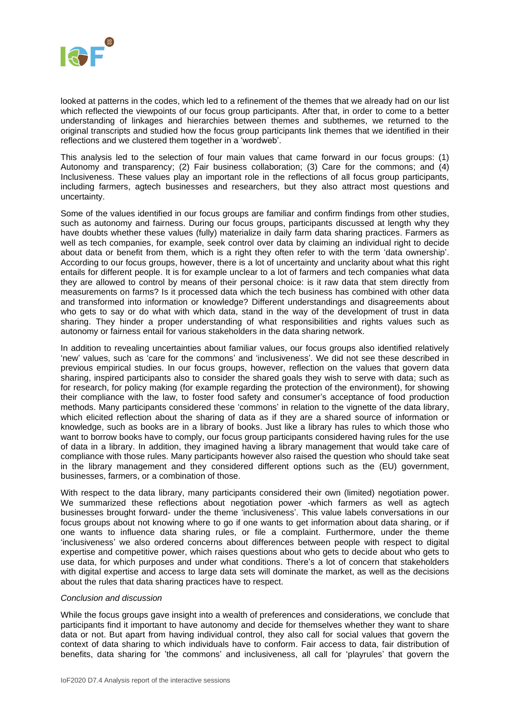

looked at patterns in the codes, which led to a refinement of the themes that we already had on our list which reflected the viewpoints of our focus group participants. After that, in order to come to a better understanding of linkages and hierarchies between themes and subthemes, we returned to the original transcripts and studied how the focus group participants link themes that we identified in their reflections and we clustered them together in a 'wordweb'.

This analysis led to the selection of four main values that came forward in our focus groups: (1) Autonomy and transparency; (2) Fair business collaboration; (3) Care for the commons; and (4) Inclusiveness. These values play an important role in the reflections of all focus group participants, including farmers, agtech businesses and researchers, but they also attract most questions and uncertainty.

Some of the values identified in our focus groups are familiar and confirm findings from other studies, such as autonomy and fairness. During our focus groups, participants discussed at length why they have doubts whether these values (fully) materialize in daily farm data sharing practices. Farmers as well as tech companies, for example, seek control over data by claiming an individual right to decide about data or benefit from them, which is a right they often refer to with the term 'data ownership'. According to our focus groups, however, there is a lot of uncertainty and unclarity about what this right entails for different people. It is for example unclear to a lot of farmers and tech companies what data they are allowed to control by means of their personal choice: is it raw data that stem directly from measurements on farms? Is it processed data which the tech business has combined with other data and transformed into information or knowledge? Different understandings and disagreements about who gets to say or do what with which data, stand in the way of the development of trust in data sharing. They hinder a proper understanding of what responsibilities and rights values such as autonomy or fairness entail for various stakeholders in the data sharing network.

In addition to revealing uncertainties about familiar values, our focus groups also identified relatively 'new' values, such as 'care for the commons' and 'inclusiveness'. We did not see these described in previous empirical studies. In our focus groups, however, reflection on the values that govern data sharing, inspired participants also to consider the shared goals they wish to serve with data; such as for research, for policy making (for example regarding the protection of the environment), for showing their compliance with the law, to foster food safety and consumer's acceptance of food production methods. Many participants considered these 'commons' in relation to the vignette of the data library, which elicited reflection about the sharing of data as if they are a shared source of information or knowledge, such as books are in a library of books. Just like a library has rules to which those who want to borrow books have to comply, our focus group participants considered having rules for the use of data in a library. In addition, they imagined having a library management that would take care of compliance with those rules. Many participants however also raised the question who should take seat in the library management and they considered different options such as the (EU) government, businesses, farmers, or a combination of those.

With respect to the data library, many participants considered their own (limited) negotiation power. We summarized these reflections about negotiation power -which farmers as well as agtech businesses brought forward- under the theme 'inclusiveness'. This value labels conversations in our focus groups about not knowing where to go if one wants to get information about data sharing, or if one wants to influence data sharing rules, or file a complaint. Furthermore, under the theme 'inclusiveness' we also ordered concerns about differences between people with respect to digital expertise and competitive power, which raises questions about who gets to decide about who gets to use data, for which purposes and under what conditions. There's a lot of concern that stakeholders with digital expertise and access to large data sets will dominate the market, as well as the decisions about the rules that data sharing practices have to respect.

#### *Conclusion and discussion*

While the focus groups gave insight into a wealth of preferences and considerations, we conclude that participants find it important to have autonomy and decide for themselves whether they want to share data or not. But apart from having individual control, they also call for social values that govern the context of data sharing to which individuals have to conform. Fair access to data, fair distribution of benefits, data sharing for 'the commons' and inclusiveness, all call for 'playrules' that govern the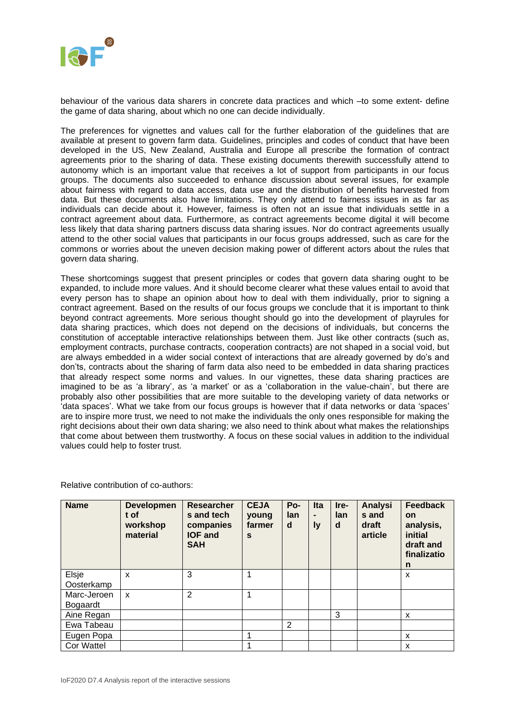

behaviour of the various data sharers in concrete data practices and which –to some extent- define the game of data sharing, about which no one can decide individually.

The preferences for vignettes and values call for the further elaboration of the guidelines that are available at present to govern farm data. Guidelines, principles and codes of conduct that have been developed in the US, New Zealand, Australia and Europe all prescribe the formation of contract agreements prior to the sharing of data. These existing documents therewith successfully attend to autonomy which is an important value that receives a lot of support from participants in our focus groups. The documents also succeeded to enhance discussion about several issues, for example about fairness with regard to data access, data use and the distribution of benefits harvested from data. But these documents also have limitations. They only attend to fairness issues in as far as individuals can decide about it. However, fairness is often not an issue that individuals settle in a contract agreement about data. Furthermore, as contract agreements become digital it will become less likely that data sharing partners discuss data sharing issues. Nor do contract agreements usually attend to the other social values that participants in our focus groups addressed, such as care for the commons or worries about the uneven decision making power of different actors about the rules that govern data sharing.

These shortcomings suggest that present principles or codes that govern data sharing ought to be expanded, to include more values. And it should become clearer what these values entail to avoid that every person has to shape an opinion about how to deal with them individually, prior to signing a contract agreement. Based on the results of our focus groups we conclude that it is important to think beyond contract agreements. More serious thought should go into the development of playrules for data sharing practices, which does not depend on the decisions of individuals, but concerns the constitution of acceptable interactive relationships between them. Just like other contracts (such as, employment contracts, purchase contracts, cooperation contracts) are not shaped in a social void, but are always embedded in a wider social context of interactions that are already governed by do's and don'ts, contracts about the sharing of farm data also need to be embedded in data sharing practices that already respect some norms and values. In our vignettes, these data sharing practices are imagined to be as 'a library', as 'a market' or as a 'collaboration in the value-chain', but there are probably also other possibilities that are more suitable to the developing variety of data networks or 'data spaces'. What we take from our focus groups is however that if data networks or data 'spaces' are to inspire more trust, we need to not make the individuals the only ones responsible for making the right decisions about their own data sharing; we also need to think about what makes the relationships that come about between them trustworthy. A focus on these social values in addition to the individual values could help to foster trust.

| <b>Name</b>                    | <b>Developmen</b><br>t of<br>workshop<br>material | <b>Researcher</b><br>s and tech<br>companies<br><b>IOF</b> and<br><b>SAH</b> | <b>CEJA</b><br>young<br>farmer<br>s | Po-<br>lan<br>d | <b>Ita</b><br>٠<br><b>ly</b> | Ire-<br>lan<br>d | <b>Analysi</b><br>s and<br>draft<br>article | <b>Feedback</b><br>on<br>analysis,<br>initial<br>draft and<br>finalizatio<br>n |
|--------------------------------|---------------------------------------------------|------------------------------------------------------------------------------|-------------------------------------|-----------------|------------------------------|------------------|---------------------------------------------|--------------------------------------------------------------------------------|
| Elsje<br>Oosterkamp            | X                                                 | 3                                                                            |                                     |                 |                              |                  |                                             | X                                                                              |
| Marc-Jeroen<br><b>Bogaardt</b> | $\boldsymbol{\mathsf{x}}$                         | $\overline{2}$                                                               |                                     |                 |                              |                  |                                             |                                                                                |
| Aine Regan                     |                                                   |                                                                              |                                     |                 |                              | 3                |                                             | x                                                                              |
| Ewa Tabeau                     |                                                   |                                                                              |                                     | $\overline{2}$  |                              |                  |                                             |                                                                                |
| Eugen Popa                     |                                                   |                                                                              |                                     |                 |                              |                  |                                             | X                                                                              |
| <b>Cor Wattel</b>              |                                                   |                                                                              |                                     |                 |                              |                  |                                             | X                                                                              |

Relative contribution of co-authors: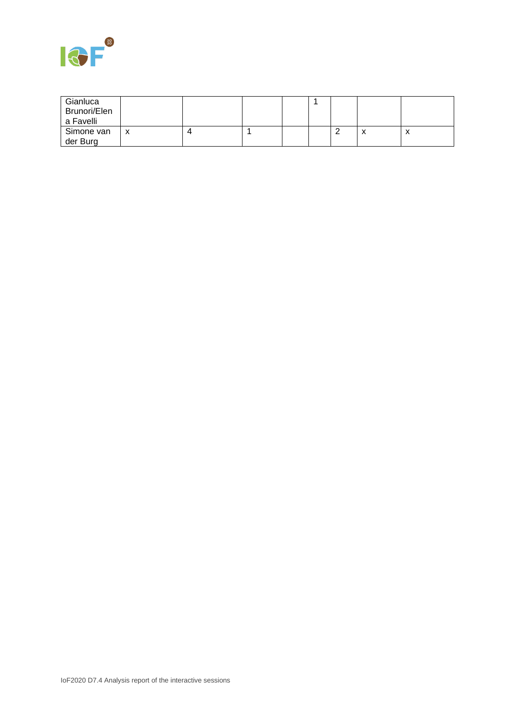

| Gianluca<br>Brunori/Elen<br>a Favelli |   |   |  |  |   |                           |
|---------------------------------------|---|---|--|--|---|---------------------------|
| Simone van<br>der Burg                | X | 4 |  |  | ́ | $\mathbf{v}$<br>$\lambda$ |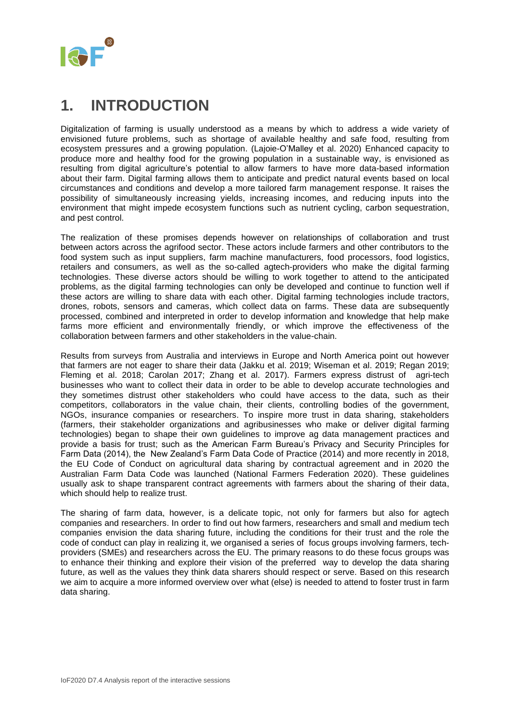

## **1. INTRODUCTION**

Digitalization of farming is usually understood as a means by which to address a wide variety of envisioned future problems, such as shortage of available healthy and safe food, resulting from ecosystem pressures and a growing population. (Lajoie-O'Malley et al. 2020) Enhanced capacity to produce more and healthy food for the growing population in a sustainable way, is envisioned as resulting from digital agriculture's potential to allow farmers to have more data-based information about their farm. Digital farming allows them to anticipate and predict natural events based on local circumstances and conditions and develop a more tailored farm management response. It raises the possibility of simultaneously increasing yields, increasing incomes, and reducing inputs into the environment that might impede ecosystem functions such as nutrient cycling, carbon sequestration, and pest control.

The realization of these promises depends however on relationships of collaboration and trust between actors across the agrifood sector. These actors include farmers and other contributors to the food system such as input suppliers, farm machine manufacturers, food processors, food logistics, retailers and consumers, as well as the so-called agtech-providers who make the digital farming technologies. These diverse actors should be willing to work together to attend to the anticipated problems, as the digital farming technologies can only be developed and continue to function well if these actors are willing to share data with each other. Digital farming technologies include tractors, drones, robots, sensors and cameras, which collect data on farms. These data are subsequently processed, combined and interpreted in order to develop information and knowledge that help make farms more efficient and environmentally friendly, or which improve the effectiveness of the collaboration between farmers and other stakeholders in the value-chain.

Results from surveys from Australia and interviews in Europe and North America point out however that farmers are not eager to share their data (Jakku et al. 2019; Wiseman et al. 2019; Regan 2019; Fleming et al. 2018; Carolan 2017; Zhang et al. 2017). Farmers express distrust of agri-tech businesses who want to collect their data in order to be able to develop accurate technologies and they sometimes distrust other stakeholders who could have access to the data, such as their competitors, collaborators in the value chain, their clients, controlling bodies of the government, NGOs, insurance companies or researchers. To inspire more trust in data sharing, stakeholders (farmers, their stakeholder organizations and agribusinesses who make or deliver digital farming technologies) began to shape their own guidelines to improve ag data management practices and provide a basis for trust; such as the American Farm Bureau's Privacy and Security Principles for Farm Data (2014), the New Zealand's Farm Data Code of Practice (2014) and more recently in 2018, the EU Code of Conduct on agricultural data sharing by contractual agreement and in 2020 the Australian Farm Data Code was launched (National Farmers Federation 2020). These guidelines usually ask to shape transparent contract agreements with farmers about the sharing of their data, which should help to realize trust.

The sharing of farm data, however, is a delicate topic, not only for farmers but also for agtech companies and researchers. In order to find out how farmers, researchers and small and medium tech companies envision the data sharing future, including the conditions for their trust and the role the code of conduct can play in realizing it, we organised a series of focus groups involving farmers, techproviders (SMEs) and researchers across the EU. The primary reasons to do these focus groups was to enhance their thinking and explore their vision of the preferred way to develop the data sharing future, as well as the values they think data sharers should respect or serve. Based on this research we aim to acquire a more informed overview over what (else) is needed to attend to foster trust in farm data sharing.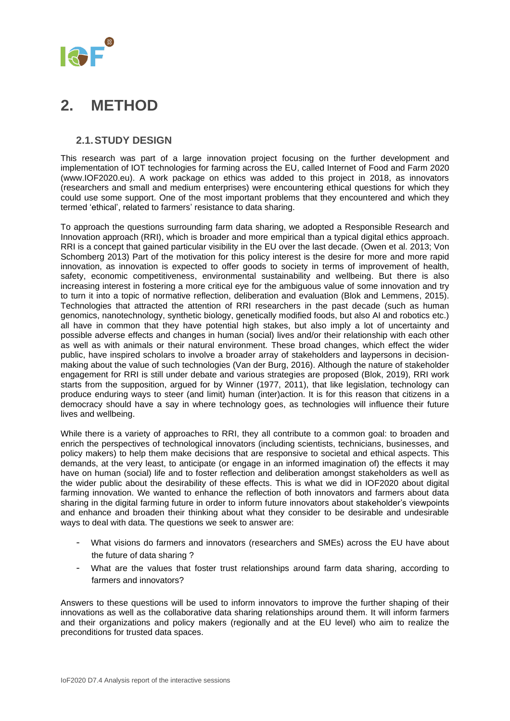## **2. METHOD**

## **2.1.STUDY DESIGN**

This research was part of a large innovation project focusing on the further development and implementation of IOT technologies for farming across the EU, called Internet of Food and Farm 2020 (www.IOF2020.eu). A work package on ethics was added to this project in 2018, as innovators (researchers and small and medium enterprises) were encountering ethical questions for which they could use some support. One of the most important problems that they encountered and which they termed 'ethical', related to farmers' resistance to data sharing.

To approach the questions surrounding farm data sharing, we adopted a Responsible Research and Innovation approach (RRI), which is broader and more empirical than a typical digital ethics approach. RRI is a concept that gained particular visibility in the EU over the last decade. (Owen et al. 2013; Von Schomberg 2013) Part of the motivation for this policy interest is the desire for more and more rapid innovation, as innovation is expected to offer goods to society in terms of improvement of health, safety, economic competitiveness, environmental sustainability and wellbeing. But there is also increasing interest in fostering a more critical eye for the ambiguous value of some innovation and try to turn it into a topic of normative reflection, deliberation and evaluation (Blok and Lemmens, 2015). Technologies that attracted the attention of RRI researchers in the past decade (such as human genomics, nanotechnology, synthetic biology, genetically modified foods, but also AI and robotics etc.) all have in common that they have potential high stakes, but also imply a lot of uncertainty and possible adverse effects and changes in human (social) lives and/or their relationship with each other as well as with animals or their natural environment. These broad changes, which effect the wider public, have inspired scholars to involve a broader array of stakeholders and laypersons in decisionmaking about the value of such technologies (Van der Burg, 2016). Although the nature of stakeholder engagement for RRI is still under debate and various strategies are proposed (Blok, 2019), RRI work starts from the supposition, argued for by Winner (1977, 2011), that like legislation, technology can produce enduring ways to steer (and limit) human (inter)action. It is for this reason that citizens in a democracy should have a say in where technology goes, as technologies will influence their future lives and wellbeing.

While there is a variety of approaches to RRI, they all contribute to a common goal: to broaden and enrich the perspectives of technological innovators (including scientists, technicians, businesses, and policy makers) to help them make decisions that are responsive to societal and ethical aspects. This demands, at the very least, to anticipate (or engage in an informed imagination of) the effects it may have on human (social) life and to foster reflection and deliberation amongst stakeholders as well as the wider public about the desirability of these effects. This is what we did in IOF2020 about digital farming innovation. We wanted to enhance the reflection of both innovators and farmers about data sharing in the digital farming future in order to inform future innovators about stakeholder's viewpoints and enhance and broaden their thinking about what they consider to be desirable and undesirable ways to deal with data. The questions we seek to answer are:

- What visions do farmers and innovators (researchers and SMEs) across the EU have about the future of data sharing ?
- What are the values that foster trust relationships around farm data sharing, according to farmers and innovators?

Answers to these questions will be used to inform innovators to improve the further shaping of their innovations as well as the collaborative data sharing relationships around them. It will inform farmers and their organizations and policy makers (regionally and at the EU level) who aim to realize the preconditions for trusted data spaces.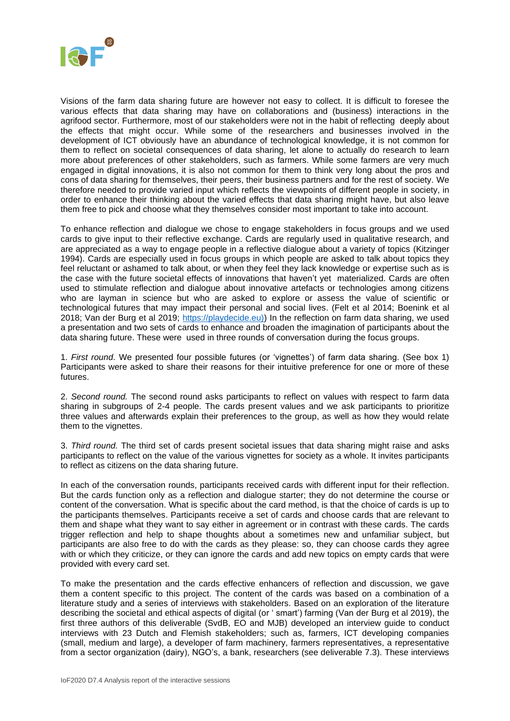

Visions of the farm data sharing future are however not easy to collect. It is difficult to foresee the various effects that data sharing may have on collaborations and (business) interactions in the agrifood sector. Furthermore, most of our stakeholders were not in the habit of reflecting deeply about the effects that might occur. While some of the researchers and businesses involved in the development of ICT obviously have an abundance of technological knowledge, it is not common for them to reflect on societal consequences of data sharing, let alone to actually do research to learn more about preferences of other stakeholders, such as farmers. While some farmers are very much engaged in digital innovations, it is also not common for them to think very long about the pros and cons of data sharing for themselves, their peers, their business partners and for the rest of society. We therefore needed to provide varied input which reflects the viewpoints of different people in society, in order to enhance their thinking about the varied effects that data sharing might have, but also leave them free to pick and choose what they themselves consider most important to take into account.

To enhance reflection and dialogue we chose to engage stakeholders in focus groups and we used cards to give input to their reflective exchange. Cards are regularly used in qualitative research, and are appreciated as a way to engage people in a reflective dialogue about a variety of topics (Kitzinger 1994). Cards are especially used in focus groups in which people are asked to talk about topics they feel reluctant or ashamed to talk about, or when they feel they lack knowledge or expertise such as is the case with the future societal effects of innovations that haven't yet materialized. Cards are often used to stimulate reflection and dialogue about innovative artefacts or technologies among citizens who are layman in science but who are asked to explore or assess the value of scientific or technological futures that may impact their personal and social lives. (Felt et al 2014; Boenink et al 2018; Van der Burg et al 2019; [https://playdecide.eu\)\)](https://playdecide.eu)/) In the reflection on farm data sharing, we used a presentation and two sets of cards to enhance and broaden the imagination of participants about the data sharing future. These were used in three rounds of conversation during the focus groups.

1. *First round*. We presented four possible futures (or 'vignettes') of farm data sharing. (See box 1) Participants were asked to share their reasons for their intuitive preference for one or more of these futures.

2. *Second round.* The second round asks participants to reflect on values with respect to farm data sharing in subgroups of 2-4 people. The cards present values and we ask participants to prioritize three values and afterwards explain their preferences to the group, as well as how they would relate them to the vignettes.

3. *Third round.* The third set of cards present societal issues that data sharing might raise and asks participants to reflect on the value of the various vignettes for society as a whole. It invites participants to reflect as citizens on the data sharing future.

In each of the conversation rounds, participants received cards with different input for their reflection. But the cards function only as a reflection and dialogue starter; they do not determine the course or content of the conversation. What is specific about the card method, is that the choice of cards is up to the participants themselves. Participants receive a set of cards and choose cards that are relevant to them and shape what they want to say either in agreement or in contrast with these cards. The cards trigger reflection and help to shape thoughts about a sometimes new and unfamiliar subject, but participants are also free to do with the cards as they please: so, they can choose cards they agree with or which they criticize, or they can ignore the cards and add new topics on empty cards that were provided with every card set.

To make the presentation and the cards effective enhancers of reflection and discussion, we gave them a content specific to this project. The content of the cards was based on a combination of a literature study and a series of interviews with stakeholders. Based on an exploration of the literature describing the societal and ethical aspects of digital (or ' smart') farming (Van der Burg et al 2019), the first three authors of this deliverable (SvdB, EO and MJB) developed an interview guide to conduct interviews with 23 Dutch and Flemish stakeholders; such as, farmers, ICT developing companies (small, medium and large), a developer of farm machinery, farmers representatives, a representative from a sector organization (dairy), NGO's, a bank, researchers (see deliverable 7.3). These interviews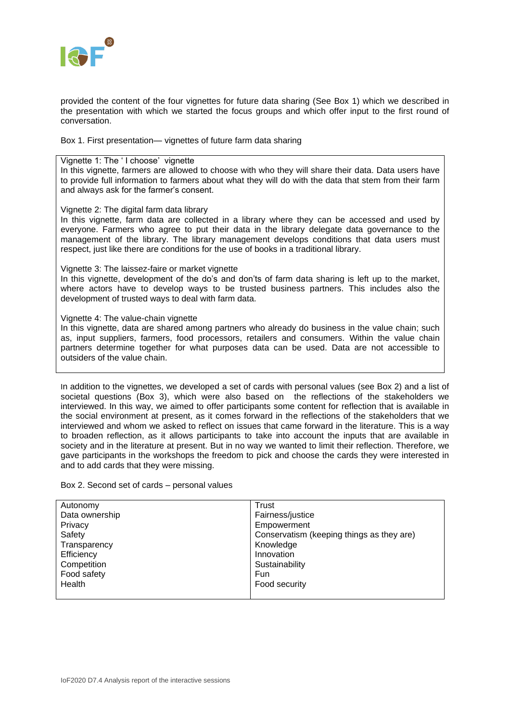

provided the content of the four vignettes for future data sharing (See Box 1) which we described in the presentation with which we started the focus groups and which offer input to the first round of conversation.

Box 1. First presentation— vignettes of future farm data sharing

#### Vignette 1: The ' I choose' vignette

In this vignette, farmers are allowed to choose with who they will share their data. Data users have to provide full information to farmers about what they will do with the data that stem from their farm and always ask for the farmer's consent.

#### Vignette 2: The digital farm data library

In this vignette, farm data are collected in a library where they can be accessed and used by everyone. Farmers who agree to put their data in the library delegate data governance to the management of the library. The library management develops conditions that data users must respect, just like there are conditions for the use of books in a traditional library.

#### Vignette 3: The laissez-faire or market vignette

In this vignette, development of the do's and don'ts of farm data sharing is left up to the market, where actors have to develop ways to be trusted business partners. This includes also the development of trusted ways to deal with farm data.

#### Vignette 4: The value-chain vignette

In this vignette, data are shared among partners who already do business in the value chain; such as, input suppliers, farmers, food processors, retailers and consumers. Within the value chain partners determine together for what purposes data can be used. Data are not accessible to outsiders of the value chain.

In addition to the vignettes, we developed a set of cards with personal values (see Box 2) and a list of societal questions (Box 3), which were also based on the reflections of the stakeholders we interviewed. In this way, we aimed to offer participants some content for reflection that is available in the social environment at present, as it comes forward in the reflections of the stakeholders that we interviewed and whom we asked to reflect on issues that came forward in the literature. This is a way to broaden reflection, as it allows participants to take into account the inputs that are available in society and in the literature at present. But in no way we wanted to limit their reflection. Therefore, we gave participants in the workshops the freedom to pick and choose the cards they were interested in and to add cards that they were missing.

#### Box 2. Second set of cards – personal values

| Autonomy       | Trust                                     |
|----------------|-------------------------------------------|
| Data ownership | Fairness/justice                          |
| Privacy        | Empowerment                               |
| Safety         | Conservatism (keeping things as they are) |
| Transparency   | Knowledge                                 |
| Efficiency     | Innovation                                |
| Competition    | Sustainability                            |
| Food safety    | Fun                                       |
| Health         | Food security                             |
|                |                                           |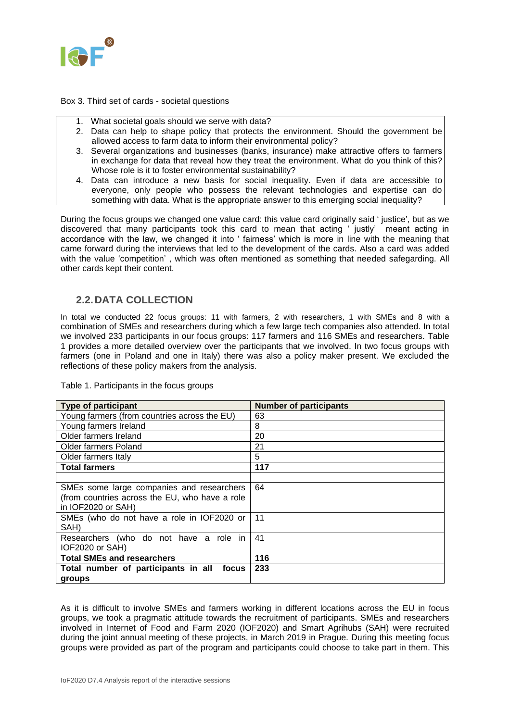

Box 3. Third set of cards - societal questions

- 1. What societal goals should we serve with data?
- 2. Data can help to shape policy that protects the environment. Should the government be allowed access to farm data to inform their environmental policy?
- 3. Several organizations and businesses (banks, insurance) make attractive offers to farmers in exchange for data that reveal how they treat the environment. What do you think of this? Whose role is it to foster environmental sustainability?
- 4. Data can introduce a new basis for social inequality. Even if data are accessible to everyone, only people who possess the relevant technologies and expertise can do something with data. What is the appropriate answer to this emerging social inequality?

During the focus groups we changed one value card: this value card originally said ' justice', but as we discovered that many participants took this card to mean that acting ' justly' meant acting in accordance with the law, we changed it into ' fairness' which is more in line with the meaning that came forward during the interviews that led to the development of the cards. Also a card was added with the value 'competition' , which was often mentioned as something that needed safegarding. All other cards kept their content.

## **2.2.DATA COLLECTION**

In total we conducted 22 focus groups: 11 with farmers, 2 with researchers, 1 with SMEs and 8 with a combination of SMEs and researchers during which a few large tech companies also attended. In total we involved 233 participants in our focus groups: 117 farmers and 116 SMEs and researchers. Table 1 provides a more detailed overview over the participants that we involved. In two focus groups with farmers (one in Poland and one in Italy) there was also a policy maker present. We excluded the reflections of these policy makers from the analysis.

| <b>Type of participant</b>                     | <b>Number of participants</b> |
|------------------------------------------------|-------------------------------|
| Young farmers (from countries across the EU)   | 63                            |
| Young farmers Ireland                          | 8                             |
| Older farmers Ireland                          | 20                            |
| Older farmers Poland                           | 21                            |
| Older farmers Italy                            | 5                             |
| <b>Total farmers</b>                           | 117                           |
|                                                |                               |
| SMEs some large companies and researchers      | 64                            |
| (from countries across the EU, who have a role |                               |
| in IOF2020 or SAH)                             |                               |
| SMEs (who do not have a role in IOF2020 or     | 11                            |
| SAH)                                           |                               |
| Researchers (who do not have a role in         | 41                            |
| IOF2020 or SAH)                                |                               |
| <b>Total SMEs and researchers</b>              | 116                           |
| Total number of participants in all<br>focus   | 233                           |
| groups                                         |                               |

Table 1. Participants in the focus groups

As it is difficult to involve SMEs and farmers working in different locations across the EU in focus groups, we took a pragmatic attitude towards the recruitment of participants. SMEs and researchers involved in Internet of Food and Farm 2020 (IOF2020) and Smart Agrihubs (SAH) were recruited during the joint annual meeting of these projects, in March 2019 in Prague. During this meeting focus groups were provided as part of the program and participants could choose to take part in them. This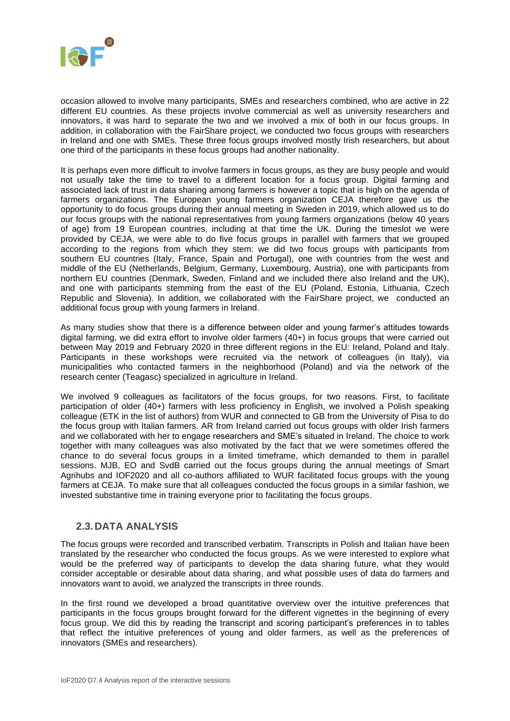

occasion allowed to involve many participants, SMEs and researchers combined, who are active in 22 different EU countries. As these projects involve commercial as well as university researchers and innovators, it was hard to separate the two and we involved a mix of both in our focus groups. In addition, in collaboration with the FairShare project, we conducted two focus groups with researchers in Ireland and one with SMEs. These three focus groups involved mostly Irish researchers, but about one third of the participants in these focus groups had another nationality.

It is perhaps even more difficult to involve farmers in focus groups, as they are busy people and would not usually take the time to travel to a different location for a focus group. Digital farming and associated lack of trust in data sharing among farmers is however a topic that is high on the agenda of farmers organizations. The European young farmers organization CEJA therefore gave us the opportunity to do focus groups during their annual meeting in Sweden in 2019, which allowed us to do our focus groups with the national representatives from young farmers organizations (below 40 years of age) from 19 European countries, including at that time the UK. During the timeslot we were provided by CEJA, we were able to do five focus groups in parallel with farmers that we grouped according to the regions from which they stem: we did two focus groups with participants from southern EU countries (Italy, France, Spain and Portugal), one with countries from the west and middle of the EU (Netherlands, Belgium, Germany, Luxembourg, Austria), one with participants from northern EU countries (Denmark, Sweden, Finland and we included there also Ireland and the UK), and one with participants stemming from the east of the EU (Poland, Estonia, Lithuania, Czech Republic and Slovenia). In addition, we collaborated with the FairShare project, we conducted an additional focus group with young farmers in Ireland.

As many studies show that there is a difference between older and young farmer's attitudes towards digital farming, we did extra effort to involve older farmers (40+) in focus groups that were carried out between May 2019 and February 2020 in three different regions in the EU: Ireland, Poland and Italy. Participants in these workshops were recruited via the network of colleagues (in Italy), via municipalities who contacted farmers in the neighborhood (Poland) and via the network of the research center (Teagasc) specialized in agriculture in Ireland.

We involved 9 colleagues as facilitators of the focus groups, for two reasons. First, to facilitate participation of older (40+) farmers with less proficiency in English, we involved a Polish speaking colleague (ETK in the list of authors) from WUR and connected to GB from the University of Pisa to do the focus group with Italian farmers. AR from Ireland carried out focus groups with older Irish farmers and we collaborated with her to engage researchers and SME's situated in Ireland. The choice to work together with many colleagues was also motivated by the fact that we were sometimes offered the chance to do several focus groups in a limited timeframe, which demanded to them in parallel sessions. MJB, EO and SvdB carried out the focus groups during the annual meetings of Smart Agrihubs and IOF2020 and all co-authors affiliated to WUR facilitated focus groups with the young farmers at CEJA. To make sure that all colleagues conducted the focus groups in a similar fashion, we invested substantive time in training everyone prior to facilitating the focus groups.

### **2.3.DATA ANALYSIS**

The focus groups were recorded and transcribed verbatim. Transcripts in Polish and Italian have been translated by the researcher who conducted the focus groups. As we were interested to explore what would be the preferred way of participants to develop the data sharing future, what they would consider acceptable or desirable about data sharing, and what possible uses of data do farmers and innovators want to avoid, we analyzed the transcripts in three rounds.

In the first round we developed a broad quantitative overview over the intuitive preferences that participants in the focus groups brought forward for the different vignettes in the beginning of every focus group. We did this by reading the transcript and scoring participant's preferences in to tables that reflect the intuitive preferences of young and older farmers, as well as the preferences of innovators (SMEs and researchers).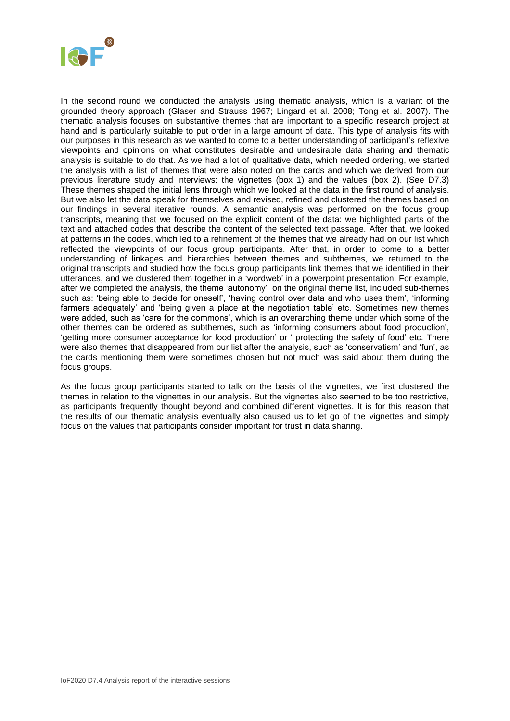

In the second round we conducted the analysis using thematic analysis, which is a variant of the grounded theory approach (Glaser and Strauss 1967; Lingard et al. 2008; Tong et al. 2007). The thematic analysis focuses on substantive themes that are important to a specific research project at hand and is particularly suitable to put order in a large amount of data. This type of analysis fits with our purposes in this research as we wanted to come to a better understanding of participant's reflexive viewpoints and opinions on what constitutes desirable and undesirable data sharing and thematic analysis is suitable to do that. As we had a lot of qualitative data, which needed ordering, we started the analysis with a list of themes that were also noted on the cards and which we derived from our previous literature study and interviews: the vignettes (box 1) and the values (box 2). (See D7.3) These themes shaped the initial lens through which we looked at the data in the first round of analysis. But we also let the data speak for themselves and revised, refined and clustered the themes based on our findings in several iterative rounds. A semantic analysis was performed on the focus group transcripts, meaning that we focused on the explicit content of the data: we highlighted parts of the text and attached codes that describe the content of the selected text passage. After that, we looked at patterns in the codes, which led to a refinement of the themes that we already had on our list which reflected the viewpoints of our focus group participants. After that, in order to come to a better understanding of linkages and hierarchies between themes and subthemes, we returned to the original transcripts and studied how the focus group participants link themes that we identified in their utterances, and we clustered them together in a 'wordweb' in a powerpoint presentation. For example, after we completed the analysis, the theme 'autonomy' on the original theme list, included sub-themes such as: 'being able to decide for oneself', 'having control over data and who uses them', 'informing farmers adequately' and 'being given a place at the negotiation table' etc. Sometimes new themes were added, such as 'care for the commons', which is an overarching theme under which some of the other themes can be ordered as subthemes, such as 'informing consumers about food production', 'getting more consumer acceptance for food production' or ' protecting the safety of food' etc. There were also themes that disappeared from our list after the analysis, such as 'conservatism' and 'fun', as the cards mentioning them were sometimes chosen but not much was said about them during the focus groups.

As the focus group participants started to talk on the basis of the vignettes, we first clustered the themes in relation to the vignettes in our analysis. But the vignettes also seemed to be too restrictive, as participants frequently thought beyond and combined different vignettes. It is for this reason that the results of our thematic analysis eventually also caused us to let go of the vignettes and simply focus on the values that participants consider important for trust in data sharing.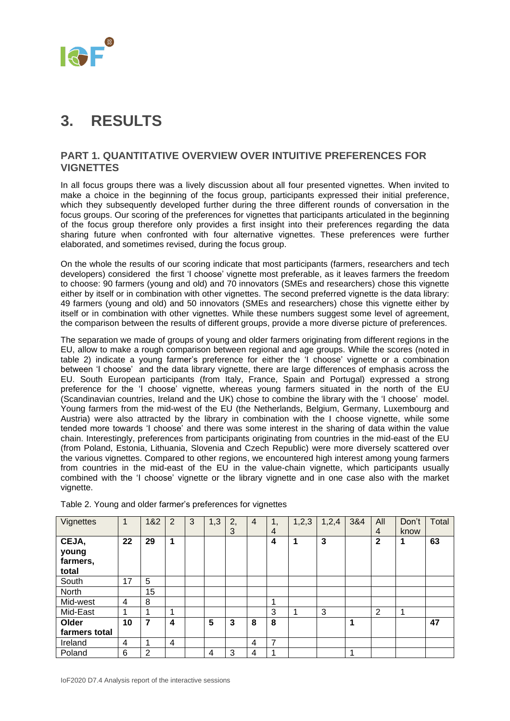# **3. RESULTS**

### **PART 1. QUANTITATIVE OVERVIEW OVER INTUITIVE PREFERENCES FOR VIGNETTES**

In all focus groups there was a lively discussion about all four presented vignettes. When invited to make a choice in the beginning of the focus group, participants expressed their initial preference, which they subsequently developed further during the three different rounds of conversation in the focus groups. Our scoring of the preferences for vignettes that participants articulated in the beginning of the focus group therefore only provides a first insight into their preferences regarding the data sharing future when confronted with four alternative vignettes. These preferences were further elaborated, and sometimes revised, during the focus group.

On the whole the results of our scoring indicate that most participants (farmers, researchers and tech developers) considered the first 'I choose' vignette most preferable, as it leaves farmers the freedom to choose: 90 farmers (young and old) and 70 innovators (SMEs and researchers) chose this vignette either by itself or in combination with other vignettes. The second preferred vignette is the data library: 49 farmers (young and old) and 50 innovators (SMEs and researchers) chose this vignette either by itself or in combination with other vignettes. While these numbers suggest some level of agreement, the comparison between the results of different groups, provide a more diverse picture of preferences.

The separation we made of groups of young and older farmers originating from different regions in the EU, allow to make a rough comparison between regional and age groups. While the scores (noted in table 2) indicate a young farmer's preference for either the 'I choose' vignette or a combination between 'I choose' and the data library vignette, there are large differences of emphasis across the EU. South European participants (from Italy, France, Spain and Portugal) expressed a strong preference for the 'I choose' vignette, whereas young farmers situated in the north of the EU (Scandinavian countries, Ireland and the UK) chose to combine the library with the 'I choose' model. Young farmers from the mid-west of the EU (the Netherlands, Belgium, Germany, Luxembourg and Austria) were also attracted by the library in combination with the I choose vignette, while some tended more towards 'I choose' and there was some interest in the sharing of data within the value chain. Interestingly, preferences from participants originating from countries in the mid-east of the EU (from Poland, Estonia, Lithuania, Slovenia and Czech Republic) were more diversely scattered over the various vignettes. Compared to other regions, we encountered high interest among young farmers from countries in the mid-east of the EU in the value-chain vignette, which participants usually combined with the 'I choose' vignette or the library vignette and in one case also with the market vignette.

| Vignettes                           |    | 1&2            | $\overline{2}$ | 3 | 1,3 | 2,<br>3 | $\overline{4}$ | 1,<br>4 | 1,2,3 | 1,2,4 | 3&4 | All<br>$\overline{4}$ | Don't<br>know | Total |
|-------------------------------------|----|----------------|----------------|---|-----|---------|----------------|---------|-------|-------|-----|-----------------------|---------------|-------|
| CEJA,<br>young<br>farmers,<br>total | 22 | 29             | 1              |   |     |         |                | 4       | 1     | 3     |     | $\mathbf{2}$          |               | 63    |
| South                               | 17 | 5              |                |   |     |         |                |         |       |       |     |                       |               |       |
| North                               |    | 15             |                |   |     |         |                |         |       |       |     |                       |               |       |
| Mid-west                            | 4  | 8              |                |   |     |         |                | 1       |       |       |     |                       |               |       |
| Mid-East                            |    |                | 1              |   |     |         |                | 3       |       | 3     |     | 2                     |               |       |
| Older                               | 10 |                | 4              |   | 5   | 3       | 8              | 8       |       |       | 4   |                       |               | 47    |
| farmers total                       |    |                |                |   |     |         |                |         |       |       |     |                       |               |       |
| Ireland                             | 4  |                | 4              |   |     |         | 4              | 7       |       |       |     |                       |               |       |
| Poland                              | 6  | $\overline{2}$ |                |   | 4   | 3       | 4              |         |       |       |     |                       |               |       |

Table 2. Young and older farmer's preferences for vignettes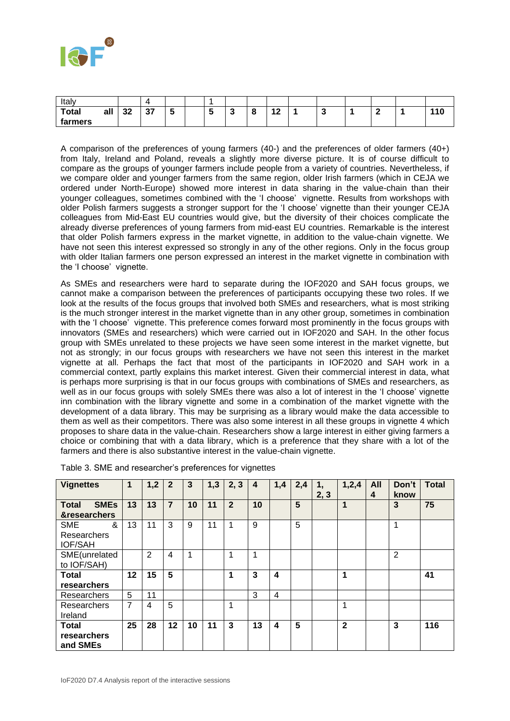

| Italy                   |     |    |               |         |   |   |   |                   |   |  |     |
|-------------------------|-----|----|---------------|---------|---|---|---|-------------------|---|--|-----|
| <b>Total</b><br>farmers | all | 32 | $\sim$<br>، ت | -<br>ر. | - | w | o | $\sqrt{2}$<br>' 4 | - |  | 110 |

A comparison of the preferences of young farmers (40-) and the preferences of older farmers (40+) from Italy, Ireland and Poland, reveals a slightly more diverse picture. It is of course difficult to compare as the groups of younger farmers include people from a variety of countries. Nevertheless, if we compare older and younger farmers from the same region, older Irish farmers (which in CEJA we ordered under North-Europe) showed more interest in data sharing in the value-chain than their younger colleagues, sometimes combined with the 'I choose' vignette. Results from workshops with older Polish farmers suggests a stronger support for the 'I choose' vignette than their younger CEJA colleagues from Mid-East EU countries would give, but the diversity of their choices complicate the already diverse preferences of young farmers from mid-east EU countries. Remarkable is the interest that older Polish farmers express in the market vignette, in addition to the value-chain vignette. We have not seen this interest expressed so strongly in any of the other regions. Only in the focus group with older Italian farmers one person expressed an interest in the market vignette in combination with the 'I choose' vignette.

As SMEs and researchers were hard to separate during the IOF2020 and SAH focus groups, we cannot make a comparison between the preferences of participants occupying these two roles. If we look at the results of the focus groups that involved both SMEs and researchers, what is most striking is the much stronger interest in the market vignette than in any other group, sometimes in combination with the 'I choose' vignette. This preference comes forward most prominently in the focus groups with innovators (SMEs and researchers) which were carried out in IOF2020 and SAH. In the other focus group with SMEs unrelated to these projects we have seen some interest in the market vignette, but not as strongly; in our focus groups with researchers we have not seen this interest in the market vignette at all. Perhaps the fact that most of the participants in IOF2020 and SAH work in a commercial context, partly explains this market interest. Given their commercial interest in data, what is perhaps more surprising is that in our focus groups with combinations of SMEs and researchers, as well as in our focus groups with solely SMEs there was also a lot of interest in the 'I choose' vignette inn combination with the library vignette and some in a combination of the market vignette with the development of a data library. This may be surprising as a library would make the data accessible to them as well as their competitors. There was also some interest in all these groups in vignette 4 which proposes to share data in the value-chain. Researchers show a large interest in either giving farmers a choice or combining that with a data library, which is a preference that they share with a lot of the farmers and there is also substantive interest in the value-chain vignette.

| <b>Vignettes</b>                                       | 1              | 1,2            | $\mathbf{2}$   | 3  | 1,3 | 2, 3           | 4  | 1,4                 | 2,4 | 1,<br>2, 3 | 1,2,4        | All<br>4 | Don't<br>know  | <b>Total</b> |
|--------------------------------------------------------|----------------|----------------|----------------|----|-----|----------------|----|---------------------|-----|------------|--------------|----------|----------------|--------------|
| <b>SMEs</b><br><b>Total</b><br><b>&amp;researchers</b> | 13             | 13             | $\overline{7}$ | 10 | 11  | $\overline{2}$ | 10 |                     | 5   |            | 1            |          | 3              | 75           |
| &<br><b>SME</b><br>Researchers<br><b>IOF/SAH</b>       | 13             | 11             | 3              | 9  | 11  | 1              | 9  |                     | 5   |            |              |          | 1              |              |
| SME(unrelated<br>to IOF/SAH)                           |                | $\overline{2}$ | 4              | 4  |     | 1              | ٠  |                     |     |            |              |          | $\overline{2}$ |              |
| <b>Total</b><br>researchers                            | 12             | 15             | 5              |    |     | 1              | 3  | $\overline{\bf{4}}$ |     |            | 1            |          |                | 41           |
| Researchers                                            | 5              | 11             |                |    |     |                | 3  | 4                   |     |            |              |          |                |              |
| Researchers<br>Ireland                                 | $\overline{7}$ | 4              | 5              |    |     | 1              |    |                     |     |            | 1            |          |                |              |
| <b>Total</b><br>researchers<br>and SMEs                | 25             | 28             | 12             | 10 | 11  | 3              | 13 | 4                   | 5   |            | $\mathbf{2}$ |          | 3              | 116          |

Table 3. SME and researcher's preferences for vignettes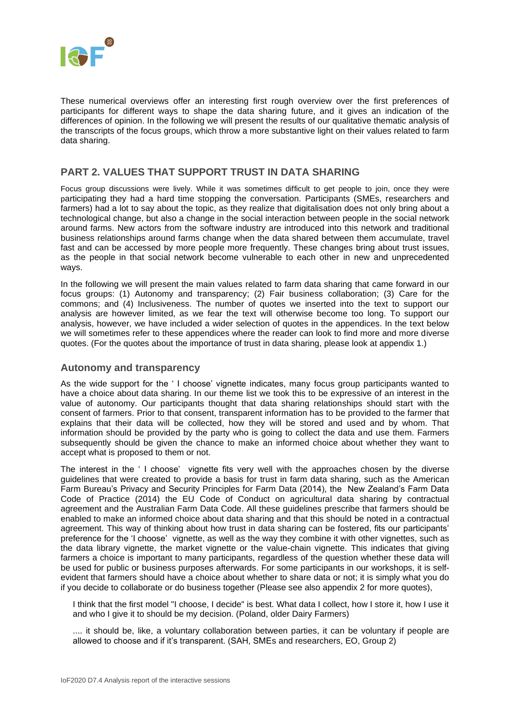

These numerical overviews offer an interesting first rough overview over the first preferences of participants for different ways to shape the data sharing future, and it gives an indication of the differences of opinion. In the following we will present the results of our qualitative thematic analysis of the transcripts of the focus groups, which throw a more substantive light on their values related to farm data sharing.

### **PART 2. VALUES THAT SUPPORT TRUST IN DATA SHARING**

Focus group discussions were lively. While it was sometimes difficult to get people to join, once they were participating they had a hard time stopping the conversation. Participants (SMEs, researchers and farmers) had a lot to say about the topic, as they realize that digitalisation does not only bring about a technological change, but also a change in the social interaction between people in the social network around farms. New actors from the software industry are introduced into this network and traditional business relationships around farms change when the data shared between them accumulate, travel fast and can be accessed by more people more frequently. These changes bring about trust issues, as the people in that social network become vulnerable to each other in new and unprecedented ways.

In the following we will present the main values related to farm data sharing that came forward in our focus groups: (1) Autonomy and transparency; (2) Fair business collaboration; (3) Care for the commons; and (4) Inclusiveness. The number of quotes we inserted into the text to support our analysis are however limited, as we fear the text will otherwise become too long. To support our analysis, however, we have included a wider selection of quotes in the appendices. In the text below we will sometimes refer to these appendices where the reader can look to find more and more diverse quotes. (For the quotes about the importance of trust in data sharing, please look at appendix 1.)

#### **Autonomy and transparency**

As the wide support for the ' I choose' vignette indicates, many focus group participants wanted to have a choice about data sharing. In our theme list we took this to be expressive of an interest in the value of autonomy. Our participants thought that data sharing relationships should start with the consent of farmers. Prior to that consent, transparent information has to be provided to the farmer that explains that their data will be collected, how they will be stored and used and by whom. That information should be provided by the party who is going to collect the data and use them. Farmers subsequently should be given the chance to make an informed choice about whether they want to accept what is proposed to them or not.

The interest in the ' I choose' vignette fits very well with the approaches chosen by the diverse guidelines that were created to provide a basis for trust in farm data sharing, such as the American Farm Bureau's Privacy and Security Principles for Farm Data (2014), the New Zealand's Farm Data Code of Practice (2014) the EU Code of Conduct on agricultural data sharing by contractual agreement and the Australian Farm Data Code. All these guidelines prescribe that farmers should be enabled to make an informed choice about data sharing and that this should be noted in a contractual agreement. This way of thinking about how trust in data sharing can be fostered, fits our participants' preference for the 'I choose' vignette, as well as the way they combine it with other vignettes, such as the data library vignette, the market vignette or the value-chain vignette. This indicates that giving farmers a choice is important to many participants, regardless of the question whether these data will be used for public or business purposes afterwards. For some participants in our workshops, it is selfevident that farmers should have a choice about whether to share data or not; it is simply what you do if you decide to collaborate or do business together (Please see also appendix 2 for more quotes),

I think that the first model "I choose, I decide" is best. What data I collect, how I store it, how I use it and who I give it to should be my decision. (Poland, older Dairy Farmers)

.... it should be, like, a voluntary collaboration between parties, it can be voluntary if people are allowed to choose and if it's transparent. (SAH, SMEs and researchers, EO, Group 2)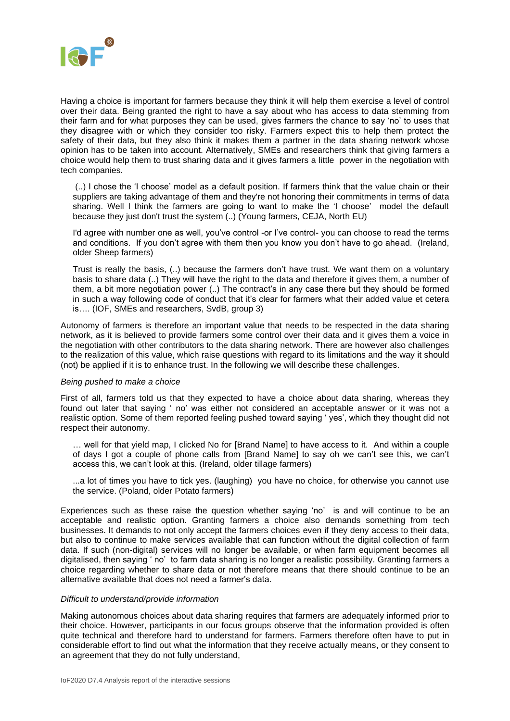

Having a choice is important for farmers because they think it will help them exercise a level of control over their data. Being granted the right to have a say about who has access to data stemming from their farm and for what purposes they can be used, gives farmers the chance to say 'no' to uses that they disagree with or which they consider too risky. Farmers expect this to help them protect the safety of their data, but they also think it makes them a partner in the data sharing network whose opinion has to be taken into account. Alternatively, SMEs and researchers think that giving farmers a choice would help them to trust sharing data and it gives farmers a little power in the negotiation with tech companies.

(..) I chose the 'I choose' model as a default position. If farmers think that the value chain or their suppliers are taking advantage of them and they're not honoring their commitments in terms of data sharing. Well I think the farmers are going to want to make the 'I choose' model the default because they just don't trust the system (..) (Young farmers, CEJA, North EU)

I'd agree with number one as well, you've control -or I've control- you can choose to read the terms and conditions. If you don't agree with them then you know you don't have to go ahead. (Ireland, older Sheep farmers)

Trust is really the basis, (..) because the farmers don't have trust. We want them on a voluntary basis to share data (..) They will have the right to the data and therefore it gives them, a number of them, a bit more negotiation power (..) The contract's in any case there but they should be formed in such a way following code of conduct that it's clear for farmers what their added value et cetera is…. (IOF, SMEs and researchers, SvdB, group 3)

Autonomy of farmers is therefore an important value that needs to be respected in the data sharing network, as it is believed to provide farmers some control over their data and it gives them a voice in the negotiation with other contributors to the data sharing network. There are however also challenges to the realization of this value, which raise questions with regard to its limitations and the way it should (not) be applied if it is to enhance trust. In the following we will describe these challenges.

#### *Being pushed to make a choice*

First of all, farmers told us that they expected to have a choice about data sharing, whereas they found out later that saying ' no' was either not considered an acceptable answer or it was not a realistic option. Some of them reported feeling pushed toward saying ' yes', which they thought did not respect their autonomy.

… well for that yield map, I clicked No for [Brand Name] to have access to it. And within a couple of days I got a couple of phone calls from [Brand Name] to say oh we can't see this, we can't access this, we can't look at this. (Ireland, older tillage farmers)

...a lot of times you have to tick yes. (laughing) you have no choice, for otherwise you cannot use the service. (Poland, older Potato farmers)

Experiences such as these raise the question whether saying 'no' is and will continue to be an acceptable and realistic option. Granting farmers a choice also demands something from tech businesses. It demands to not only accept the farmers choices even if they deny access to their data, but also to continue to make services available that can function without the digital collection of farm data. If such (non-digital) services will no longer be available, or when farm equipment becomes all digitalised, then saying ' no' to farm data sharing is no longer a realistic possibility. Granting farmers a choice regarding whether to share data or not therefore means that there should continue to be an alternative available that does not need a farmer's data.

#### *Difficult to understand/provide information*

Making autonomous choices about data sharing requires that farmers are adequately informed prior to their choice. However, participants in our focus groups observe that the information provided is often quite technical and therefore hard to understand for farmers. Farmers therefore often have to put in considerable effort to find out what the information that they receive actually means, or they consent to an agreement that they do not fully understand,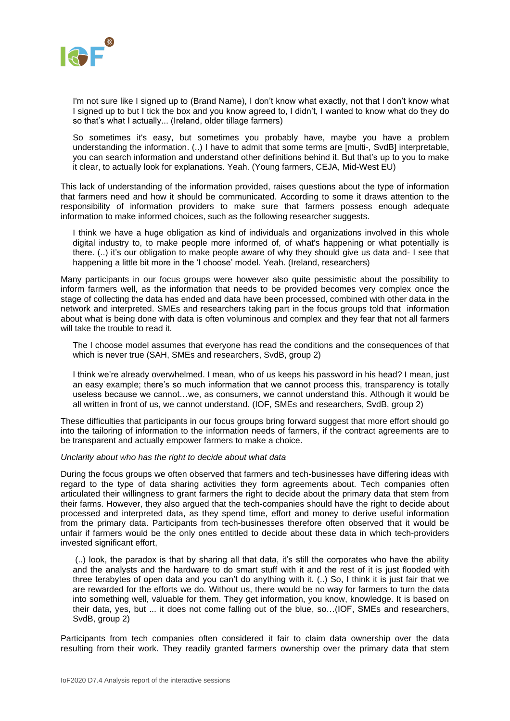

I'm not sure like I signed up to (Brand Name), I don't know what exactly, not that I don't know what I signed up to but I tick the box and you know agreed to, I didn't, I wanted to know what do they do so that's what I actually... (Ireland, older tillage farmers)

So sometimes it's easy, but sometimes you probably have, maybe you have a problem understanding the information. (..) I have to admit that some terms are [multi-, SvdB] interpretable, you can search information and understand other definitions behind it. But that's up to you to make it clear, to actually look for explanations. Yeah. (Young farmers, CEJA, Mid-West EU)

This lack of understanding of the information provided, raises questions about the type of information that farmers need and how it should be communicated. According to some it draws attention to the responsibility of information providers to make sure that farmers possess enough adequate information to make informed choices, such as the following researcher suggests.

I think we have a huge obligation as kind of individuals and organizations involved in this whole digital industry to, to make people more informed of, of what's happening or what potentially is there. (..) it's our obligation to make people aware of why they should give us data and- I see that happening a little bit more in the 'I choose' model. Yeah. (Ireland, researchers)

Many participants in our focus groups were however also quite pessimistic about the possibility to inform farmers well, as the information that needs to be provided becomes very complex once the stage of collecting the data has ended and data have been processed, combined with other data in the network and interpreted. SMEs and researchers taking part in the focus groups told that information about what is being done with data is often voluminous and complex and they fear that not all farmers will take the trouble to read it.

The I choose model assumes that everyone has read the conditions and the consequences of that which is never true (SAH, SMEs and researchers, SvdB, group 2)

I think we're already overwhelmed. I mean, who of us keeps his password in his head? I mean, just an easy example; there's so much information that we cannot process this, transparency is totally useless because we cannot…we, as consumers, we cannot understand this. Although it would be all written in front of us, we cannot understand. (IOF, SMEs and researchers, SvdB, group 2)

These difficulties that participants in our focus groups bring forward suggest that more effort should go into the tailoring of information to the information needs of farmers, if the contract agreements are to be transparent and actually empower farmers to make a choice.

#### *Unclarity about who has the right to decide about what data*

During the focus groups we often observed that farmers and tech-businesses have differing ideas with regard to the type of data sharing activities they form agreements about. Tech companies often articulated their willingness to grant farmers the right to decide about the primary data that stem from their farms. However, they also argued that the tech-companies should have the right to decide about processed and interpreted data, as they spend time, effort and money to derive useful information from the primary data. Participants from tech-businesses therefore often observed that it would be unfair if farmers would be the only ones entitled to decide about these data in which tech-providers invested significant effort,

(..) look, the paradox is that by sharing all that data, it's still the corporates who have the ability and the analysts and the hardware to do smart stuff with it and the rest of it is just flooded with three terabytes of open data and you can't do anything with it. (..) So, I think it is just fair that we are rewarded for the efforts we do. Without us, there would be no way for farmers to turn the data into something well, valuable for them. They get information, you know, knowledge. It is based on their data, yes, but ... it does not come falling out of the blue, so…(IOF, SMEs and researchers, SvdB, group 2)

Participants from tech companies often considered it fair to claim data ownership over the data resulting from their work. They readily granted farmers ownership over the primary data that stem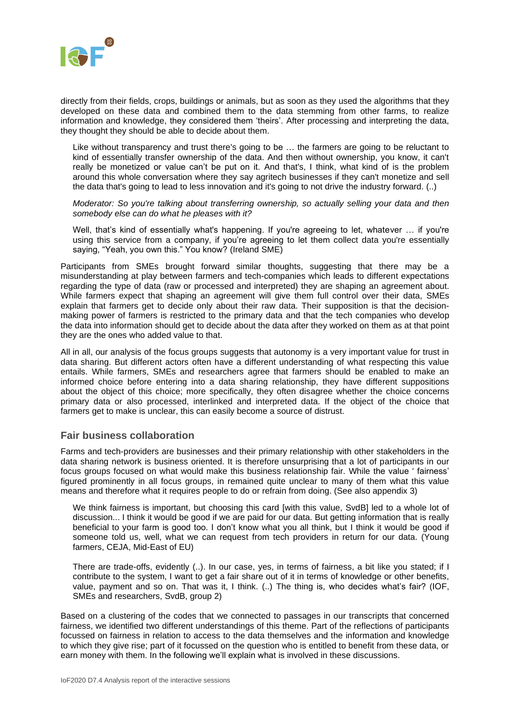

directly from their fields, crops, buildings or animals, but as soon as they used the algorithms that they developed on these data and combined them to the data stemming from other farms, to realize information and knowledge, they considered them 'theirs'. After processing and interpreting the data, they thought they should be able to decide about them.

Like without transparency and trust there's going to be … the farmers are going to be reluctant to kind of essentially transfer ownership of the data. And then without ownership, you know, it can't really be monetized or value can't be put on it. And that's, I think, what kind of is the problem around this whole conversation where they say agritech businesses if they can't monetize and sell the data that's going to lead to less innovation and it's going to not drive the industry forward. (..)

*Moderator: So you're talking about transferring ownership, so actually selling your data and then somebody else can do what he pleases with it?*

Well, that's kind of essentially what's happening. If you're agreeing to let, whatever ... if you're using this service from a company, if you're agreeing to let them collect data you're essentially saying, "Yeah, you own this." You know? (Ireland SME)

Participants from SMEs brought forward similar thoughts, suggesting that there may be a misunderstanding at play between farmers and tech-companies which leads to different expectations regarding the type of data (raw or processed and interpreted) they are shaping an agreement about. While farmers expect that shaping an agreement will give them full control over their data, SMEs explain that farmers get to decide only about their raw data. Their supposition is that the decisionmaking power of farmers is restricted to the primary data and that the tech companies who develop the data into information should get to decide about the data after they worked on them as at that point they are the ones who added value to that.

All in all, our analysis of the focus groups suggests that autonomy is a very important value for trust in data sharing. But different actors often have a different understanding of what respecting this value entails. While farmers, SMEs and researchers agree that farmers should be enabled to make an informed choice before entering into a data sharing relationship, they have different suppositions about the object of this choice; more specifically, they often disagree whether the choice concerns primary data or also processed, interlinked and interpreted data. If the object of the choice that farmers get to make is unclear, this can easily become a source of distrust.

#### **Fair business collaboration**

Farms and tech-providers are businesses and their primary relationship with other stakeholders in the data sharing network is business oriented. It is therefore unsurprising that a lot of participants in our focus groups focused on what would make this business relationship fair. While the value ' fairness' figured prominently in all focus groups, in remained quite unclear to many of them what this value means and therefore what it requires people to do or refrain from doing. (See also appendix 3)

We think fairness is important, but choosing this card [with this value, SvdB] led to a whole lot of discussion... I think it would be good if we are paid for our data. But getting information that is really beneficial to your farm is good too. I don't know what you all think, but I think it would be good if someone told us, well, what we can request from tech providers in return for our data. (Young farmers, CEJA, Mid-East of EU)

There are trade-offs, evidently (..). In our case, yes, in terms of fairness, a bit like you stated; if I contribute to the system, I want to get a fair share out of it in terms of knowledge or other benefits, value, payment and so on. That was it, I think. (..) The thing is, who decides what's fair? (IOF, SMEs and researchers, SvdB, group 2)

Based on a clustering of the codes that we connected to passages in our transcripts that concerned fairness, we identified two different understandings of this theme. Part of the reflections of participants focussed on fairness in relation to access to the data themselves and the information and knowledge to which they give rise; part of it focussed on the question who is entitled to benefit from these data, or earn money with them. In the following we'll explain what is involved in these discussions.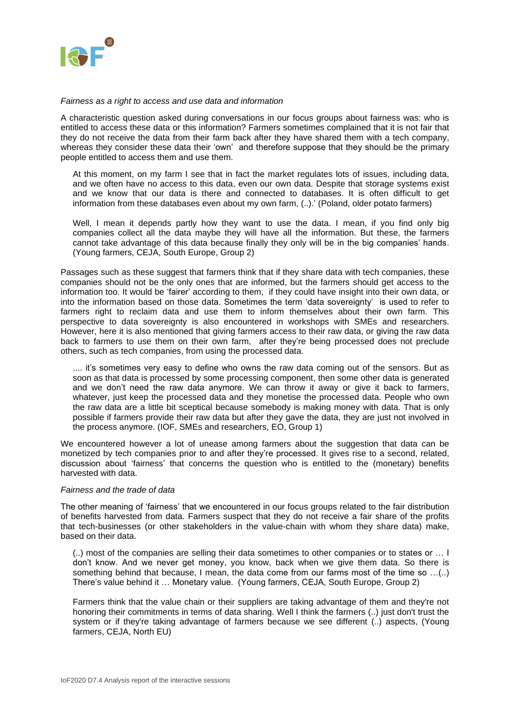

#### *Fairness as a right to access and use data and information*

A characteristic question asked during conversations in our focus groups about fairness was: who is entitled to access these data or this information? Farmers sometimes complained that it is not fair that they do not receive the data from their farm back after they have shared them with a tech company, whereas they consider these data their 'own' and therefore suppose that they should be the primary people entitled to access them and use them.

At this moment, on my farm I see that in fact the market regulates lots of issues, including data, and we often have no access to this data, even our own data. Despite that storage systems exist and we know that our data is there and connected to databases. It is often difficult to get information from these databases even about my own farm, (..).' (Poland, older potato farmers)

Well, I mean it depends partly how they want to use the data. I mean, if you find only big companies collect all the data maybe they will have all the information. But these, the farmers cannot take advantage of this data because finally they only will be in the big companies' hands. (Young farmers, CEJA, South Europe, Group 2)

Passages such as these suggest that farmers think that if they share data with tech companies, these companies should not be the only ones that are informed, but the farmers should get access to the information too. It would be 'fairer' according to them, if they could have insight into their own data, or into the information based on those data. Sometimes the term 'data sovereignty' is used to refer to farmers right to reclaim data and use them to inform themselves about their own farm. This perspective to data sovereignty is also encountered in workshops with SMEs and researchers. However, here it is also mentioned that giving farmers access to their raw data, or giving the raw data back to farmers to use them on their own farm, after they're being processed does not preclude others, such as tech companies, from using the processed data.

.... it's sometimes very easy to define who owns the raw data coming out of the sensors. But as soon as that data is processed by some processing component, then some other data is generated and we don't need the raw data anymore. We can throw it away or give it back to farmers, whatever, just keep the processed data and they monetise the processed data. People who own the raw data are a little bit sceptical because somebody is making money with data. That is only possible if farmers provide their raw data but after they gave the data, they are just not involved in the process anymore. (IOF, SMEs and researchers, EO, Group 1)

We encountered however a lot of unease among farmers about the suggestion that data can be monetized by tech companies prior to and after they're processed. It gives rise to a second, related, discussion about 'fairness' that concerns the question who is entitled to the (monetary) benefits harvested with data.

#### *Fairness and the trade of data*

The other meaning of 'fairness' that we encountered in our focus groups related to the fair distribution of benefits harvested from data. Farmers suspect that they do not receive a fair share of the profits that tech-businesses (or other stakeholders in the value-chain with whom they share data) make, based on their data.

(..) most of the companies are selling their data sometimes to other companies or to states or … I don't know. And we never get money, you know, back when we give them data. So there is something behind that because, I mean, the data come from our farms most of the time so ...(..) There's value behind it … Monetary value. (Young farmers, CEJA, South Europe, Group 2)

Farmers think that the value chain or their suppliers are taking advantage of them and they're not honoring their commitments in terms of data sharing. Well I think the farmers (..) just don't trust the system or if they're taking advantage of farmers because we see different (..) aspects, (Young farmers, CEJA, North EU)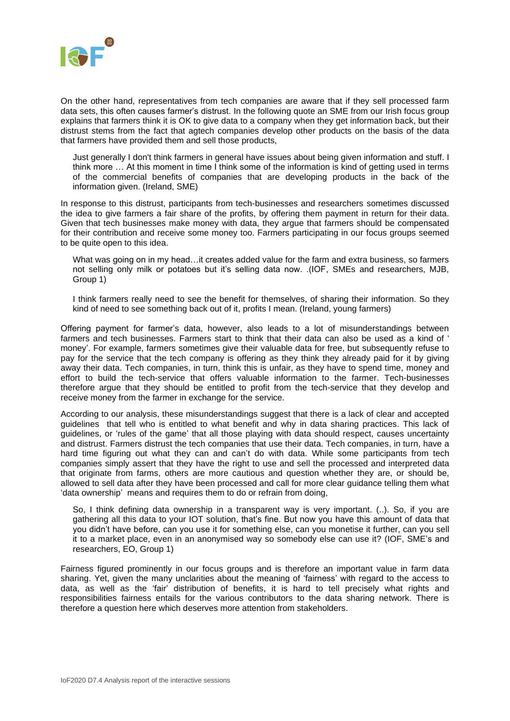

On the other hand, representatives from tech companies are aware that if they sell processed farm data sets, this often causes farmer's distrust. In the following quote an SME from our Irish focus group explains that farmers think it is OK to give data to a company when they get information back, but their distrust stems from the fact that agtech companies develop other products on the basis of the data that farmers have provided them and sell those products,

Just generally I don't think farmers in general have issues about being given information and stuff. I think more … At this moment in time I think some of the information is kind of getting used in terms of the commercial benefits of companies that are developing products in the back of the information given. (Ireland, SME)

In response to this distrust, participants from tech-businesses and researchers sometimes discussed the idea to give farmers a fair share of the profits, by offering them payment in return for their data. Given that tech businesses make money with data, they argue that farmers should be compensated for their contribution and receive some money too. Farmers participating in our focus groups seemed to be quite open to this idea.

What was going on in my head…it creates added value for the farm and extra business, so farmers not selling only milk or potatoes but it's selling data now. .(IOF, SMEs and researchers, MJB, Group 1)

I think farmers really need to see the benefit for themselves, of sharing their information. So they kind of need to see something back out of it, profits I mean. (Ireland, young farmers)

Offering payment for farmer's data, however, also leads to a lot of misunderstandings between farmers and tech businesses. Farmers start to think that their data can also be used as a kind of ' money'. For example, farmers sometimes give their valuable data for free, but subsequently refuse to pay for the service that the tech company is offering as they think they already paid for it by giving away their data. Tech companies, in turn, think this is unfair, as they have to spend time, money and effort to build the tech-service that offers valuable information to the farmer. Tech-businesses therefore argue that they should be entitled to profit from the tech-service that they develop and receive money from the farmer in exchange for the service.

According to our analysis, these misunderstandings suggest that there is a lack of clear and accepted guidelines that tell who is entitled to what benefit and why in data sharing practices. This lack of guidelines, or 'rules of the game' that all those playing with data should respect, causes uncertainty and distrust. Farmers distrust the tech companies that use their data. Tech companies, in turn, have a hard time figuring out what they can and can't do with data. While some participants from tech companies simply assert that they have the right to use and sell the processed and interpreted data that originate from farms, others are more cautious and question whether they are, or should be, allowed to sell data after they have been processed and call for more clear guidance telling them what 'data ownership' means and requires them to do or refrain from doing,

So, I think defining data ownership in a transparent way is very important. (..). So, if you are gathering all this data to your IOT solution, that's fine. But now you have this amount of data that you didn't have before, can you use it for something else, can you monetise it further, can you sell it to a market place, even in an anonymised way so somebody else can use it? (IOF, SME's and researchers, EO, Group 1)

Fairness figured prominently in our focus groups and is therefore an important value in farm data sharing. Yet, given the many unclarities about the meaning of 'fairness' with regard to the access to data, as well as the 'fair' distribution of benefits, it is hard to tell precisely what rights and responsibilities fairness entails for the various contributors to the data sharing network. There is therefore a question here which deserves more attention from stakeholders.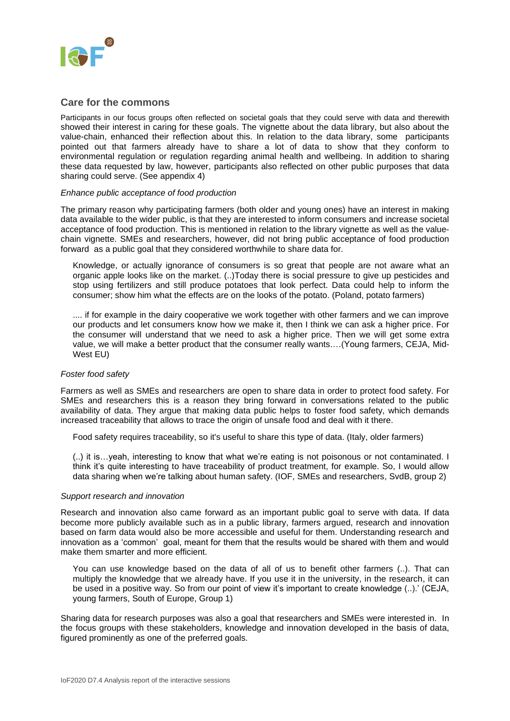

### **Care for the commons**

Participants in our focus groups often reflected on societal goals that they could serve with data and therewith showed their interest in caring for these goals. The vignette about the data library, but also about the value-chain, enhanced their reflection about this. In relation to the data library, some participants pointed out that farmers already have to share a lot of data to show that they conform to environmental regulation or regulation regarding animal health and wellbeing. In addition to sharing these data requested by law, however, participants also reflected on other public purposes that data sharing could serve. (See appendix 4)

#### *Enhance public acceptance of food production*

The primary reason why participating farmers (both older and young ones) have an interest in making data available to the wider public, is that they are interested to inform consumers and increase societal acceptance of food production. This is mentioned in relation to the library vignette as well as the valuechain vignette. SMEs and researchers, however, did not bring public acceptance of food production forward as a public goal that they considered worthwhile to share data for.

Knowledge, or actually ignorance of consumers is so great that people are not aware what an organic apple looks like on the market. (..)Today there is social pressure to give up pesticides and stop using fertilizers and still produce potatoes that look perfect. Data could help to inform the consumer; show him what the effects are on the looks of the potato. (Poland, potato farmers)

.... if for example in the dairy cooperative we work together with other farmers and we can improve our products and let consumers know how we make it, then I think we can ask a higher price. For the consumer will understand that we need to ask a higher price. Then we will get some extra value, we will make a better product that the consumer really wants.…(Young farmers, CEJA, Mid-West EU)

#### *Foster food safety*

Farmers as well as SMEs and researchers are open to share data in order to protect food safety. For SMEs and researchers this is a reason they bring forward in conversations related to the public availability of data. They argue that making data public helps to foster food safety, which demands increased traceability that allows to trace the origin of unsafe food and deal with it there.

Food safety requires traceability, so it's useful to share this type of data. (Italy, older farmers)

(..) it is…yeah, interesting to know that what we're eating is not poisonous or not contaminated. I think it's quite interesting to have traceability of product treatment, for example. So, I would allow data sharing when we're talking about human safety. (IOF, SMEs and researchers, SvdB, group 2)

#### *Support research and innovation*

Research and innovation also came forward as an important public goal to serve with data. If data become more publicly available such as in a public library, farmers argued, research and innovation based on farm data would also be more accessible and useful for them. Understanding research and innovation as a 'common' goal, meant for them that the results would be shared with them and would make them smarter and more efficient.

You can use knowledge based on the data of all of us to benefit other farmers (..). That can multiply the knowledge that we already have. If you use it in the university, in the research, it can be used in a positive way. So from our point of view it's important to create knowledge (..).' (CEJA, young farmers, South of Europe, Group 1)

Sharing data for research purposes was also a goal that researchers and SMEs were interested in. In the focus groups with these stakeholders, knowledge and innovation developed in the basis of data, figured prominently as one of the preferred goals.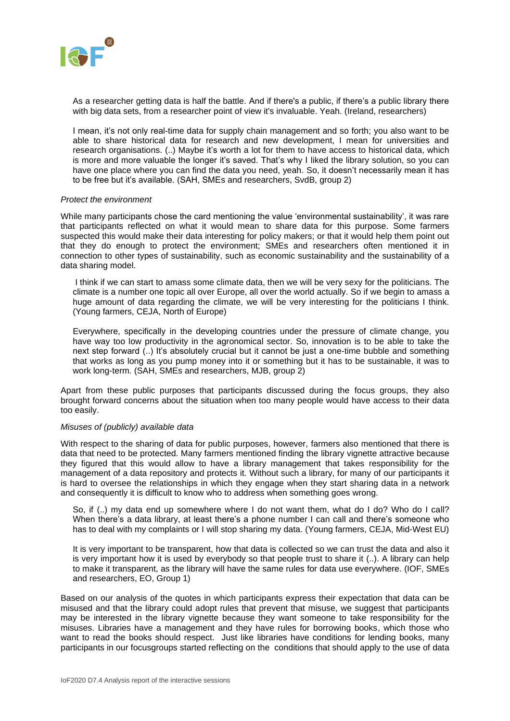

As a researcher getting data is half the battle. And if there's a public, if there's a public library there with big data sets, from a researcher point of view it's invaluable. Yeah. (Ireland, researchers)

I mean, it's not only real-time data for supply chain management and so forth; you also want to be able to share historical data for research and new development, I mean for universities and research organisations. (..) Maybe it's worth a lot for them to have access to historical data, which is more and more valuable the longer it's saved. That's why I liked the library solution, so you can have one place where you can find the data you need, yeah. So, it doesn't necessarily mean it has to be free but it's available. (SAH, SMEs and researchers, SvdB, group 2)

#### *Protect the environment*

While many participants chose the card mentioning the value 'environmental sustainability', it was rare that participants reflected on what it would mean to share data for this purpose. Some farmers suspected this would make their data interesting for policy makers; or that it would help them point out that they do enough to protect the environment; SMEs and researchers often mentioned it in connection to other types of sustainability, such as economic sustainability and the sustainability of a data sharing model.

I think if we can start to amass some climate data, then we will be very sexy for the politicians. The climate is a number one topic all over Europe, all over the world actually. So if we begin to amass a huge amount of data regarding the climate, we will be very interesting for the politicians I think. (Young farmers, CEJA, North of Europe)

Everywhere, specifically in the developing countries under the pressure of climate change, you have way too low productivity in the agronomical sector. So, innovation is to be able to take the next step forward (..) It's absolutely crucial but it cannot be just a one-time bubble and something that works as long as you pump money into it or something but it has to be sustainable, it was to work long-term. (SAH, SMEs and researchers, MJB, group 2)

Apart from these public purposes that participants discussed during the focus groups, they also brought forward concerns about the situation when too many people would have access to their data too easily.

#### *Misuses of (publicly) available data*

With respect to the sharing of data for public purposes, however, farmers also mentioned that there is data that need to be protected. Many farmers mentioned finding the library vignette attractive because they figured that this would allow to have a library management that takes responsibility for the management of a data repository and protects it. Without such a library, for many of our participants it is hard to oversee the relationships in which they engage when they start sharing data in a network and consequently it is difficult to know who to address when something goes wrong.

So, if (..) my data end up somewhere where I do not want them, what do I do? Who do I call? When there's a data library, at least there's a phone number I can call and there's someone who has to deal with my complaints or I will stop sharing my data. (Young farmers, CEJA, Mid-West EU)

It is very important to be transparent, how that data is collected so we can trust the data and also it is very important how it is used by everybody so that people trust to share it (..). A library can help to make it transparent, as the library will have the same rules for data use everywhere. (IOF, SMEs and researchers, EO, Group 1)

Based on our analysis of the quotes in which participants express their expectation that data can be misused and that the library could adopt rules that prevent that misuse, we suggest that participants may be interested in the library vignette because they want someone to take responsibility for the misuses. Libraries have a management and they have rules for borrowing books, which those who want to read the books should respect. Just like libraries have conditions for lending books, many participants in our focusgroups started reflecting on the conditions that should apply to the use of data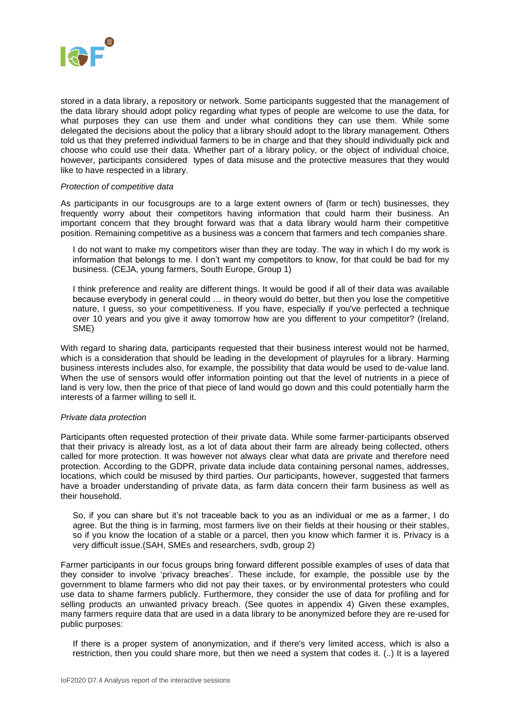

stored in a data library, a repository or network. Some participants suggested that the management of the data library should adopt policy regarding what types of people are welcome to use the data, for what purposes they can use them and under what conditions they can use them. While some delegated the decisions about the policy that a library should adopt to the library management. Others told us that they preferred individual farmers to be in charge and that they should individually pick and choose who could use their data. Whether part of a library policy, or the object of individual choice, however, participants considered types of data misuse and the protective measures that they would like to have respected in a library.

#### *Protection of competitive data*

As participants in our focusgroups are to a large extent owners of (farm or tech) businesses, they frequently worry about their competitors having information that could harm their business. An important concern that they brought forward was that a data library would harm their competitive position. Remaining competitive as a business was a concern that farmers and tech companies share.

I do not want to make my competitors wiser than they are today. The way in which I do my work is information that belongs to me. I don't want my competitors to know, for that could be bad for my business. (CEJA, young farmers, South Europe, Group 1)

I think preference and reality are different things. It would be good if all of their data was available because everybody in general could … in theory would do better, but then you lose the competitive nature, I guess, so your competitiveness. If you have, especially if you've perfected a technique over 10 years and you give it away tomorrow how are you different to your competitor? (Ireland, SME)

With regard to sharing data, participants requested that their business interest would not be harmed, which is a consideration that should be leading in the development of playrules for a library. Harming business interests includes also, for example, the possibility that data would be used to de-value land. When the use of sensors would offer information pointing out that the level of nutrients in a piece of land is very low, then the price of that piece of land would go down and this could potentially harm the interests of a farmer willing to sell it.

#### *Private data protection*

Participants often requested protection of their private data. While some farmer-participants observed that their privacy is already lost, as a lot of data about their farm are already being collected, others called for more protection. It was however not always clear what data are private and therefore need protection. According to the GDPR, private data include data containing personal names, addresses, locations, which could be misused by third parties. Our participants, however, suggested that farmers have a broader understanding of private data, as farm data concern their farm business as well as their household.

So, if you can share but it's not traceable back to you as an individual or me as a farmer, I do agree. But the thing is in farming, most farmers live on their fields at their housing or their stables, so if you know the location of a stable or a parcel, then you know which farmer it is. Privacy is a very difficult issue.(SAH, SMEs and researchers, svdb, group 2)

Farmer participants in our focus groups bring forward different possible examples of uses of data that they consider to involve 'privacy breaches'. These include, for example, the possible use by the government to blame farmers who did not pay their taxes, or by environmental protesters who could use data to shame farmers publicly. Furthermore, they consider the use of data for profiling and for selling products an unwanted privacy breach. (See quotes in appendix 4) Given these examples, many farmers require data that are used in a data library to be anonymized before they are re-used for public purposes:

If there is a proper system of anonymization, and if there's very limited access, which is also a restriction, then you could share more, but then we need a system that codes it. (..) It is a layered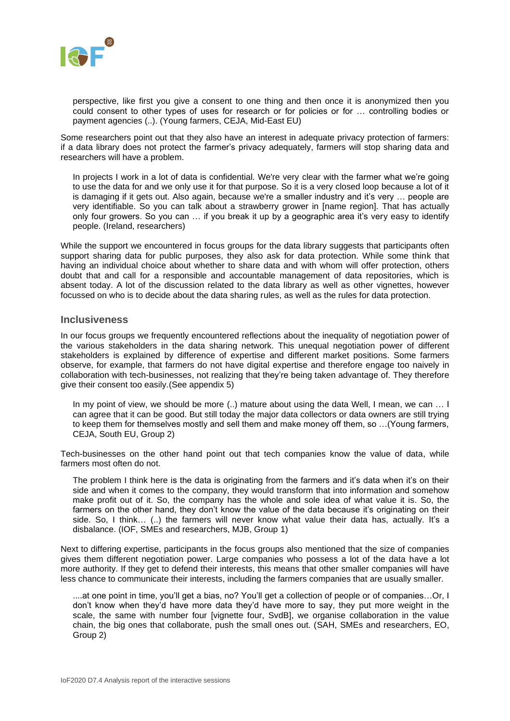

perspective, like first you give a consent to one thing and then once it is anonymized then you could consent to other types of uses for research or for policies or for … controlling bodies or payment agencies (..). (Young farmers, CEJA, Mid-East EU)

Some researchers point out that they also have an interest in adequate privacy protection of farmers: if a data library does not protect the farmer's privacy adequately, farmers will stop sharing data and researchers will have a problem.

In projects I work in a lot of data is confidential. We're very clear with the farmer what we're going to use the data for and we only use it for that purpose. So it is a very closed loop because a lot of it is damaging if it gets out. Also again, because we're a smaller industry and it's very … people are very identifiable. So you can talk about a strawberry grower in [name region]. That has actually only four growers. So you can … if you break it up by a geographic area it's very easy to identify people. (Ireland, researchers)

While the support we encountered in focus groups for the data library suggests that participants often support sharing data for public purposes, they also ask for data protection. While some think that having an individual choice about whether to share data and with whom will offer protection, others doubt that and call for a responsible and accountable management of data repositories, which is absent today. A lot of the discussion related to the data library as well as other vignettes, however focussed on who is to decide about the data sharing rules, as well as the rules for data protection.

#### **Inclusiveness**

In our focus groups we frequently encountered reflections about the inequality of negotiation power of the various stakeholders in the data sharing network. This unequal negotiation power of different stakeholders is explained by difference of expertise and different market positions. Some farmers observe, for example, that farmers do not have digital expertise and therefore engage too naively in collaboration with tech-businesses, not realizing that they're being taken advantage of. They therefore give their consent too easily.(See appendix 5)

In my point of view, we should be more (..) mature about using the data Well, I mean, we can ... I can agree that it can be good. But still today the major data collectors or data owners are still trying to keep them for themselves mostly and sell them and make money off them, so …(Young farmers, CEJA, South EU, Group 2)

Tech-businesses on the other hand point out that tech companies know the value of data, while farmers most often do not.

The problem I think here is the data is originating from the farmers and it's data when it's on their side and when it comes to the company, they would transform that into information and somehow make profit out of it. So, the company has the whole and sole idea of what value it is. So, the farmers on the other hand, they don't know the value of the data because it's originating on their side. So, I think… (..) the farmers will never know what value their data has, actually. It's a disbalance. (IOF, SMEs and researchers, MJB, Group 1)

Next to differing expertise, participants in the focus groups also mentioned that the size of companies gives them different negotiation power. Large companies who possess a lot of the data have a lot more authority. If they get to defend their interests, this means that other smaller companies will have less chance to communicate their interests, including the farmers companies that are usually smaller.

....at one point in time, you'll get a bias, no? You'll get a collection of people or of companies…Or, I don't know when they'd have more data they'd have more to say, they put more weight in the scale, the same with number four [vignette four, SvdB], we organise collaboration in the value chain, the big ones that collaborate, push the small ones out. (SAH, SMEs and researchers, EO, Group 2)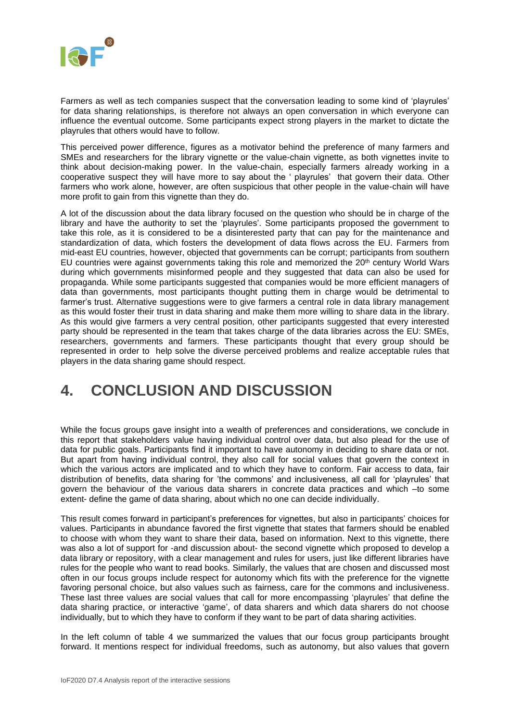

Farmers as well as tech companies suspect that the conversation leading to some kind of 'playrules' for data sharing relationships, is therefore not always an open conversation in which everyone can influence the eventual outcome. Some participants expect strong players in the market to dictate the playrules that others would have to follow.

This perceived power difference, figures as a motivator behind the preference of many farmers and SMEs and researchers for the library vignette or the value-chain vignette, as both vignettes invite to think about decision-making power. In the value-chain, especially farmers already working in a cooperative suspect they will have more to say about the ' playrules' that govern their data. Other farmers who work alone, however, are often suspicious that other people in the value-chain will have more profit to gain from this vignette than they do.

A lot of the discussion about the data library focused on the question who should be in charge of the library and have the authority to set the 'playrules'. Some participants proposed the government to take this role, as it is considered to be a disinterested party that can pay for the maintenance and standardization of data, which fosters the development of data flows across the EU. Farmers from mid-east EU countries, however, objected that governments can be corrupt; participants from southern EU countries were against governments taking this role and memorized the 20th century World Wars during which governments misinformed people and they suggested that data can also be used for propaganda. While some participants suggested that companies would be more efficient managers of data than governments, most participants thought putting them in charge would be detrimental to farmer's trust. Alternative suggestions were to give farmers a central role in data library management as this would foster their trust in data sharing and make them more willing to share data in the library. As this would give farmers a very central position, other participants suggested that every interested party should be represented in the team that takes charge of the data libraries across the EU: SMEs, researchers, governments and farmers. These participants thought that every group should be represented in order to help solve the diverse perceived problems and realize acceptable rules that players in the data sharing game should respect.

## **4. CONCLUSION AND DISCUSSION**

While the focus groups gave insight into a wealth of preferences and considerations, we conclude in this report that stakeholders value having individual control over data, but also plead for the use of data for public goals. Participants find it important to have autonomy in deciding to share data or not. But apart from having individual control, they also call for social values that govern the context in which the various actors are implicated and to which they have to conform. Fair access to data, fair distribution of benefits, data sharing for 'the commons' and inclusiveness, all call for 'playrules' that govern the behaviour of the various data sharers in concrete data practices and which –to some extent- define the game of data sharing, about which no one can decide individually.

This result comes forward in participant's preferences for vignettes, but also in participants' choices for values. Participants in abundance favored the first vignette that states that farmers should be enabled to choose with whom they want to share their data, based on information. Next to this vignette, there was also a lot of support for -and discussion about- the second vignette which proposed to develop a data library or repository, with a clear management and rules for users, just like different libraries have rules for the people who want to read books. Similarly, the values that are chosen and discussed most often in our focus groups include respect for autonomy which fits with the preference for the vignette favoring personal choice, but also values such as fairness, care for the commons and inclusiveness. These last three values are social values that call for more encompassing 'playrules' that define the data sharing practice, or interactive 'game', of data sharers and which data sharers do not choose individually, but to which they have to conform if they want to be part of data sharing activities.

In the left column of table 4 we summarized the values that our focus group participants brought forward. It mentions respect for individual freedoms, such as autonomy, but also values that govern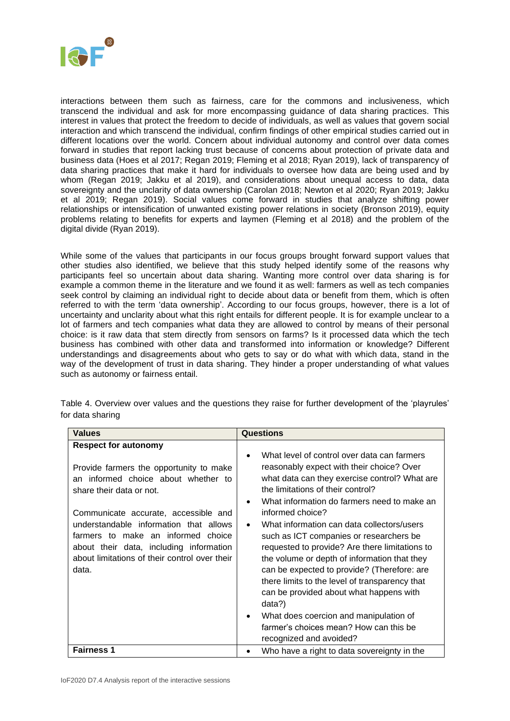

interactions between them such as fairness, care for the commons and inclusiveness, which transcend the individual and ask for more encompassing guidance of data sharing practices. This interest in values that protect the freedom to decide of individuals, as well as values that govern social interaction and which transcend the individual, confirm findings of other empirical studies carried out in different locations over the world. Concern about individual autonomy and control over data comes forward in studies that report lacking trust because of concerns about protection of private data and business data (Hoes et al 2017; Regan 2019; Fleming et al 2018; Ryan 2019), lack of transparency of data sharing practices that make it hard for individuals to oversee how data are being used and by whom (Regan 2019; Jakku et al 2019), and considerations about unequal access to data, data sovereignty and the unclarity of data ownership (Carolan 2018; Newton et al 2020; Ryan 2019; Jakku et al 2019; Regan 2019). Social values come forward in studies that analyze shifting power relationships or intensification of unwanted existing power relations in society (Bronson 2019), equity problems relating to benefits for experts and laymen (Fleming et al 2018) and the problem of the digital divide (Ryan 2019).

While some of the values that participants in our focus groups brought forward support values that other studies also identified, we believe that this study helped identify some of the reasons why participants feel so uncertain about data sharing. Wanting more control over data sharing is for example a common theme in the literature and we found it as well: farmers as well as tech companies seek control by claiming an individual right to decide about data or benefit from them, which is often referred to with the term 'data ownership'. According to our focus groups, however, there is a lot of uncertainty and unclarity about what this right entails for different people. It is for example unclear to a lot of farmers and tech companies what data they are allowed to control by means of their personal choice: is it raw data that stem directly from sensors on farms? Is it processed data which the tech business has combined with other data and transformed into information or knowledge? Different understandings and disagreements about who gets to say or do what with which data, stand in the way of the development of trust in data sharing. They hinder a proper understanding of what values such as autonomy or fairness entail.

Table 4. Overview over values and the questions they raise for further development of the 'playrules' for data sharing

| <b>Values</b>                                                                                                                                                                                                                                                                                                                                                          | <b>Questions</b>                                                                                                                                                                                                                                                                                                                                                                                                                                                                                                                                                                                                                                                                                                                                         |
|------------------------------------------------------------------------------------------------------------------------------------------------------------------------------------------------------------------------------------------------------------------------------------------------------------------------------------------------------------------------|----------------------------------------------------------------------------------------------------------------------------------------------------------------------------------------------------------------------------------------------------------------------------------------------------------------------------------------------------------------------------------------------------------------------------------------------------------------------------------------------------------------------------------------------------------------------------------------------------------------------------------------------------------------------------------------------------------------------------------------------------------|
| <b>Respect for autonomy</b><br>Provide farmers the opportunity to make<br>an informed choice about whether to<br>share their data or not.<br>Communicate accurate, accessible and<br>understandable information that allows<br>farmers to make an informed choice<br>about their data, including information<br>about limitations of their control over their<br>data. | What level of control over data can farmers<br>$\bullet$<br>reasonably expect with their choice? Over<br>what data can they exercise control? What are<br>the limitations of their control?<br>What information do farmers need to make an<br>$\bullet$<br>informed choice?<br>What information can data collectors/users<br>$\bullet$<br>such as ICT companies or researchers be<br>requested to provide? Are there limitations to<br>the volume or depth of information that they<br>can be expected to provide? (Therefore: are<br>there limits to the level of transparency that<br>can be provided about what happens with<br>data?)<br>What does coercion and manipulation of<br>farmer's choices mean? How can this be<br>recognized and avoided? |
| <b>Fairness 1</b>                                                                                                                                                                                                                                                                                                                                                      | Who have a right to data sovereignty in the                                                                                                                                                                                                                                                                                                                                                                                                                                                                                                                                                                                                                                                                                                              |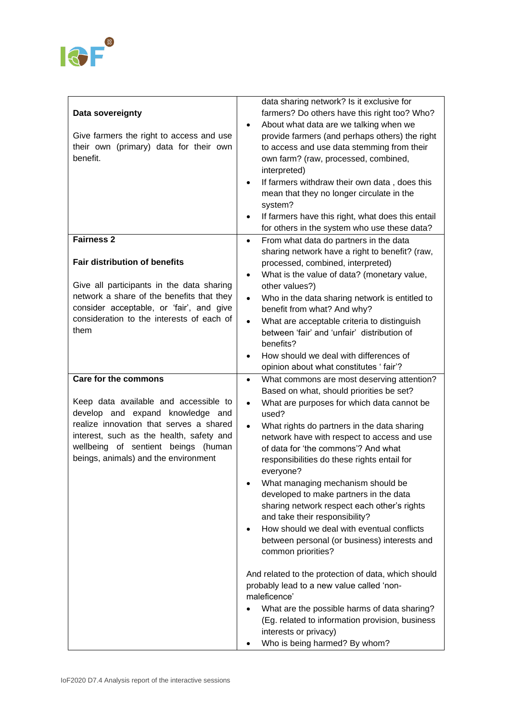

| Data sovereignty                                                          | data sharing network? Is it exclusive for<br>farmers? Do others have this right too? Who? |
|---------------------------------------------------------------------------|-------------------------------------------------------------------------------------------|
|                                                                           | About what data are we talking when we                                                    |
| Give farmers the right to access and use                                  | provide farmers (and perhaps others) the right                                            |
| their own (primary) data for their own                                    | to access and use data stemming from their                                                |
| benefit.                                                                  |                                                                                           |
|                                                                           | own farm? (raw, processed, combined,                                                      |
|                                                                           | interpreted)                                                                              |
|                                                                           | If farmers withdraw their own data, does this                                             |
|                                                                           | mean that they no longer circulate in the                                                 |
|                                                                           | system?                                                                                   |
|                                                                           | If farmers have this right, what does this entail                                         |
|                                                                           | for others in the system who use these data?                                              |
| <b>Fairness 2</b>                                                         | From what data do partners in the data<br>$\bullet$                                       |
|                                                                           | sharing network have a right to benefit? (raw,                                            |
| <b>Fair distribution of benefits</b>                                      | processed, combined, interpreted)                                                         |
|                                                                           | What is the value of data? (monetary value,<br>$\bullet$                                  |
| Give all participants in the data sharing                                 | other values?)                                                                            |
| network a share of the benefits that they                                 | Who in the data sharing network is entitled to<br>$\bullet$                               |
| consider acceptable, or 'fair', and give                                  | benefit from what? And why?                                                               |
| consideration to the interests of each of                                 | What are acceptable criteria to distinguish<br>$\bullet$                                  |
| them                                                                      | between 'fair' and 'unfair' distribution of                                               |
|                                                                           | benefits?                                                                                 |
|                                                                           | How should we deal with differences of                                                    |
|                                                                           | opinion about what constitutes 'fair'?                                                    |
|                                                                           |                                                                                           |
| <b>Care for the commons</b>                                               | $\bullet$                                                                                 |
|                                                                           | What commons are most deserving attention?                                                |
|                                                                           | Based on what, should priorities be set?<br>$\bullet$                                     |
| Keep data available and accessible to<br>develop and expand knowledge and | What are purposes for which data cannot be<br>used?                                       |
| realize innovation that serves a shared                                   | $\bullet$                                                                                 |
| interest, such as the health, safety and                                  | What rights do partners in the data sharing                                               |
| wellbeing of sentient beings (human                                       | network have with respect to access and use                                               |
|                                                                           | of data for 'the commons'? And what                                                       |
| beings, animals) and the environment                                      | responsibilities do these rights entail for                                               |
|                                                                           | everyone?                                                                                 |
|                                                                           | What managing mechanism should be                                                         |
|                                                                           | developed to make partners in the data                                                    |
|                                                                           | sharing network respect each other's rights                                               |
|                                                                           | and take their responsibility?                                                            |
|                                                                           | How should we deal with eventual conflicts                                                |
|                                                                           | between personal (or business) interests and                                              |
|                                                                           | common priorities?                                                                        |
|                                                                           |                                                                                           |
|                                                                           | And related to the protection of data, which should                                       |
|                                                                           | probably lead to a new value called 'non-                                                 |
|                                                                           | maleficence'                                                                              |
|                                                                           | What are the possible harms of data sharing?                                              |
|                                                                           | (Eg. related to information provision, business                                           |
|                                                                           | interests or privacy)<br>Who is being harmed? By whom?                                    |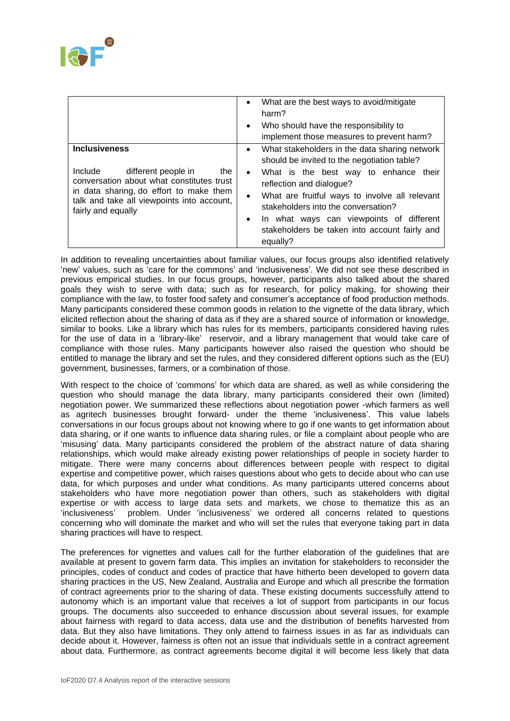

|                                                                                                                                                                                                                           | What are the best ways to avoid/mitigate<br>$\bullet$<br>harm?<br>Who should have the responsibility to<br>$\bullet$<br>implement those measures to prevent harm?                                                                                                                                                                                                                                               |
|---------------------------------------------------------------------------------------------------------------------------------------------------------------------------------------------------------------------------|-----------------------------------------------------------------------------------------------------------------------------------------------------------------------------------------------------------------------------------------------------------------------------------------------------------------------------------------------------------------------------------------------------------------|
| <b>Inclusiveness</b><br>Include<br>different people in<br>the<br>conversation about what constitutes trust<br>in data sharing, do effort to make them<br>talk and take all viewpoints into account,<br>fairly and equally | What stakeholders in the data sharing network<br>$\bullet$<br>should be invited to the negotiation table?<br>What is the best way to enhance their<br>$\bullet$<br>reflection and dialogue?<br>What are fruitful ways to involve all relevant<br>$\bullet$<br>stakeholders into the conversation?<br>In what ways can viewpoints of different<br>٠<br>stakeholders be taken into account fairly and<br>equally? |

In addition to revealing uncertainties about familiar values, our focus groups also identified relatively 'new' values, such as 'care for the commons' and 'inclusiveness'. We did not see these described in previous empirical studies. In our focus groups, however, participants also talked about the shared goals they wish to serve with data; such as for research, for policy making, for showing their compliance with the law, to foster food safety and consumer's acceptance of food production methods. Many participants considered these common goods in relation to the vignette of the data library, which elicited reflection about the sharing of data as if they are a shared source of information or knowledge, similar to books. Like a library which has rules for its members, participants considered having rules for the use of data in a 'library-like' reservoir, and a library management that would take care of compliance with those rules. Many participants however also raised the question who should be entitled to manage the library and set the rules, and they considered different options such as the (EU) government, businesses, farmers, or a combination of those.

With respect to the choice of 'commons' for which data are shared, as well as while considering the question who should manage the data library, many participants considered their own (limited) negotiation power. We summarized these reflections about negotiation power -which farmers as well as agritech businesses brought forward- under the theme 'inclusiveness'. This value labels conversations in our focus groups about not knowing where to go if one wants to get information about data sharing, or if one wants to influence data sharing rules, or file a complaint about people who are 'misusing' data. Many participants considered the problem of the abstract nature of data sharing relationships, which would make already existing power relationships of people in society harder to mitigate. There were many concerns about differences between people with respect to digital expertise and competitive power, which raises questions about who gets to decide about who can use data, for which purposes and under what conditions. As many participants uttered concerns about stakeholders who have more negotiation power than others, such as stakeholders with digital expertise or with access to large data sets and markets, we chose to thematize this as an<br>'inclusiveness' problem. Under 'inclusiveness' we ordered all concerns related to questions problem. Under 'inclusiveness' we ordered all concerns related to questions concerning who will dominate the market and who will set the rules that everyone taking part in data sharing practices will have to respect.

The preferences for vignettes and values call for the further elaboration of the guidelines that are available at present to govern farm data. This implies an invitation for stakeholders to reconsider the principles, codes of conduct and codes of practice that have hitherto been developed to govern data sharing practices in the US, New Zealand, Australia and Europe and which all prescribe the formation of contract agreements prior to the sharing of data. These existing documents successfully attend to autonomy which is an important value that receives a lot of support from participants in our focus groups. The documents also succeeded to enhance discussion about several issues, for example about fairness with regard to data access, data use and the distribution of benefits harvested from data. But they also have limitations. They only attend to fairness issues in as far as individuals can decide about it. However, fairness is often not an issue that individuals settle in a contract agreement about data. Furthermore, as contract agreements become digital it will become less likely that data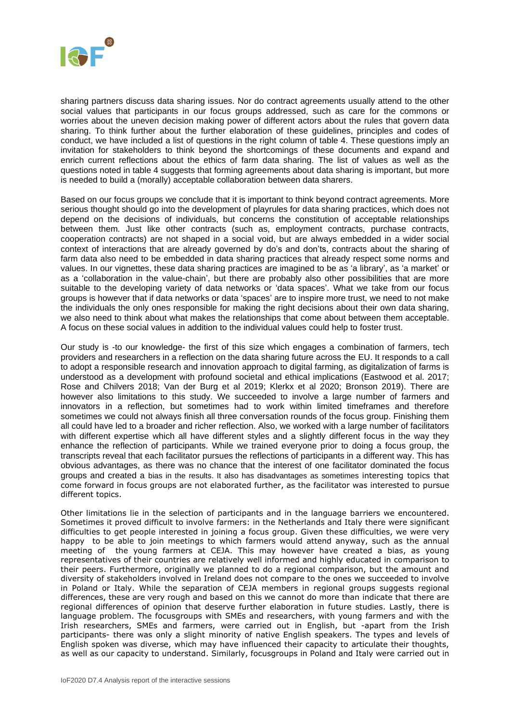

sharing partners discuss data sharing issues. Nor do contract agreements usually attend to the other social values that participants in our focus groups addressed, such as care for the commons or worries about the uneven decision making power of different actors about the rules that govern data sharing. To think further about the further elaboration of these guidelines, principles and codes of conduct, we have included a list of questions in the right column of table 4. These questions imply an invitation for stakeholders to think beyond the shortcomings of these documents and expand and enrich current reflections about the ethics of farm data sharing. The list of values as well as the questions noted in table 4 suggests that forming agreements about data sharing is important, but more is needed to build a (morally) acceptable collaboration between data sharers.

Based on our focus groups we conclude that it is important to think beyond contract agreements. More serious thought should go into the development of playrules for data sharing practices, which does not depend on the decisions of individuals, but concerns the constitution of acceptable relationships between them. Just like other contracts (such as, employment contracts, purchase contracts, cooperation contracts) are not shaped in a social void, but are always embedded in a wider social context of interactions that are already governed by do's and don'ts, contracts about the sharing of farm data also need to be embedded in data sharing practices that already respect some norms and values. In our vignettes, these data sharing practices are imagined to be as 'a library', as 'a market' or as a 'collaboration in the value-chain', but there are probably also other possibilities that are more suitable to the developing variety of data networks or 'data spaces'. What we take from our focus groups is however that if data networks or data 'spaces' are to inspire more trust, we need to not make the individuals the only ones responsible for making the right decisions about their own data sharing, we also need to think about what makes the relationships that come about between them acceptable. A focus on these social values in addition to the individual values could help to foster trust.

Our study is -to our knowledge- the first of this size which engages a combination of farmers, tech providers and researchers in a reflection on the data sharing future across the EU. It responds to a call to adopt a responsible research and innovation approach to digital farming, as digitalization of farms is understood as a development with profound societal and ethical implications (Eastwood et al. 2017; Rose and Chilvers 2018; Van der Burg et al 2019; Klerkx et al 2020; Bronson 2019). There are however also limitations to this study. We succeeded to involve a large number of farmers and innovators in a reflection, but sometimes had to work within limited timeframes and therefore sometimes we could not always finish all three conversation rounds of the focus group. Finishing them all could have led to a broader and richer reflection. Also, we worked with a large number of facilitators with different expertise which all have different styles and a slightly different focus in the way they enhance the reflection of participants. While we trained everyone prior to doing a focus group, the transcripts reveal that each facilitator pursues the reflections of participants in a different way. This has obvious advantages, as there was no chance that the interest of one facilitator dominated the focus groups and created a bias in the results. It also has disadvantages as sometimes interesting topics that come forward in focus groups are not elaborated further, as the facilitator was interested to pursue different topics.

Other limitations lie in the selection of participants and in the language barriers we encountered. Sometimes it proved difficult to involve farmers: in the Netherlands and Italy there were significant difficulties to get people interested in joining a focus group. Given these difficulties, we were very happy to be able to join meetings to which farmers would attend anyway, such as the annual meeting of the young farmers at CEJA. This may however have created a bias, as young representatives of their countries are relatively well informed and highly educated in comparison to their peers. Furthermore, originally we planned to do a regional comparison, but the amount and diversity of stakeholders involved in Ireland does not compare to the ones we succeeded to involve in Poland or Italy. While the separation of CEJA members in regional groups suggests regional differences, these are very rough and based on this we cannot do more than indicate that there are regional differences of opinion that deserve further elaboration in future studies. Lastly, there is language problem. The focusgroups with SMEs and researchers, with young farmers and with the Irish researchers, SMEs and farmers, were carried out in English, but -apart from the Irish participants- there was only a slight minority of native English speakers. The types and levels of English spoken was diverse, which may have influenced their capacity to articulate their thoughts, as well as our capacity to understand. Similarly, focusgroups in Poland and Italy were carried out in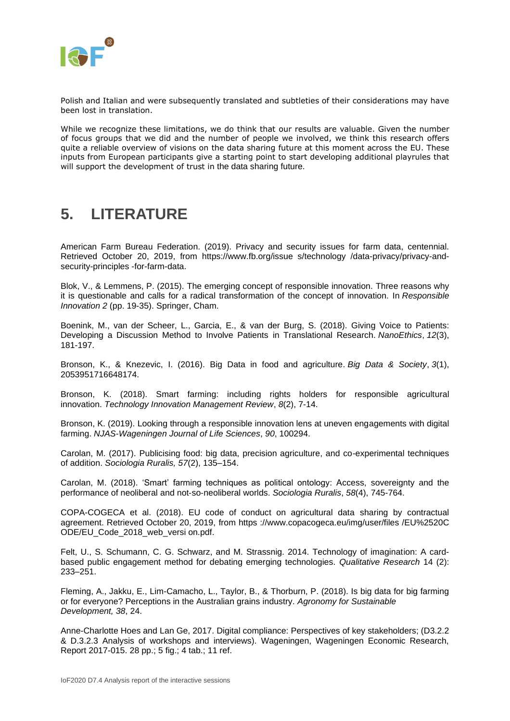

Polish and Italian and were subsequently translated and subtleties of their considerations may have been lost in translation.

While we recognize these limitations, we do think that our results are valuable. Given the number of focus groups that we did and the number of people we involved, we think this research offers quite a reliable overview of visions on the data sharing future at this moment across the EU. These inputs from European participants give a starting point to start developing additional playrules that will support the development of trust in the data sharing future.

## **5. LITERATURE**

American Farm Bureau Federation. (2019). Privacy and security issues for farm data, centennial. Retrieved October 20, 2019, from https://www.fb.org/issue s/technology /data-privacy/privacy-andsecurity-principles -for-farm-data.

Blok, V., & Lemmens, P. (2015). The emerging concept of responsible innovation. Three reasons why it is questionable and calls for a radical transformation of the concept of innovation. In *Responsible Innovation 2* (pp. 19-35). Springer, Cham.

Boenink, M., van der Scheer, L., Garcia, E., & van der Burg, S. (2018). Giving Voice to Patients: Developing a Discussion Method to Involve Patients in Translational Research. *NanoEthics*, *12*(3), 181-197.

Bronson, K., & Knezevic, I. (2016). Big Data in food and agriculture. *Big Data & Society*, *3*(1), 2053951716648174.

Bronson, K. (2018). Smart farming: including rights holders for responsible agricultural innovation. *Technology Innovation Management Review*, *8*(2), 7-14.

Bronson, K. (2019). Looking through a responsible innovation lens at uneven engagements with digital farming. *NJAS-Wageningen Journal of Life Sciences*, *90*, 100294.

Carolan, M. (2017). Publicising food: big data, precision agriculture, and co-experimental techniques of addition. *Sociologia Ruralis, 57*(2), 135–154.

Carolan, M. (2018). 'Smart' farming techniques as political ontology: Access, sovereignty and the performance of neoliberal and not‐so‐neoliberal worlds. *Sociologia Ruralis*, *58*(4), 745-764.

COPA-COGECA et al. (2018). EU code of conduct on agricultural data sharing by contractual agreement. Retrieved October 20, 2019, from https ://www.copacogeca.eu/img/user/files /EU%2520C ODE/EU\_Code\_2018\_web\_versi on.pdf.

Felt, U., S. Schumann, C. G. Schwarz, and M. Strassnig. 2014. Technology of imagination: A cardbased public engagement method for debating emerging technologies. *Qualitative Research* 14 (2): 233–251.

Fleming, A., Jakku, E., Lim-Camacho, L., Taylor, B., & Thorburn, P. (2018). Is big data for big farming or for everyone? Perceptions in the Australian grains industry. *Agronomy for Sustainable Development, 38*, 24.

Anne-Charlotte Hoes and Lan Ge, 2017. Digital compliance: Perspectives of key stakeholders; (D3.2.2 & D.3.2.3 Analysis of workshops and interviews). Wageningen, Wageningen Economic Research, Report 2017-015. 28 pp.; 5 fig.; 4 tab.; 11 ref.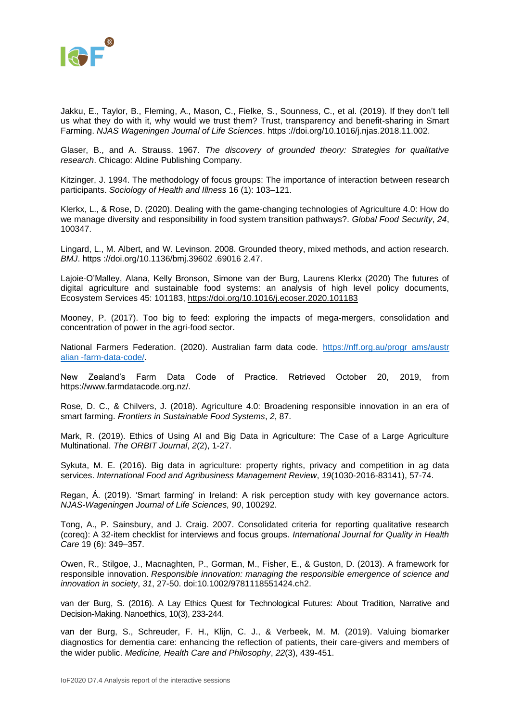

Jakku, E., Taylor, B., Fleming, A., Mason, C., Fielke, S., Sounness, C., et al. (2019). If they don't tell us what they do with it, why would we trust them? Trust, transparency and benefit-sharing in Smart Farming. *NJAS Wageningen Journal of Life Sciences*. https ://doi.org/10.1016/j.njas.2018.11.002.

Glaser, B., and A. Strauss. 1967. *The discovery of grounded theory: Strategies for qualitative research*. Chicago: Aldine Publishing Company.

Kitzinger, J. 1994. The methodology of focus groups: The importance of interaction between research participants. *Sociology of Health and Illness* 16 (1): 103–121.

Klerkx, L., & Rose, D. (2020). Dealing with the game-changing technologies of Agriculture 4.0: How do we manage diversity and responsibility in food system transition pathways?. *Global Food Security*, *24*, 100347.

Lingard, L., M. Albert, and W. Levinson. 2008. Grounded theory, mixed methods, and action research. *BMJ*. https ://doi.org/10.1136/bmj.39602 .69016 2.47.

Lajoie-O'Malley, Alana, Kelly Bronson, Simone van der Burg, Laurens Klerkx (2020) The futures of digital agriculture and sustainable food systems: an analysis of high level policy documents, Ecosystem Services 45: 101183,<https://doi.org/10.1016/j.ecoser.2020.101183>

Mooney, P. (2017). Too big to feed: exploring the impacts of mega-mergers, consolidation and concentration of power in the agri-food sector.

National Farmers Federation. (2020). Australian farm data code. https://nff.org.au/progr ams/austr [alian -farm-data-code/.](https://nff.org.au/progr%20ams/austr%20alian%20-farm-data-code/)

New Zealand's Farm Data Code of Practice. Retrieved October 20, 2019, from https://www.farmdatacode.org.nz/.

Rose, D. C., & Chilvers, J. (2018). Agriculture 4.0: Broadening responsible innovation in an era of smart farming. *Frontiers in Sustainable Food Systems*, *2*, 87.

Mark, R. (2019). Ethics of Using AI and Big Data in Agriculture: The Case of a Large Agriculture Multinational. *The ORBIT Journal*, *2*(2), 1-27.

Sykuta, M. E. (2016). Big data in agriculture: property rights, privacy and competition in ag data services. *International Food and Agribusiness Management Review*, *19*(1030-2016-83141), 57-74.

Regan, Á. (2019). 'Smart farming' in Ireland: A risk perception study with key governance actors. *NJAS-Wageningen Journal of Life Sciences, 90*, 100292.

Tong, A., P. Sainsbury, and J. Craig. 2007. Consolidated criteria for reporting qualitative research (coreq): A 32-item checklist for interviews and focus groups. *International Journal for Quality in Health Care* 19 (6): 349–357.

Owen, R., Stilgoe, J., Macnaghten, P., Gorman, M., Fisher, E., & Guston, D. (2013). A framework for responsible innovation. *Responsible innovation: managing the responsible emergence of science and innovation in society*, *31*, 27-50. doi:10.1002/9781118551424.ch2.

van der Burg, S. (2016). A Lay Ethics Quest for Technological Futures: About Tradition, Narrative and Decision-Making. Nanoethics, 10(3), 233-244.

van der Burg, S., Schreuder, F. H., Klijn, C. J., & Verbeek, M. M. (2019). Valuing biomarker diagnostics for dementia care: enhancing the reflection of patients, their care-givers and members of the wider public. *Medicine, Health Care and Philosophy*, *22*(3), 439-451.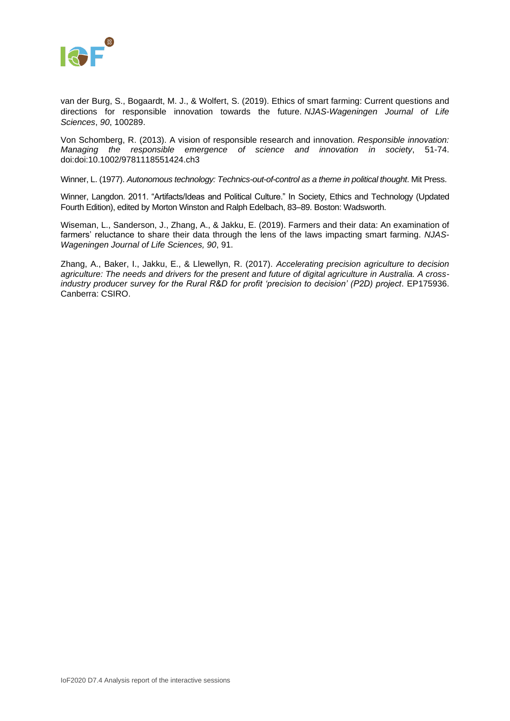

van der Burg, S., Bogaardt, M. J., & Wolfert, S. (2019). Ethics of smart farming: Current questions and directions for responsible innovation towards the future. *NJAS-Wageningen Journal of Life Sciences*, *90*, 100289.

Von Schomberg, R. (2013). A vision of responsible research and innovation. *Responsible innovation: Managing the responsible emergence of science and innovation in society*, 51-74. doi:doi:10.1002/9781118551424.ch3

Winner, L. (1977). *Autonomous technology: Technics-out-of-control as a theme in political thought*. Mit Press.

Winner, Langdon. 2011. "Artifacts/Ideas and Political Culture." In Society, Ethics and Technology (Updated Fourth Edition), edited by Morton Winston and Ralph Edelbach, 83–89. Boston: Wadsworth.

Wiseman, L., Sanderson, J., Zhang, A., & Jakku, E. (2019). Farmers and their data: An examination of farmers' reluctance to share their data through the lens of the laws impacting smart farming. *NJAS-Wageningen Journal of Life Sciences, 90*, 91.

Zhang, A., Baker, I., Jakku, E., & Llewellyn, R. (2017). *Accelerating precision agriculture to decision agriculture: The needs and drivers for the present and future of digital agriculture in Australia. A crossindustry producer survey for the Rural R&D for profit 'precision to decision' (P2D) project*. EP175936. Canberra: CSIRO.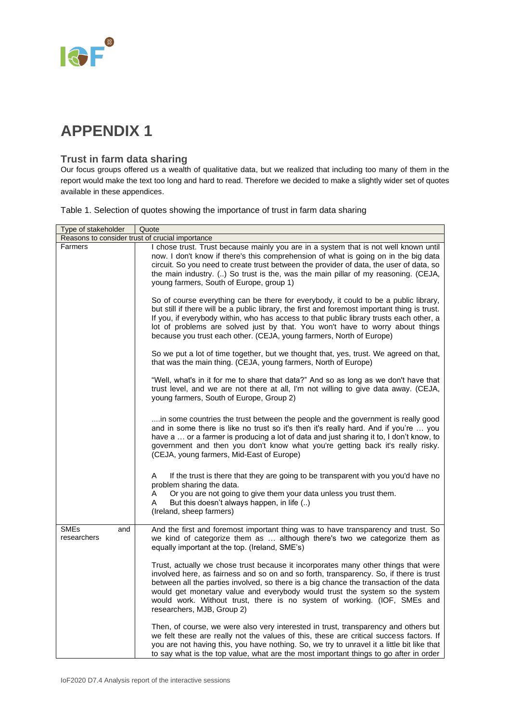# **REP**

# **APPENDIX 1**

## **Trust in farm data sharing**

Our focus groups offered us a wealth of qualitative data, but we realized that including too many of them in the report would make the text too long and hard to read. Therefore we decided to make a slightly wider set of quotes available in these appendices.

Table 1. Selection of quotes showing the importance of trust in farm data sharing

| Type of stakeholder                             | Quote                                                                                                                                                                                                                                                                                                                                                                                                                                                           |
|-------------------------------------------------|-----------------------------------------------------------------------------------------------------------------------------------------------------------------------------------------------------------------------------------------------------------------------------------------------------------------------------------------------------------------------------------------------------------------------------------------------------------------|
| Reasons to consider trust of crucial importance |                                                                                                                                                                                                                                                                                                                                                                                                                                                                 |
| Farmers                                         | I chose trust. Trust because mainly you are in a system that is not well known until<br>now. I don't know if there's this comprehension of what is going on in the big data<br>circuit. So you need to create trust between the provider of data, the user of data, so<br>the main industry. () So trust is the, was the main pillar of my reasoning. (CEJA,<br>young farmers, South of Europe, group 1)                                                        |
|                                                 | So of course everything can be there for everybody, it could to be a public library,<br>but still if there will be a public library, the first and foremost important thing is trust.<br>If you, if everybody within, who has access to that public library trusts each other, a<br>lot of problems are solved just by that. You won't have to worry about things<br>because you trust each other. (CEJA, young farmers, North of Europe)                       |
|                                                 | So we put a lot of time together, but we thought that, yes, trust. We agreed on that,<br>that was the main thing. (CEJA, young farmers, North of Europe)                                                                                                                                                                                                                                                                                                        |
|                                                 | "Well, what's in it for me to share that data?" And so as long as we don't have that<br>trust level, and we are not there at all, I'm not willing to give data away. (CEJA,<br>young farmers, South of Europe, Group 2)                                                                                                                                                                                                                                         |
|                                                 | in some countries the trust between the people and the government is really good<br>and in some there is like no trust so it's then it's really hard. And if you're  you<br>have a  or a farmer is producing a lot of data and just sharing it to, I don't know, to<br>government and then you don't know what you're getting back it's really risky.<br>(CEJA, young farmers, Mid-East of Europe)                                                              |
|                                                 | If the trust is there that they are going to be transparent with you you'd have no<br>A<br>problem sharing the data.<br>Or you are not going to give them your data unless you trust them.<br>A<br>But this doesn't always happen, in life ()<br>А<br>(Ireland, sheep farmers)                                                                                                                                                                                  |
| <b>SMEs</b><br>and<br>researchers               | And the first and foremost important thing was to have transparency and trust. So<br>we kind of categorize them as  although there's two we categorize them as<br>equally important at the top. (Ireland, SME's)                                                                                                                                                                                                                                                |
|                                                 | Trust, actually we chose trust because it incorporates many other things that were<br>involved here, as fairness and so on and so forth, transparency. So, if there is trust<br>between all the parties involved, so there is a big chance the transaction of the data<br>would get monetary value and everybody would trust the system so the system<br>would work. Without trust, there is no system of working. (IOF, SMEs and<br>researchers, MJB, Group 2) |
|                                                 | Then, of course, we were also very interested in trust, transparency and others but<br>we felt these are really not the values of this, these are critical success factors. If<br>you are not having this, you have nothing. So, we try to unravel it a little bit like that<br>to say what is the top value, what are the most important things to go after in order                                                                                           |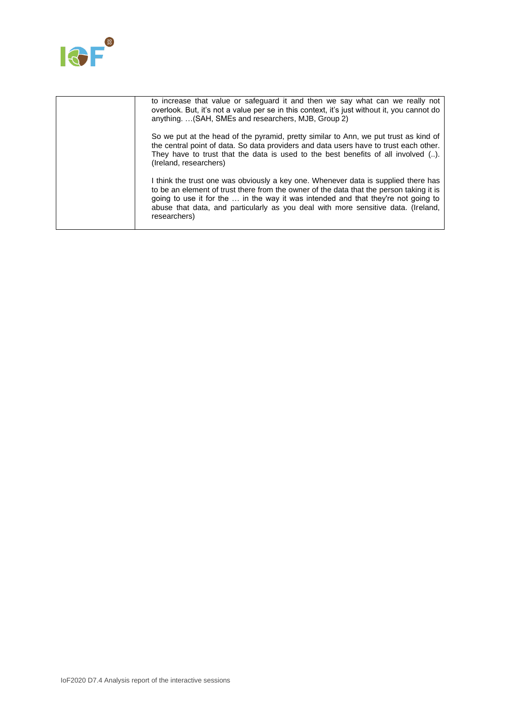

| to increase that value or safeguard it and then we say what can we really not<br>overlook. But, it's not a value per se in this context, it's just without it, you cannot do<br>anything.  (SAH, SMEs and researchers, MJB, Group 2)                                                                                                                                    |
|-------------------------------------------------------------------------------------------------------------------------------------------------------------------------------------------------------------------------------------------------------------------------------------------------------------------------------------------------------------------------|
| So we put at the head of the pyramid, pretty similar to Ann, we put trust as kind of<br>the central point of data. So data providers and data users have to trust each other.<br>They have to trust that the data is used to the best benefits of all involved ().<br>(Ireland, researchers)                                                                            |
| I think the trust one was obviously a key one. Whenever data is supplied there has<br>to be an element of trust there from the owner of the data that the person taking it is<br>going to use it for the  in the way it was intended and that they're not going to<br>abuse that data, and particularly as you deal with more sensitive data. (Ireland,<br>researchers) |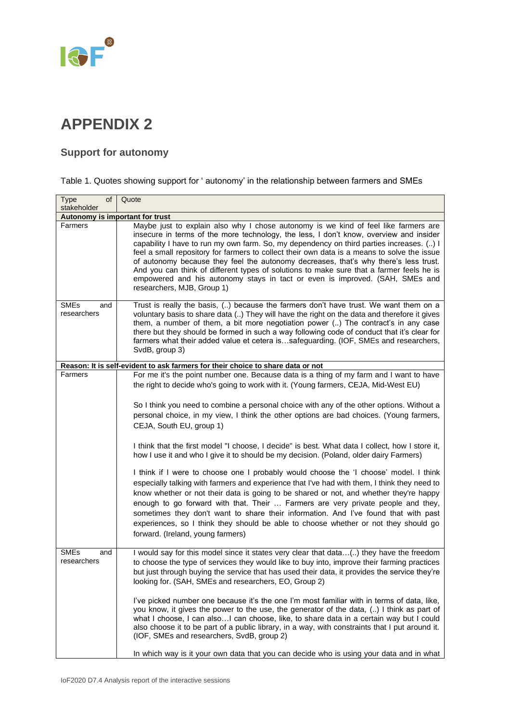

# **APPENDIX 2**

## **Support for autonomy**

Table 1. Quotes showing support for ' autonomy' in the relationship between farmers and SMEs

| <b>Type</b><br>of<br>stakeholder  | Quote                                                                                                                                                                                                                                                                                                                                                                                                                                                                                                                                                                                                                                                                                                                                                                                                                                                                                                                                                                                                                                                                                                                                                                                     |
|-----------------------------------|-------------------------------------------------------------------------------------------------------------------------------------------------------------------------------------------------------------------------------------------------------------------------------------------------------------------------------------------------------------------------------------------------------------------------------------------------------------------------------------------------------------------------------------------------------------------------------------------------------------------------------------------------------------------------------------------------------------------------------------------------------------------------------------------------------------------------------------------------------------------------------------------------------------------------------------------------------------------------------------------------------------------------------------------------------------------------------------------------------------------------------------------------------------------------------------------|
| Autonomy is important for trust   |                                                                                                                                                                                                                                                                                                                                                                                                                                                                                                                                                                                                                                                                                                                                                                                                                                                                                                                                                                                                                                                                                                                                                                                           |
| Farmers                           | Maybe just to explain also why I chose autonomy is we kind of feel like farmers are<br>insecure in terms of the more technology, the less, I don't know, overview and insider<br>capability I have to run my own farm. So, my dependency on third parties increases. () I<br>feel a small repository for farmers to collect their own data is a means to solve the issue<br>of autonomy because they feel the autonomy decreases, that's why there's less trust.<br>And you can think of different types of solutions to make sure that a farmer feels he is<br>empowered and his autonomy stays in tact or even is improved. (SAH, SMEs and<br>researchers, MJB, Group 1)                                                                                                                                                                                                                                                                                                                                                                                                                                                                                                                |
| <b>SMEs</b><br>and<br>researchers | Trust is really the basis, () because the farmers don't have trust. We want them on a<br>voluntary basis to share data () They will have the right on the data and therefore it gives<br>them, a number of them, a bit more negotiation power () The contract's in any case<br>there but they should be formed in such a way following code of conduct that it's clear for<br>farmers what their added value et cetera issafeguarding. (IOF, SMEs and researchers,<br>SvdB, group 3)                                                                                                                                                                                                                                                                                                                                                                                                                                                                                                                                                                                                                                                                                                      |
|                                   | Reason: It is self-evident to ask farmers for their choice to share data or not                                                                                                                                                                                                                                                                                                                                                                                                                                                                                                                                                                                                                                                                                                                                                                                                                                                                                                                                                                                                                                                                                                           |
| Farmers                           | For me it's the point number one. Because data is a thing of my farm and I want to have<br>the right to decide who's going to work with it. (Young farmers, CEJA, Mid-West EU)<br>So I think you need to combine a personal choice with any of the other options. Without a<br>personal choice, in my view, I think the other options are bad choices. (Young farmers,<br>CEJA, South EU, group 1)<br>I think that the first model "I choose, I decide" is best. What data I collect, how I store it,<br>how I use it and who I give it to should be my decision. (Poland, older dairy Farmers)<br>I think if I were to choose one I probably would choose the 'I choose' model. I think<br>especially talking with farmers and experience that I've had with them, I think they need to<br>know whether or not their data is going to be shared or not, and whether they're happy<br>enough to go forward with that. Their  Farmers are very private people and they,<br>sometimes they don't want to share their information. And I've found that with past<br>experiences, so I think they should be able to choose whether or not they should go<br>forward. (Ireland, young farmers) |
| SMEs<br>and<br>researchers        | I would say for this model since it states very clear that data() they have the freedom<br>to choose the type of services they would like to buy into, improve their farming practices<br>but just through buying the service that has used their data, it provides the service they're<br>looking for. (SAH, SMEs and researchers, EO, Group 2)<br>I've picked number one because it's the one I'm most familiar with in terms of data, like,<br>you know, it gives the power to the use, the generator of the data, () I think as part of<br>what I choose, I can alsoI can choose, like, to share data in a certain way but I could<br>also choose it to be part of a public library, in a way, with constraints that I put around it.<br>(IOF, SMEs and researchers, SvdB, group 2)<br>In which way is it your own data that you can decide who is using your data and in what                                                                                                                                                                                                                                                                                                        |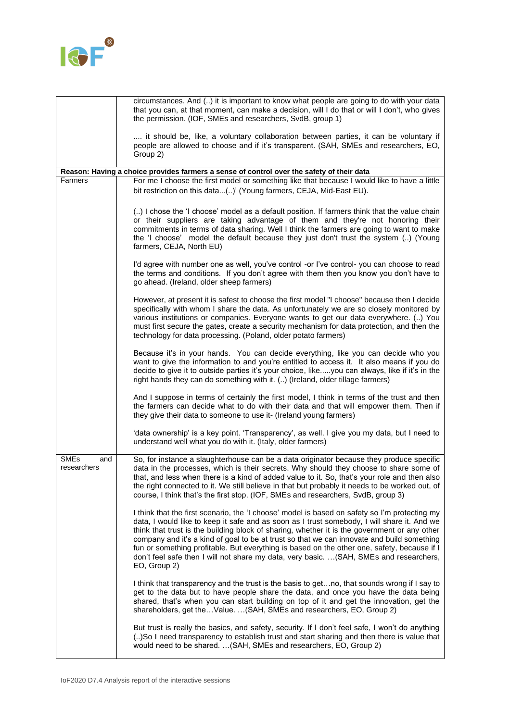| $\frac{20}{20}$<br>v |
|----------------------|
|                      |
|                      |

|                                              | circumstances. And () it is important to know what people are going to do with your data<br>that you can, at that moment, can make a decision, will I do that or will I don't, who gives<br>the permission. (IOF, SMEs and researchers, SvdB, group 1)                                                                                                                                                                                                                                                                                                                                               |
|----------------------------------------------|------------------------------------------------------------------------------------------------------------------------------------------------------------------------------------------------------------------------------------------------------------------------------------------------------------------------------------------------------------------------------------------------------------------------------------------------------------------------------------------------------------------------------------------------------------------------------------------------------|
|                                              | it should be, like, a voluntary collaboration between parties, it can be voluntary if<br>people are allowed to choose and if it's transparent. (SAH, SMEs and researchers, EO,<br>Group 2)                                                                                                                                                                                                                                                                                                                                                                                                           |
|                                              | Reason: Having a choice provides farmers a sense of control over the safety of their data                                                                                                                                                                                                                                                                                                                                                                                                                                                                                                            |
| Farmers                                      | For me I choose the first model or something like that because I would like to have a little<br>bit restriction on this data()' (Young farmers, CEJA, Mid-East EU).                                                                                                                                                                                                                                                                                                                                                                                                                                  |
|                                              | () I chose the 'I choose' model as a default position. If farmers think that the value chain<br>or their suppliers are taking advantage of them and they're not honoring their<br>commitments in terms of data sharing. Well I think the farmers are going to want to make<br>the 'I choose' model the default because they just don't trust the system () (Young<br>farmers, CEJA, North EU)                                                                                                                                                                                                        |
|                                              | I'd agree with number one as well, you've control -or I've control- you can choose to read<br>the terms and conditions. If you don't agree with them then you know you don't have to<br>go ahead. (Ireland, older sheep farmers)                                                                                                                                                                                                                                                                                                                                                                     |
|                                              | However, at present it is safest to choose the first model "I choose" because then I decide<br>specifically with whom I share the data. As unfortunately we are so closely monitored by<br>various institutions or companies. Everyone wants to get our data everywhere. () You<br>must first secure the gates, create a security mechanism for data protection, and then the<br>technology for data processing. (Poland, older potato farmers)                                                                                                                                                      |
|                                              | Because it's in your hands. You can decide everything, like you can decide who you<br>want to give the information to and you're entitled to access it. It also means if you do<br>decide to give it to outside parties it's your choice, likeyou can always, like if it's in the<br>right hands they can do something with it. () (Ireland, older tillage farmers)                                                                                                                                                                                                                                  |
|                                              | And I suppose in terms of certainly the first model, I think in terms of the trust and then<br>the farmers can decide what to do with their data and that will empower them. Then if<br>they give their data to someone to use it- (Ireland young farmers)                                                                                                                                                                                                                                                                                                                                           |
|                                              | 'data ownership' is a key point. 'Transparency', as well. I give you my data, but I need to<br>understand well what you do with it. (Italy, older farmers)                                                                                                                                                                                                                                                                                                                                                                                                                                           |
| <b>SME<sub>s</sub></b><br>and<br>researchers | So, for instance a slaughterhouse can be a data originator because they produce specific<br>data in the processes, which is their secrets. Why should they choose to share some of<br>that, and less when there is a kind of added value to it. So, that's your role and then also<br>the right connected to it. We still believe in that but probably it needs to be worked out, of<br>course, I think that's the first stop. (IOF, SMEs and researchers, SvdB, group 3)                                                                                                                            |
|                                              | I think that the first scenario, the 'I choose' model is based on safety so I'm protecting my<br>data, I would like to keep it safe and as soon as I trust somebody, I will share it. And we<br>think that trust is the building block of sharing, whether it is the government or any other<br>company and it's a kind of goal to be at trust so that we can innovate and build something<br>fun or something profitable. But everything is based on the other one, safety, because if I<br>don't feel safe then I will not share my data, very basic.  (SAH, SMEs and researchers,<br>EO, Group 2) |
|                                              | I think that transparency and the trust is the basis to getno, that sounds wrong if I say to<br>get to the data but to have people share the data, and once you have the data being<br>shared, that's when you can start building on top of it and get the innovation, get the<br>shareholders, get theValue.  (SAH, SMEs and researchers, EO, Group 2)                                                                                                                                                                                                                                              |
|                                              | But trust is really the basics, and safety, security. If I don't feel safe, I won't do anything<br>()So I need transparency to establish trust and start sharing and then there is value that<br>would need to be shared.  (SAH, SMEs and researchers, EO, Group 2)                                                                                                                                                                                                                                                                                                                                  |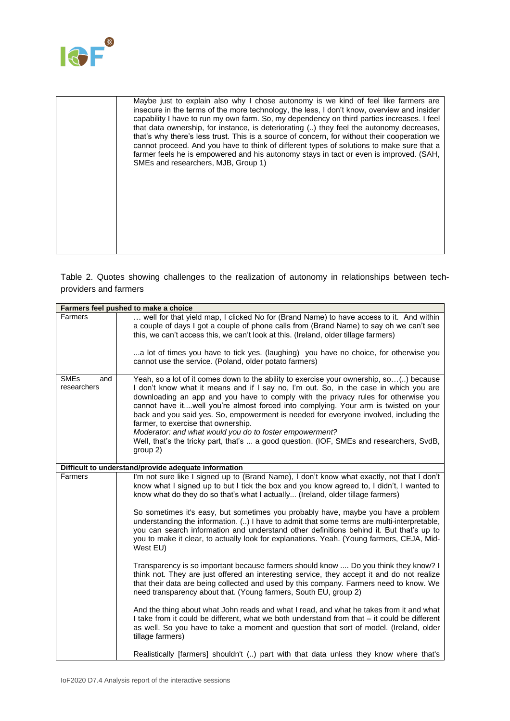

Maybe just to explain also why I chose autonomy is we kind of feel like farmers are insecure in the terms of the more technology, the less, I don't know, overview and insider capability I have to run my own farm. So, my dependency on third parties increases. I feel that data ownership, for instance, is deteriorating (..) they feel the autonomy decreases, that's why there's less trust. This is a source of concern, for without their cooperation we cannot proceed. And you have to think of different types of solutions to make sure that a farmer feels he is empowered and his autonomy stays in tact or even is improved. (SAH, SMEs and researchers, MJB, Group 1)

Table 2. Quotes showing challenges to the realization of autonomy in relationships between techproviders and farmers

| Farmers feel pushed to make a choice         |                                                                                                                                                                                                                                                                                                                                                                                                                                                                                                                                                                                                                                                                  |  |
|----------------------------------------------|------------------------------------------------------------------------------------------------------------------------------------------------------------------------------------------------------------------------------------------------------------------------------------------------------------------------------------------------------------------------------------------------------------------------------------------------------------------------------------------------------------------------------------------------------------------------------------------------------------------------------------------------------------------|--|
| Farmers                                      | well for that yield map, I clicked No for (Brand Name) to have access to it. And within<br>a couple of days I got a couple of phone calls from (Brand Name) to say oh we can't see<br>this, we can't access this, we can't look at this. (Ireland, older tillage farmers)                                                                                                                                                                                                                                                                                                                                                                                        |  |
|                                              | a lot of times you have to tick yes. (laughing) you have no choice, for otherwise you<br>cannot use the service. (Poland, older potato farmers)                                                                                                                                                                                                                                                                                                                                                                                                                                                                                                                  |  |
| <b>SME<sub>s</sub></b><br>and<br>researchers | Yeah, so a lot of it comes down to the ability to exercise your ownership, so() because<br>I don't know what it means and if I say no, I'm out. So, in the case in which you are<br>downloading an app and you have to comply with the privacy rules for otherwise you<br>cannot have itwell you're almost forced into complying. Your arm is twisted on your<br>back and you said yes. So, empowerment is needed for everyone involved, including the<br>farmer, to exercise that ownership.<br>Moderator: and what would you do to foster empowerment?<br>Well, that's the tricky part, that's  a good question. (IOF, SMEs and researchers, SvdB,<br>group 2) |  |
|                                              | Difficult to understand/provide adequate information                                                                                                                                                                                                                                                                                                                                                                                                                                                                                                                                                                                                             |  |
| Farmers                                      | I'm not sure like I signed up to (Brand Name), I don't know what exactly, not that I don't<br>know what I signed up to but I tick the box and you know agreed to, I didn't, I wanted to<br>know what do they do so that's what I actually (Ireland, older tillage farmers)                                                                                                                                                                                                                                                                                                                                                                                       |  |
|                                              | So sometimes it's easy, but sometimes you probably have, maybe you have a problem<br>understanding the information. () I have to admit that some terms are multi-interpretable,<br>you can search information and understand other definitions behind it. But that's up to<br>you to make it clear, to actually look for explanations. Yeah. (Young farmers, CEJA, Mid-<br>West EU)                                                                                                                                                                                                                                                                              |  |
|                                              | Transparency is so important because farmers should know  Do you think they know? I<br>think not. They are just offered an interesting service, they accept it and do not realize<br>that their data are being collected and used by this company. Farmers need to know. We<br>need transparency about that. (Young farmers, South EU, group 2)                                                                                                                                                                                                                                                                                                                  |  |
|                                              | And the thing about what John reads and what I read, and what he takes from it and what<br>I take from it could be different, what we both understand from that – it could be different<br>as well. So you have to take a moment and question that sort of model. (Ireland, older<br>tillage farmers)                                                                                                                                                                                                                                                                                                                                                            |  |
|                                              | Realistically [farmers] shouldn't () part with that data unless they know where that's                                                                                                                                                                                                                                                                                                                                                                                                                                                                                                                                                                           |  |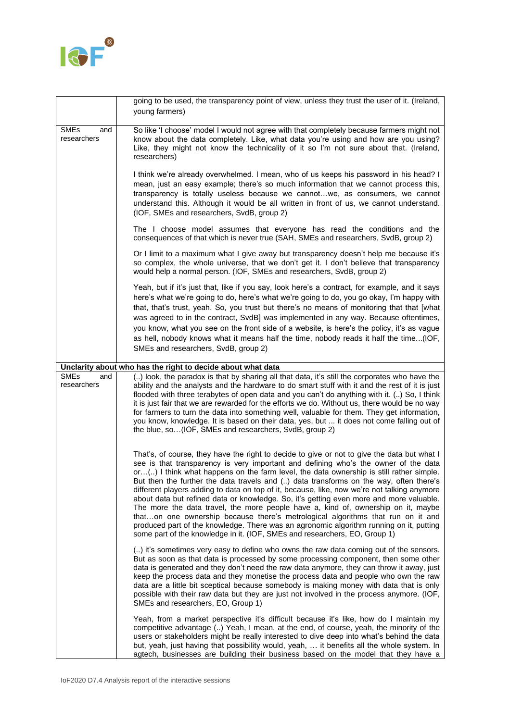

|                                   | going to be used, the transparency point of view, unless they trust the user of it. (Ireland,<br>young farmers)                                                                                                                                                                                                                                                                                                                                                                                                                                                                                                                                                                                                                                                                                                                                                                                                    |
|-----------------------------------|--------------------------------------------------------------------------------------------------------------------------------------------------------------------------------------------------------------------------------------------------------------------------------------------------------------------------------------------------------------------------------------------------------------------------------------------------------------------------------------------------------------------------------------------------------------------------------------------------------------------------------------------------------------------------------------------------------------------------------------------------------------------------------------------------------------------------------------------------------------------------------------------------------------------|
| <b>SMEs</b><br>and<br>researchers | So like 'I choose' model I would not agree with that completely because farmers might not<br>know about the data completely. Like, what data you're using and how are you using?<br>Like, they might not know the technicality of it so I'm not sure about that. (Ireland,<br>researchers)                                                                                                                                                                                                                                                                                                                                                                                                                                                                                                                                                                                                                         |
|                                   | I think we're already overwhelmed. I mean, who of us keeps his password in his head? I<br>mean, just an easy example; there's so much information that we cannot process this,<br>transparency is totally useless because we cannotwe, as consumers, we cannot<br>understand this. Although it would be all written in front of us, we cannot understand.<br>(IOF, SMEs and researchers, SvdB, group 2)                                                                                                                                                                                                                                                                                                                                                                                                                                                                                                            |
|                                   | The I choose model assumes that everyone has read the conditions and the<br>consequences of that which is never true (SAH, SMEs and researchers, SvdB, group 2)                                                                                                                                                                                                                                                                                                                                                                                                                                                                                                                                                                                                                                                                                                                                                    |
|                                   | Or I limit to a maximum what I give away but transparency doesn't help me because it's<br>so complex, the whole universe, that we don't get it. I don't believe that transparency<br>would help a normal person. (IOF, SMEs and researchers, SvdB, group 2)                                                                                                                                                                                                                                                                                                                                                                                                                                                                                                                                                                                                                                                        |
|                                   | Yeah, but if it's just that, like if you say, look here's a contract, for example, and it says<br>here's what we're going to do, here's what we're going to do, you go okay, I'm happy with<br>that, that's trust, yeah. So, you trust but there's no means of monitoring that that [what<br>was agreed to in the contract, SvdB] was implemented in any way. Because oftentimes,<br>you know, what you see on the front side of a website, is here's the policy, it's as vague<br>as hell, nobody knows what it means half the time, nobody reads it half the time(IOF,<br>SMEs and researchers, SvdB, group 2)                                                                                                                                                                                                                                                                                                   |
|                                   | Unclarity about who has the right to decide about what data                                                                                                                                                                                                                                                                                                                                                                                                                                                                                                                                                                                                                                                                                                                                                                                                                                                        |
| <b>SMEs</b><br>and<br>researchers | () look, the paradox is that by sharing all that data, it's still the corporates who have the<br>ability and the analysts and the hardware to do smart stuff with it and the rest of it is just<br>flooded with three terabytes of open data and you can't do anything with it. () So, I think<br>it is just fair that we are rewarded for the efforts we do. Without us, there would be no way<br>for farmers to turn the data into something well, valuable for them. They get information,<br>you know, knowledge. It is based on their data, yes, but  it does not come falling out of<br>the blue, so(IOF, SMEs and researchers, SvdB, group 2)                                                                                                                                                                                                                                                               |
|                                   | That's, of course, they have the right to decide to give or not to give the data but what I<br>see is that transparency is very important and defining who's the owner of the data<br>or() I think what happens on the farm level, the data ownership is still rather simple.<br>But then the further the data travels and () data transforms on the way, often there's<br>different players adding to data on top of it, because, like, now we're not talking anymore<br>about data but refined data or knowledge. So, it's getting even more and more valuable.<br>The more the data travel, the more people have a, kind of, ownership on it, maybe<br>thaton one ownership because there's metrological algorithms that run on it and<br>produced part of the knowledge. There was an agronomic algorithm running on it, putting<br>some part of the knowledge in it. (IOF, SMEs and researchers, EO, Group 1) |
|                                   | () it's sometimes very easy to define who owns the raw data coming out of the sensors.<br>But as soon as that data is processed by some processing component, then some other<br>data is generated and they don't need the raw data anymore, they can throw it away, just<br>keep the process data and they monetise the process data and people who own the raw<br>data are a little bit sceptical because somebody is making money with data that is only<br>possible with their raw data but they are just not involved in the process anymore. (IOF,<br>SMEs and researchers, EO, Group 1)                                                                                                                                                                                                                                                                                                                     |
|                                   | Yeah, from a market perspective it's difficult because it's like, how do I maintain my<br>competitive advantage () Yeah, I mean, at the end, of course, yeah, the minority of the<br>users or stakeholders might be really interested to dive deep into what's behind the data<br>but, yeah, just having that possibility would, yeah,  it benefits all the whole system. In<br>agtech, businesses are building their business based on the model that they have a                                                                                                                                                                                                                                                                                                                                                                                                                                                 |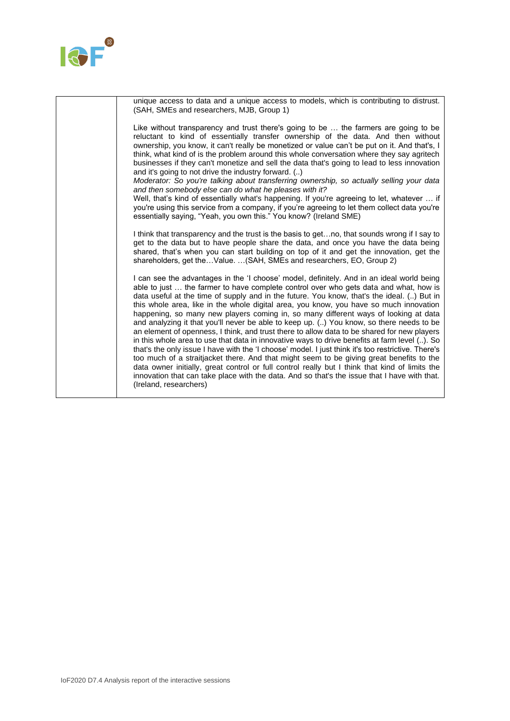

|  | unique access to data and a unique access to models, which is contributing to distrust.<br>(SAH, SMEs and researchers, MJB, Group 1)                                                                                                                                                                                                                                                                                                                                                                                                                                                                                                                                                                                                                                                                                                                                                                                                                                                                                                                                                                                                                                                        |
|--|---------------------------------------------------------------------------------------------------------------------------------------------------------------------------------------------------------------------------------------------------------------------------------------------------------------------------------------------------------------------------------------------------------------------------------------------------------------------------------------------------------------------------------------------------------------------------------------------------------------------------------------------------------------------------------------------------------------------------------------------------------------------------------------------------------------------------------------------------------------------------------------------------------------------------------------------------------------------------------------------------------------------------------------------------------------------------------------------------------------------------------------------------------------------------------------------|
|  | Like without transparency and trust there's going to be  the farmers are going to be<br>reluctant to kind of essentially transfer ownership of the data. And then without<br>ownership, you know, it can't really be monetized or value can't be put on it. And that's, I<br>think, what kind of is the problem around this whole conversation where they say agritech<br>businesses if they can't monetize and sell the data that's going to lead to less innovation<br>and it's going to not drive the industry forward. ()<br>Moderator: So you're talking about transferring ownership, so actually selling your data<br>and then somebody else can do what he pleases with it?<br>Well, that's kind of essentially what's happening. If you're agreeing to let, whatever  if<br>you're using this service from a company, if you're agreeing to let them collect data you're<br>essentially saying, "Yeah, you own this." You know? (Ireland SME)                                                                                                                                                                                                                                      |
|  | I think that transparency and the trust is the basis to getno, that sounds wrong if I say to<br>get to the data but to have people share the data, and once you have the data being<br>shared, that's when you can start building on top of it and get the innovation, get the<br>shareholders, get theValue. (SAH, SMEs and researchers, EO, Group 2)                                                                                                                                                                                                                                                                                                                                                                                                                                                                                                                                                                                                                                                                                                                                                                                                                                      |
|  | I can see the advantages in the 'I choose' model, definitely. And in an ideal world being<br>able to just  the farmer to have complete control over who gets data and what, how is<br>data useful at the time of supply and in the future. You know, that's the ideal. () But in<br>this whole area, like in the whole digital area, you know, you have so much innovation<br>happening, so many new players coming in, so many different ways of looking at data<br>and analyzing it that you'll never be able to keep up. () You know, so there needs to be<br>an element of openness, I think, and trust there to allow data to be shared for new players<br>in this whole area to use that data in innovative ways to drive benefits at farm level (). So<br>that's the only issue I have with the 'I choose' model. I just think it's too restrictive. There's<br>too much of a straitjacket there. And that might seem to be giving great benefits to the<br>data owner initially, great control or full control really but I think that kind of limits the<br>innovation that can take place with the data. And so that's the issue that I have with that.<br>(Ireland, researchers) |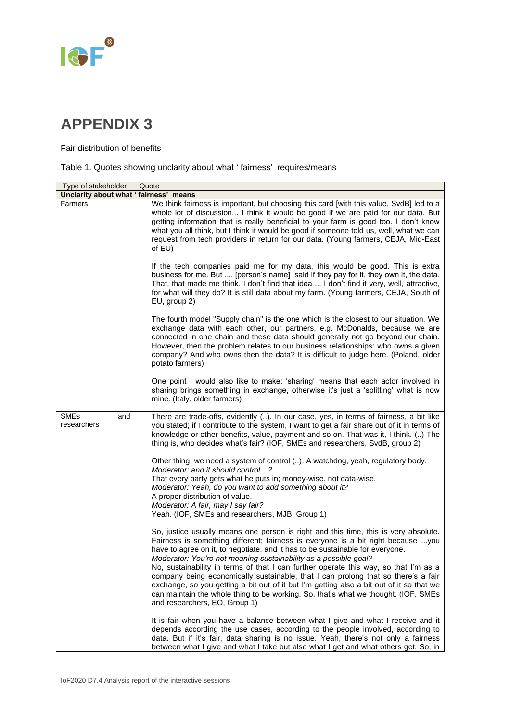

# **APPENDIX 3**

#### Fair distribution of benefits

## Table 1. Quotes showing unclarity about what ' fairness' requires/means

| Type of stakeholder        | Quote                                                                                                                                                                                                                                                                                                                                                                                                                                                                                                                                                                                                                                                                                                                        |
|----------------------------|------------------------------------------------------------------------------------------------------------------------------------------------------------------------------------------------------------------------------------------------------------------------------------------------------------------------------------------------------------------------------------------------------------------------------------------------------------------------------------------------------------------------------------------------------------------------------------------------------------------------------------------------------------------------------------------------------------------------------|
| Unclarity about what '     | fairness' means                                                                                                                                                                                                                                                                                                                                                                                                                                                                                                                                                                                                                                                                                                              |
| Farmers                    | We think fairness is important, but choosing this card [with this value, SvdB] led to a<br>whole lot of discussion I think it would be good if we are paid for our data. But<br>getting information that is really beneficial to your farm is good too. I don't know<br>what you all think, but I think it would be good if someone told us, well, what we can<br>request from tech providers in return for our data. (Young farmers, CEJA, Mid-East<br>of EU)                                                                                                                                                                                                                                                               |
|                            | If the tech companies paid me for my data, this would be good. This is extra<br>business for me. But  [person's name] said if they pay for it, they own it, the data.<br>That, that made me think. I don't find that idea  I don't find it very, well, attractive,<br>for what will they do? It is still data about my farm. (Young farmers, CEJA, South of<br>EU, group 2)                                                                                                                                                                                                                                                                                                                                                  |
|                            | The fourth model "Supply chain" is the one which is the closest to our situation. We<br>exchange data with each other, our partners, e.g. McDonalds, because we are<br>connected in one chain and these data should generally not go beyond our chain.<br>However, then the problem relates to our business relationships: who owns a given<br>company? And who owns then the data? It is difficult to judge here. (Poland, older<br>potato farmers)                                                                                                                                                                                                                                                                         |
|                            | One point I would also like to make: 'sharing' means that each actor involved in<br>sharing brings something in exchange, otherwise it's just a 'splitting' what is now<br>mine. (Italy, older farmers)                                                                                                                                                                                                                                                                                                                                                                                                                                                                                                                      |
| SMEs<br>and<br>researchers | There are trade-offs, evidently (). In our case, yes, in terms of fairness, a bit like<br>you stated; if I contribute to the system, I want to get a fair share out of it in terms of<br>knowledge or other benefits, value, payment and so on. That was it, I think. () The<br>thing is, who decides what's fair? (IOF, SMEs and researchers, SvdB, group 2)                                                                                                                                                                                                                                                                                                                                                                |
|                            | Other thing, we need a system of control (). A watchdog, yeah, regulatory body.<br>Moderator: and it should control?<br>That every party gets what he puts in; money-wise, not data-wise.<br>Moderator: Yeah, do you want to add something about it?<br>A proper distribution of value.<br>Moderator: A fair, may I say fair?<br>Yeah. (IOF, SMEs and researchers, MJB, Group 1)                                                                                                                                                                                                                                                                                                                                             |
|                            | So, justice usually means one person is right and this time, this is very absolute.<br>Fairness is something different; fairness is everyone is a bit right because you<br>have to agree on it, to negotiate, and it has to be sustainable for everyone.<br>Moderator: You're not meaning sustainability as a possible goal?<br>No, sustainability in terms of that I can further operate this way, so that I'm as a<br>company being economically sustainable, that I can prolong that so there's a fair<br>exchange, so you getting a bit out of it but I'm getting also a bit out of it so that we<br>can maintain the whole thing to be working. So, that's what we thought. (IOF, SMEs<br>and researchers, EO, Group 1) |
|                            | It is fair when you have a balance between what I give and what I receive and it<br>depends according the use cases, according to the people involved, according to<br>data. But if it's fair, data sharing is no issue. Yeah, there's not only a fairness<br>between what I give and what I take but also what I get and what others get. So, in                                                                                                                                                                                                                                                                                                                                                                            |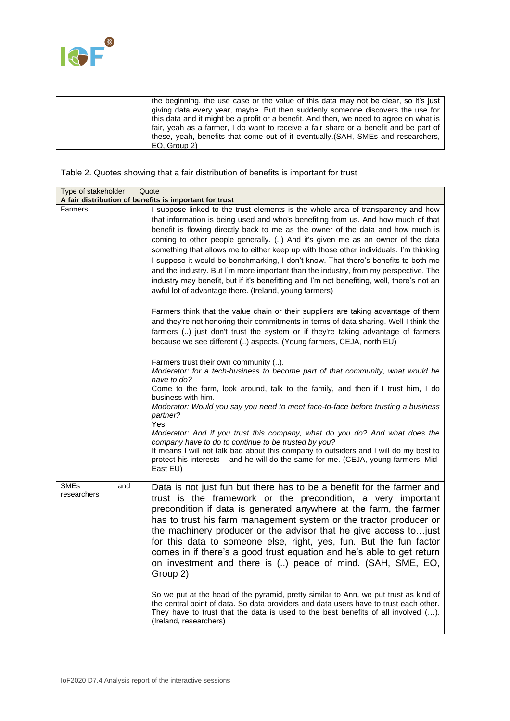

| the beginning, the use case or the value of this data may not be clear, so it's just   |
|----------------------------------------------------------------------------------------|
| giving data every year, maybe. But then suddenly someone discovers the use for         |
| this data and it might be a profit or a benefit. And then, we need to agree on what is |
| fair, yeah as a farmer, I do want to receive a fair share or a benefit and be part of  |
| these, yeah, benefits that come out of it eventually. (SAH, SMEs and researchers,      |
| EO, Group 2)                                                                           |

## Table 2. Quotes showing that a fair distribution of benefits is important for trust

| Type of stakeholder                          | Quote                                                                                                                                                                                                                                                                                                                                                                                                                                                                                                                                                                            |
|----------------------------------------------|----------------------------------------------------------------------------------------------------------------------------------------------------------------------------------------------------------------------------------------------------------------------------------------------------------------------------------------------------------------------------------------------------------------------------------------------------------------------------------------------------------------------------------------------------------------------------------|
|                                              | A fair distribution of benefits is important for trust                                                                                                                                                                                                                                                                                                                                                                                                                                                                                                                           |
| Farmers                                      | I suppose linked to the trust elements is the whole area of transparency and how<br>that information is being used and who's benefiting from us. And how much of that                                                                                                                                                                                                                                                                                                                                                                                                            |
|                                              | benefit is flowing directly back to me as the owner of the data and how much is                                                                                                                                                                                                                                                                                                                                                                                                                                                                                                  |
|                                              | coming to other people generally. () And it's given me as an owner of the data                                                                                                                                                                                                                                                                                                                                                                                                                                                                                                   |
|                                              | something that allows me to either keep up with those other individuals. I'm thinking                                                                                                                                                                                                                                                                                                                                                                                                                                                                                            |
|                                              | I suppose it would be benchmarking, I don't know. That there's benefits to both me                                                                                                                                                                                                                                                                                                                                                                                                                                                                                               |
|                                              | and the industry. But I'm more important than the industry, from my perspective. The<br>industry may benefit, but if it's benefitting and I'm not benefiting, well, there's not an<br>awful lot of advantage there. (Ireland, young farmers)                                                                                                                                                                                                                                                                                                                                     |
|                                              | Farmers think that the value chain or their suppliers are taking advantage of them<br>and they're not honoring their commitments in terms of data sharing. Well I think the<br>farmers () just don't trust the system or if they're taking advantage of farmers<br>because we see different () aspects, (Young farmers, CEJA, north EU)                                                                                                                                                                                                                                          |
|                                              | Farmers trust their own community ().                                                                                                                                                                                                                                                                                                                                                                                                                                                                                                                                            |
|                                              | Moderator: for a tech-business to become part of that community, what would he<br>have to do?                                                                                                                                                                                                                                                                                                                                                                                                                                                                                    |
|                                              | Come to the farm, look around, talk to the family, and then if I trust him, I do<br>business with him.                                                                                                                                                                                                                                                                                                                                                                                                                                                                           |
|                                              | Moderator: Would you say you need to meet face-to-face before trusting a business<br>partner?<br>Yes.                                                                                                                                                                                                                                                                                                                                                                                                                                                                            |
|                                              | Moderator: And if you trust this company, what do you do? And what does the<br>company have to do to continue to be trusted by you?                                                                                                                                                                                                                                                                                                                                                                                                                                              |
|                                              | It means I will not talk bad about this company to outsiders and I will do my best to<br>protect his interests - and he will do the same for me. (CEJA, young farmers, Mid-<br>East EU)                                                                                                                                                                                                                                                                                                                                                                                          |
| <b>SME<sub>s</sub></b><br>and<br>researchers | Data is not just fun but there has to be a benefit for the farmer and<br>trust is the framework or the precondition, a very important<br>precondition if data is generated anywhere at the farm, the farmer<br>has to trust his farm management system or the tractor producer or<br>the machinery producer or the advisor that he give access to just<br>for this data to someone else, right, yes, fun. But the fun factor<br>comes in if there's a good trust equation and he's able to get return<br>on investment and there is () peace of mind. (SAH, SME, EO,<br>Group 2) |
|                                              | So we put at the head of the pyramid, pretty similar to Ann, we put trust as kind of<br>the central point of data. So data providers and data users have to trust each other.<br>They have to trust that the data is used to the best benefits of all involved ().<br>(Ireland, researchers)                                                                                                                                                                                                                                                                                     |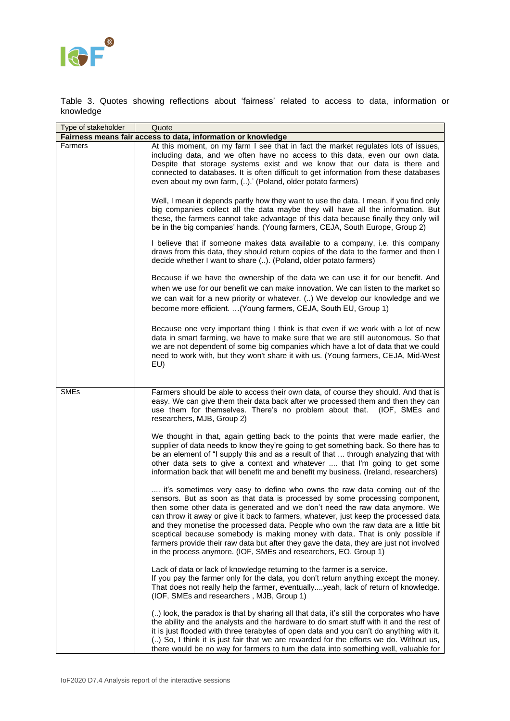# **ISF®**

Table 3. Quotes showing reflections about 'fairness' related to access to data, information or knowledge

| Type of stakeholder | Quote                                                                                                                                                                                                                                                                                                                                                                                                                                                                                                                                                                                                                                                                     |
|---------------------|---------------------------------------------------------------------------------------------------------------------------------------------------------------------------------------------------------------------------------------------------------------------------------------------------------------------------------------------------------------------------------------------------------------------------------------------------------------------------------------------------------------------------------------------------------------------------------------------------------------------------------------------------------------------------|
|                     | Fairness means fair access to data, information or knowledge                                                                                                                                                                                                                                                                                                                                                                                                                                                                                                                                                                                                              |
| Farmers             | At this moment, on my farm I see that in fact the market regulates lots of issues,<br>including data, and we often have no access to this data, even our own data.<br>Despite that storage systems exist and we know that our data is there and<br>connected to databases. It is often difficult to get information from these databases<br>even about my own farm, ().' (Poland, older potato farmers)                                                                                                                                                                                                                                                                   |
|                     | Well, I mean it depends partly how they want to use the data. I mean, if you find only<br>big companies collect all the data maybe they will have all the information. But<br>these, the farmers cannot take advantage of this data because finally they only will<br>be in the big companies' hands. (Young farmers, CEJA, South Europe, Group 2)                                                                                                                                                                                                                                                                                                                        |
|                     | I believe that if someone makes data available to a company, i.e. this company<br>draws from this data, they should return copies of the data to the farmer and then I<br>decide whether I want to share (). (Poland, older potato farmers)                                                                                                                                                                                                                                                                                                                                                                                                                               |
|                     | Because if we have the ownership of the data we can use it for our benefit. And<br>when we use for our benefit we can make innovation. We can listen to the market so<br>we can wait for a new priority or whatever. () We develop our knowledge and we<br>become more efficient.  (Young farmers, CEJA, South EU, Group 1)                                                                                                                                                                                                                                                                                                                                               |
|                     | Because one very important thing I think is that even if we work with a lot of new<br>data in smart farming, we have to make sure that we are still autonomous. So that<br>we are not dependent of some big companies which have a lot of data that we could<br>need to work with, but they won't share it with us. (Young farmers, CEJA, Mid-West<br>EU)                                                                                                                                                                                                                                                                                                                 |
| <b>SMEs</b>         | Farmers should be able to access their own data, of course they should. And that is<br>easy. We can give them their data back after we processed them and then they can<br>use them for themselves. There's no problem about that. (IOF, SMEs and<br>researchers, MJB, Group 2)                                                                                                                                                                                                                                                                                                                                                                                           |
|                     | We thought in that, again getting back to the points that were made earlier, the<br>supplier of data needs to know they're going to get something back. So there has to<br>be an element of "I supply this and as a result of that  through analyzing that with<br>other data sets to give a context and whatever  that I'm going to get some<br>information back that will benefit me and benefit my business. (Ireland, researchers)                                                                                                                                                                                                                                    |
|                     | it's sometimes very easy to define who owns the raw data coming out of the<br>sensors. But as soon as that data is processed by some processing component,<br>then some other data is generated and we don't need the raw data anymore. We<br>can throw it away or give it back to farmers, whatever, just keep the processed data<br>and they monetise the processed data. People who own the raw data are a little bit<br>sceptical because somebody is making money with data. That is only possible if<br>farmers provide their raw data but after they gave the data, they are just not involved<br>in the process anymore. (IOF, SMEs and researchers, EO, Group 1) |
|                     | Lack of data or lack of knowledge returning to the farmer is a service.<br>If you pay the farmer only for the data, you don't return anything except the money.<br>That does not really help the farmer, eventuallyyeah, lack of return of knowledge.<br>(IOF, SMEs and researchers, MJB, Group 1)                                                                                                                                                                                                                                                                                                                                                                        |
|                     | () look, the paradox is that by sharing all that data, it's still the corporates who have<br>the ability and the analysts and the hardware to do smart stuff with it and the rest of<br>it is just flooded with three terabytes of open data and you can't do anything with it.<br>() So, I think it is just fair that we are rewarded for the efforts we do. Without us,<br>there would be no way for farmers to turn the data into something well, valuable for                                                                                                                                                                                                         |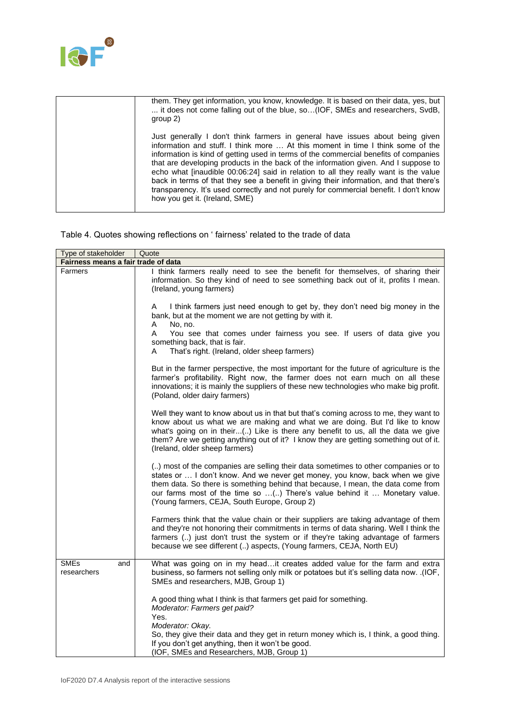

| them. They get information, you know, knowledge. It is based on their data, yes, but<br>it does not come falling out of the blue, so(IOF, SMEs and researchers, SvdB,<br>group 2)                                                                                                                                                                                                                                                                                                                                                                                                                                                                            |
|--------------------------------------------------------------------------------------------------------------------------------------------------------------------------------------------------------------------------------------------------------------------------------------------------------------------------------------------------------------------------------------------------------------------------------------------------------------------------------------------------------------------------------------------------------------------------------------------------------------------------------------------------------------|
| Just generally I don't think farmers in general have issues about being given<br>information and stuff. I think more  At this moment in time I think some of the<br>information is kind of getting used in terms of the commercial benefits of companies<br>that are developing products in the back of the information given. And I suppose to<br>echo what finaudible 00:06:24] said in relation to all they really want is the value<br>back in terms of that they see a benefit in giving their information, and that there's<br>transparency. It's used correctly and not purely for commercial benefit. I don't know<br>how you get it. (Ireland, SME) |

## Table 4. Quotes showing reflections on ' fairness' related to the trade of data

| Type of stakeholder                 | Quote                                                                                                                                                                                                                                                                                                                                                                               |
|-------------------------------------|-------------------------------------------------------------------------------------------------------------------------------------------------------------------------------------------------------------------------------------------------------------------------------------------------------------------------------------------------------------------------------------|
| Fairness means a fair trade of data |                                                                                                                                                                                                                                                                                                                                                                                     |
| Farmers                             | I think farmers really need to see the benefit for themselves, of sharing their<br>information. So they kind of need to see something back out of it, profits I mean.<br>(Ireland, young farmers)                                                                                                                                                                                   |
|                                     | I think farmers just need enough to get by, they don't need big money in the<br>A<br>bank, but at the moment we are not getting by with it.<br>No, no.<br>A                                                                                                                                                                                                                         |
|                                     | You see that comes under fairness you see. If users of data give you<br>A<br>something back, that is fair.<br>That's right. (Ireland, older sheep farmers)<br>A                                                                                                                                                                                                                     |
|                                     | But in the farmer perspective, the most important for the future of agriculture is the<br>farmer's profitability. Right now, the farmer does not earn much on all these<br>innovations; it is mainly the suppliers of these new technologies who make big profit.<br>(Poland, older dairy farmers)                                                                                  |
|                                     | Well they want to know about us in that but that's coming across to me, they want to<br>know about us what we are making and what we are doing. But I'd like to know<br>what's going on in their() Like is there any benefit to us, all the data we give<br>them? Are we getting anything out of it? I know they are getting something out of it.<br>(Ireland, older sheep farmers) |
|                                     | () most of the companies are selling their data sometimes to other companies or to<br>states or  I don't know. And we never get money, you know, back when we give<br>them data. So there is something behind that because, I mean, the data come from<br>our farms most of the time so () There's value behind it  Monetary value.<br>(Young farmers, CEJA, South Europe, Group 2) |
|                                     | Farmers think that the value chain or their suppliers are taking advantage of them<br>and they're not honoring their commitments in terms of data sharing. Well I think the<br>farmers () just don't trust the system or if they're taking advantage of farmers<br>because we see different () aspects, (Young farmers, CEJA, North EU)                                             |
| <b>SMEs</b><br>and<br>researchers   | What was going on in my headit creates added value for the farm and extra<br>business, so farmers not selling only milk or potatoes but it's selling data now. .(IOF,<br>SMEs and researchers, MJB, Group 1)                                                                                                                                                                        |
|                                     | A good thing what I think is that farmers get paid for something.<br>Moderator: Farmers get paid?<br>Yes.<br>Moderator: Okay.<br>So, they give their data and they get in return money which is, I think, a good thing.                                                                                                                                                             |
|                                     | If you don't get anything, then it won't be good.<br>(IOF, SMEs and Researchers, MJB, Group 1)                                                                                                                                                                                                                                                                                      |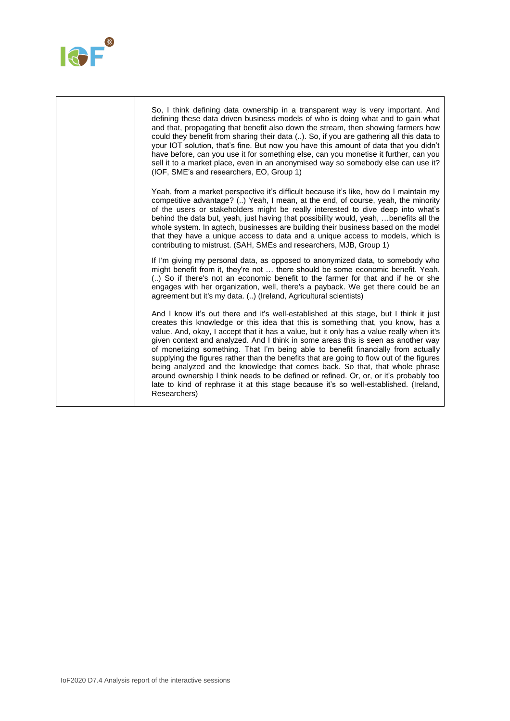

| So, I think defining data ownership in a transparent way is very important. And<br>defining these data driven business models of who is doing what and to gain what<br>and that, propagating that benefit also down the stream, then showing farmers how<br>could they benefit from sharing their data (). So, if you are gathering all this data to<br>your IOT solution, that's fine. But now you have this amount of data that you didn't<br>have before, can you use it for something else, can you monetise it further, can you<br>sell it to a market place, even in an anonymised way so somebody else can use it?<br>(IOF, SME's and researchers, EO, Group 1)                                                                                                                                                         |
|--------------------------------------------------------------------------------------------------------------------------------------------------------------------------------------------------------------------------------------------------------------------------------------------------------------------------------------------------------------------------------------------------------------------------------------------------------------------------------------------------------------------------------------------------------------------------------------------------------------------------------------------------------------------------------------------------------------------------------------------------------------------------------------------------------------------------------|
| Yeah, from a market perspective it's difficult because it's like, how do I maintain my<br>competitive advantage? () Yeah, I mean, at the end, of course, yeah, the minority<br>of the users or stakeholders might be really interested to dive deep into what's<br>behind the data but, yeah, just having that possibility would, yeah, benefits all the<br>whole system. In agtech, businesses are building their business based on the model<br>that they have a unique access to data and a unique access to models, which is<br>contributing to mistrust. (SAH, SMEs and researchers, MJB, Group 1)                                                                                                                                                                                                                        |
| If I'm giving my personal data, as opposed to anonymized data, to somebody who<br>might benefit from it, they're not  there should be some economic benefit. Yeah.<br>() So if there's not an economic benefit to the farmer for that and if he or she<br>engages with her organization, well, there's a payback. We get there could be an<br>agreement but it's my data. () (Ireland, Agricultural scientists)                                                                                                                                                                                                                                                                                                                                                                                                                |
| And I know it's out there and it's well-established at this stage, but I think it just<br>creates this knowledge or this idea that this is something that, you know, has a<br>value. And, okay, I accept that it has a value, but it only has a value really when it's<br>given context and analyzed. And I think in some areas this is seen as another way<br>of monetizing something. That I'm being able to benefit financially from actually<br>supplying the figures rather than the benefits that are going to flow out of the figures<br>being analyzed and the knowledge that comes back. So that, that whole phrase<br>around ownership I think needs to be defined or refined. Or, or, or it's probably too<br>late to kind of rephrase it at this stage because it's so well-established. (Ireland,<br>Researchers) |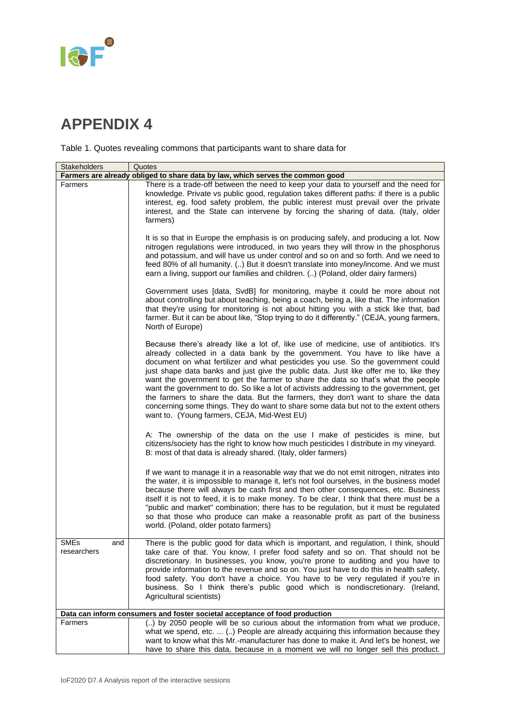# ISF®

# **APPENDIX 4**

Table 1. Quotes revealing commons that participants want to share data for

| Stakeholders                      | Quotes                                                                                                                                                                                                                                                                                                                                                                                                                                                                                                                                                                                                                                                                                                                                                        |
|-----------------------------------|---------------------------------------------------------------------------------------------------------------------------------------------------------------------------------------------------------------------------------------------------------------------------------------------------------------------------------------------------------------------------------------------------------------------------------------------------------------------------------------------------------------------------------------------------------------------------------------------------------------------------------------------------------------------------------------------------------------------------------------------------------------|
|                                   | Farmers are already obliged to share data by law, which serves the common good                                                                                                                                                                                                                                                                                                                                                                                                                                                                                                                                                                                                                                                                                |
| Farmers                           | There is a trade-off between the need to keep your data to yourself and the need for<br>knowledge. Private vs public good, regulation takes different paths: if there is a public<br>interest, eg. food safety problem, the public interest must prevail over the private<br>interest, and the State can intervene by forcing the sharing of data. (Italy, older<br>farmers)                                                                                                                                                                                                                                                                                                                                                                                  |
|                                   | It is so that in Europe the emphasis is on producing safely, and producing a lot. Now<br>nitrogen regulations were introduced, in two years they will throw in the phosphorus<br>and potassium, and will have us under control and so on and so forth. And we need to<br>feed 80% of all humanity. () But it doesn't translate into money/income. And we must<br>earn a living, support our families and children. () (Poland, older dairy farmers)                                                                                                                                                                                                                                                                                                           |
|                                   | Government uses [data, SvdB] for monitoring, maybe it could be more about not<br>about controlling but about teaching, being a coach, being a, like that. The information<br>that they're using for monitoring is not about hitting you with a stick like that, bad<br>farmer. But it can be about like, "Stop trying to do it differently." (CEJA, young farmers,<br>North of Europe)                                                                                                                                                                                                                                                                                                                                                                        |
|                                   | Because there's already like a lot of, like use of medicine, use of antibiotics. It's<br>already collected in a data bank by the government. You have to like have a<br>document on what fertilizer and what pesticides you use. So the government could<br>just shape data banks and just give the public data. Just like offer me to, like they<br>want the government to get the farmer to share the data so that's what the people<br>want the government to do. So like a lot of activists addressing to the government, get<br>the farmers to share the data. But the farmers, they don't want to share the data<br>concerning some things. They do want to share some data but not to the extent others<br>want to. (Young farmers, CEJA, Mid-West EU) |
|                                   | A: The ownership of the data on the use I make of pesticides is mine, but<br>citizens/society has the right to know how much pesticides I distribute in my vineyard.<br>B: most of that data is already shared. (Italy, older farmers)                                                                                                                                                                                                                                                                                                                                                                                                                                                                                                                        |
|                                   | If we want to manage it in a reasonable way that we do not emit nitrogen, nitrates into<br>the water, it is impossible to manage it, let's not fool ourselves, in the business model<br>because there will always be cash first and then other consequences, etc. Business<br>itself it is not to feed, it is to make money. To be clear, I think that there must be a<br>"public and market" combination; there has to be regulation, but it must be regulated<br>so that those who produce can make a reasonable profit as part of the business<br>world. (Poland, older potato farmers)                                                                                                                                                                    |
| <b>SMEs</b><br>and<br>researchers | There is the public good for data which is important, and regulation, I think, should<br>take care of that. You know, I prefer food safety and so on. That should not be<br>discretionary. In businesses, you know, you're prone to auditing and you have to<br>provide information to the revenue and so on. You just have to do this in health safety,<br>food safety. You don't have a choice. You have to be very regulated if you're in<br>business. So I think there's public good which is nondiscretionary. (Ireland,<br>Agricultural scientists)                                                                                                                                                                                                     |
|                                   | Data can inform consumers and foster societal acceptance of food production                                                                                                                                                                                                                                                                                                                                                                                                                                                                                                                                                                                                                                                                                   |
| Farmers                           | () by 2050 people will be so curious about the information from what we produce,<br>what we spend, etc.  () People are already acquiring this information because they<br>want to know what this Mr.-manufacturer has done to make it. And let's be honest, we<br>have to share this data, because in a moment we will no longer sell this product.                                                                                                                                                                                                                                                                                                                                                                                                           |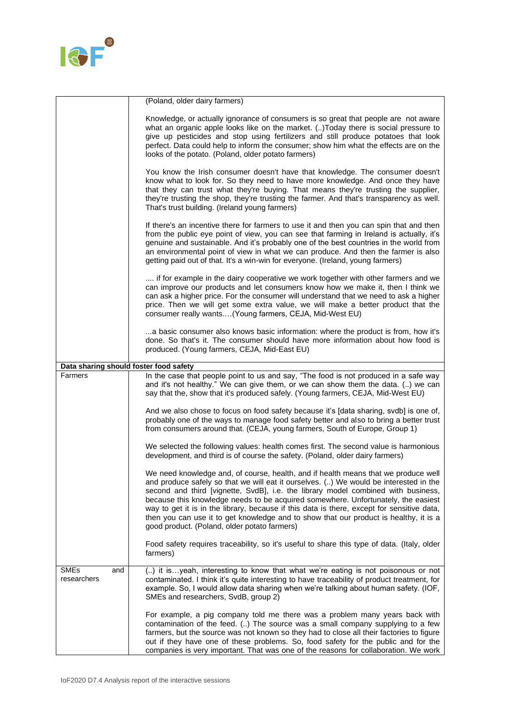

|                                        | (Poland, older dairy farmers)                                                                                                                                                                                                                                                                                                                                                                                                                                                                                                                                                                |
|----------------------------------------|----------------------------------------------------------------------------------------------------------------------------------------------------------------------------------------------------------------------------------------------------------------------------------------------------------------------------------------------------------------------------------------------------------------------------------------------------------------------------------------------------------------------------------------------------------------------------------------------|
|                                        | Knowledge, or actually ignorance of consumers is so great that people are not aware<br>what an organic apple looks like on the market. () Today there is social pressure to<br>give up pesticides and stop using fertilizers and still produce potatoes that look<br>perfect. Data could help to inform the consumer; show him what the effects are on the<br>looks of the potato. (Poland, older potato farmers)                                                                                                                                                                            |
|                                        | You know the Irish consumer doesn't have that knowledge. The consumer doesn't<br>know what to look for. So they need to have more knowledge. And once they have<br>that they can trust what they're buying. That means they're trusting the supplier,<br>they're trusting the shop, they're trusting the farmer. And that's transparency as well.<br>That's trust building. (Ireland young farmers)                                                                                                                                                                                          |
|                                        | If there's an incentive there for farmers to use it and then you can spin that and then<br>from the public eye point of view, you can see that farming in Ireland is actually, it's<br>genuine and sustainable. And it's probably one of the best countries in the world from<br>an environmental point of view in what we can produce. And then the farmer is also<br>getting paid out of that. It's a win-win for everyone. (Ireland, young farmers)                                                                                                                                       |
|                                        | if for example in the dairy cooperative we work together with other farmers and we<br>can improve our products and let consumers know how we make it, then I think we<br>can ask a higher price. For the consumer will understand that we need to ask a higher<br>price. Then we will get some extra value, we will make a better product that the<br>consumer really wants(Young farmers, CEJA, Mid-West EU)                                                                                                                                                                                |
|                                        | a basic consumer also knows basic information: where the product is from, how it's<br>done. So that's it. The consumer should have more information about how food is<br>produced. (Young farmers, CEJA, Mid-East EU)                                                                                                                                                                                                                                                                                                                                                                        |
| Data sharing should foster food safety |                                                                                                                                                                                                                                                                                                                                                                                                                                                                                                                                                                                              |
| Farmers                                | In the case that people point to us and say, "The food is not produced in a safe way<br>and it's not healthy." We can give them, or we can show them the data. () we can<br>say that the, show that it's produced safely. (Young farmers, CEJA, Mid-West EU)                                                                                                                                                                                                                                                                                                                                 |
|                                        | And we also chose to focus on food safety because it's [data sharing, svdb] is one of,<br>probably one of the ways to manage food safety better and also to bring a better trust<br>from consumers around that. (CEJA, young farmers, South of Europe, Group 1)                                                                                                                                                                                                                                                                                                                              |
|                                        | We selected the following values: health comes first. The second value is harmonious<br>development, and third is of course the safety. (Poland, older dairy farmers)                                                                                                                                                                                                                                                                                                                                                                                                                        |
|                                        | We need knowledge and, of course, health, and if health means that we produce well<br>and produce safely so that we will eat it ourselves. () We would be interested in the<br>second and third [vignette, SvdB], i.e. the library model combined with business,<br>because this knowledge needs to be acquired somewhere. Unfortunately, the easiest<br>way to get it is in the library, because if this data is there, except for sensitive data,<br>then you can use it to get knowledge and to show that our product is healthy, it is a<br>good product. (Poland, older potato farmers) |
|                                        | Food safety requires traceability, so it's useful to share this type of data. (Italy, older<br>farmers)                                                                                                                                                                                                                                                                                                                                                                                                                                                                                      |
| <b>SMEs</b><br>and<br>researchers      | () it isyeah, interesting to know that what we're eating is not poisonous or not<br>contaminated. I think it's quite interesting to have traceability of product treatment, for<br>example. So, I would allow data sharing when we're talking about human safety. (IOF,<br>SMEs and researchers, SvdB, group 2)                                                                                                                                                                                                                                                                              |
|                                        | For example, a pig company told me there was a problem many years back with<br>contamination of the feed. () The source was a small company supplying to a few<br>farmers, but the source was not known so they had to close all their factories to figure<br>out if they have one of these problems. So, food safety for the public and for the<br>companies is very important. That was one of the reasons for collaboration. We work                                                                                                                                                      |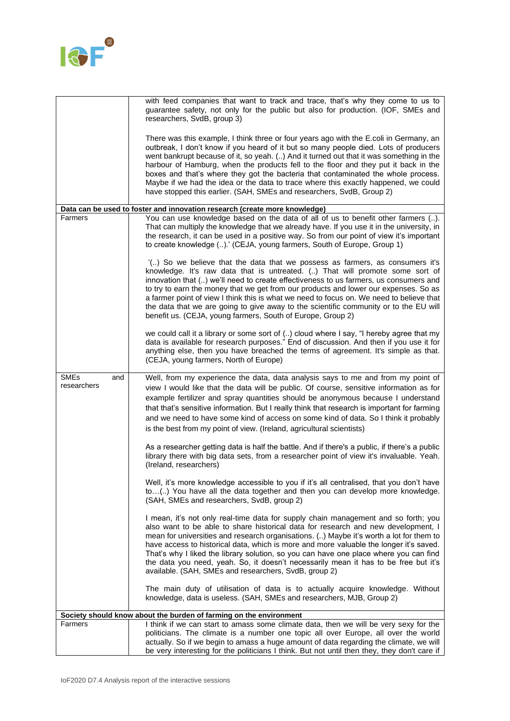

|                            | with feed companies that want to track and trace, that's why they come to us to<br>guarantee safety, not only for the public but also for production. (IOF, SMEs and<br>researchers, SvdB, group 3)                                                                                                                                                                                                                                                                                                                                                                                                                   |
|----------------------------|-----------------------------------------------------------------------------------------------------------------------------------------------------------------------------------------------------------------------------------------------------------------------------------------------------------------------------------------------------------------------------------------------------------------------------------------------------------------------------------------------------------------------------------------------------------------------------------------------------------------------|
|                            | There was this example, I think three or four years ago with the E.coli in Germany, an<br>outbreak, I don't know if you heard of it but so many people died. Lots of producers<br>went bankrupt because of it, so yeah. () And it turned out that it was something in the<br>harbour of Hamburg, when the products fell to the floor and they put it back in the<br>boxes and that's where they got the bacteria that contaminated the whole process.<br>Maybe if we had the idea or the data to trace where this exactly happened, we could<br>have stopped this earlier. (SAH, SMEs and researchers, SvdB, Group 2) |
|                            | Data can be used to foster and innovation research (create more knowledge)                                                                                                                                                                                                                                                                                                                                                                                                                                                                                                                                            |
| Farmers                    | You can use knowledge based on the data of all of us to benefit other farmers ().<br>That can multiply the knowledge that we already have. If you use it in the university, in<br>the research, it can be used in a positive way. So from our point of view it's important<br>to create knowledge ().' (CEJA, young farmers, South of Europe, Group 1)                                                                                                                                                                                                                                                                |
|                            | '() So we believe that the data that we possess as farmers, as consumers it's<br>knowledge. It's raw data that is untreated. () That will promote some sort of<br>innovation that () we'll need to create effectiveness to us farmers, us consumers and<br>to try to earn the money that we get from our products and lower our expenses. So as<br>a farmer point of view I think this is what we need to focus on. We need to believe that<br>the data that we are going to give away to the scientific community or to the EU will<br>benefit us. (CEJA, young farmers, South of Europe, Group 2)                   |
|                            | we could call it a library or some sort of () cloud where I say, "I hereby agree that my<br>data is available for research purposes." End of discussion. And then if you use it for<br>anything else, then you have breached the terms of agreement. It's simple as that.<br>(CEJA, young farmers, North of Europe)                                                                                                                                                                                                                                                                                                   |
| SMEs<br>and<br>researchers | Well, from my experience the data, data analysis says to me and from my point of<br>view I would like that the data will be public. Of course, sensitive information as for<br>example fertilizer and spray quantities should be anonymous because I understand<br>that that's sensitive information. But I really think that research is important for farming<br>and we need to have some kind of access on some kind of data. So I think it probably<br>is the best from my point of view. (Ireland, agricultural scientists)                                                                                      |
|                            | As a researcher getting data is half the battle. And if there's a public, if there's a public<br>library there with big data sets, from a researcher point of view it's invaluable. Yeah.<br>(Ireland, researchers)                                                                                                                                                                                                                                                                                                                                                                                                   |
|                            | Well, it's more knowledge accessible to you if it's all centralised, that you don't have<br>to() You have all the data together and then you can develop more knowledge.<br>(SAH, SMEs and researchers, SvdB, group 2)                                                                                                                                                                                                                                                                                                                                                                                                |
|                            | I mean, it's not only real-time data for supply chain management and so forth; you<br>also want to be able to share historical data for research and new development, I<br>mean for universities and research organisations. () Maybe it's worth a lot for them to<br>have access to historical data, which is more and more valuable the longer it's saved.<br>That's why I liked the library solution, so you can have one place where you can find<br>the data you need, yeah. So, it doesn't necessarily mean it has to be free but it's<br>available. (SAH, SMEs and researchers, SvdB, group 2)                 |
|                            | The main duty of utilisation of data is to actually acquire knowledge. Without<br>knowledge, data is useless. (SAH, SMEs and researchers, MJB, Group 2)                                                                                                                                                                                                                                                                                                                                                                                                                                                               |
|                            | Society should know about the burden of farming on the environment                                                                                                                                                                                                                                                                                                                                                                                                                                                                                                                                                    |
| Farmers                    | I think if we can start to amass some climate data, then we will be very sexy for the<br>politicians. The climate is a number one topic all over Europe, all over the world<br>actually. So if we begin to amass a huge amount of data regarding the climate, we will<br>be very interesting for the politicians I think. But not until then they, they don't care if                                                                                                                                                                                                                                                 |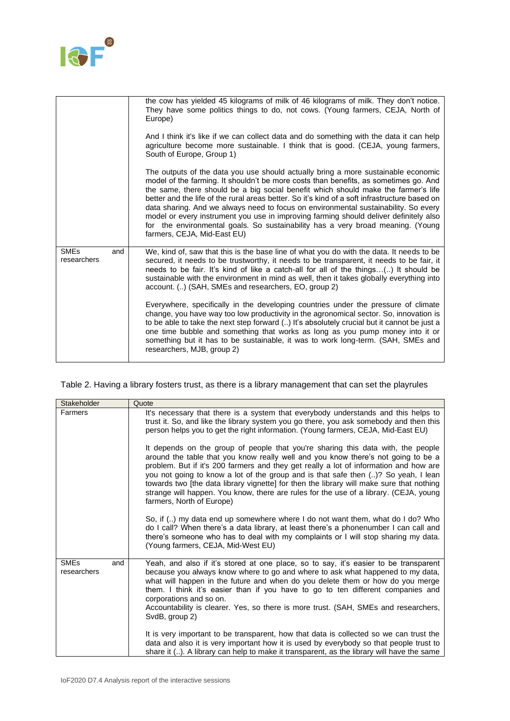

|                                              | the cow has yielded 45 kilograms of milk of 46 kilograms of milk. They don't notice.<br>They have some politics things to do, not cows. (Young farmers, CEJA, North of<br>Europe)<br>And I think it's like if we can collect data and do something with the data it can help                                                                                                                                                                                                                                                                                                                                                                                       |
|----------------------------------------------|--------------------------------------------------------------------------------------------------------------------------------------------------------------------------------------------------------------------------------------------------------------------------------------------------------------------------------------------------------------------------------------------------------------------------------------------------------------------------------------------------------------------------------------------------------------------------------------------------------------------------------------------------------------------|
|                                              | agriculture become more sustainable. I think that is good. (CEJA, young farmers,<br>South of Europe, Group 1)                                                                                                                                                                                                                                                                                                                                                                                                                                                                                                                                                      |
|                                              | The outputs of the data you use should actually bring a more sustainable economic<br>model of the farming. It shouldn't be more costs than benefits, as sometimes go. And<br>the same, there should be a big social benefit which should make the farmer's life<br>better and the life of the rural areas better. So it's kind of a soft infrastructure based on<br>data sharing. And we always need to focus on environmental sustainability. So every<br>model or every instrument you use in improving farming should deliver definitely also<br>for the environmental goals. So sustainability has a very broad meaning. (Young<br>farmers, CEJA, Mid-East EU) |
| <b>SME<sub>s</sub></b><br>and<br>researchers | We, kind of, saw that this is the base line of what you do with the data. It needs to be<br>secured, it needs to be trustworthy, it needs to be transparent, it needs to be fair, it<br>needs to be fair. It's kind of like a catch-all for all of the things() It should be<br>sustainable with the environment in mind as well, then it takes globally everything into<br>account. () (SAH, SMEs and researchers, EO, group 2)                                                                                                                                                                                                                                   |
|                                              | Everywhere, specifically in the developing countries under the pressure of climate<br>change, you have way too low productivity in the agronomical sector. So, innovation is<br>to be able to take the next step forward () It's absolutely crucial but it cannot be just a<br>one time bubble and something that works as long as you pump money into it or<br>something but it has to be sustainable, it was to work long-term. (SAH, SMEs and<br>researchers, MJB, group 2)                                                                                                                                                                                     |

Table 2. Having a library fosters trust, as there is a library management that can set the playrules

| Stakeholder                       | Quote                                                                                                                                                                                                                                                                                                                                                                                                                                                                                                                                                                                                                                                                                                                                                                                                                                                                                                                                                                                                                                                                                                                                              |
|-----------------------------------|----------------------------------------------------------------------------------------------------------------------------------------------------------------------------------------------------------------------------------------------------------------------------------------------------------------------------------------------------------------------------------------------------------------------------------------------------------------------------------------------------------------------------------------------------------------------------------------------------------------------------------------------------------------------------------------------------------------------------------------------------------------------------------------------------------------------------------------------------------------------------------------------------------------------------------------------------------------------------------------------------------------------------------------------------------------------------------------------------------------------------------------------------|
| Farmers                           | It's necessary that there is a system that everybody understands and this helps to<br>trust it. So, and like the library system you go there, you ask somebody and then this<br>person helps you to get the right information. (Young farmers, CEJA, Mid-East EU)<br>It depends on the group of people that you're sharing this data with, the people<br>around the table that you know really well and you know there's not going to be a<br>problem. But if it's 200 farmers and they get really a lot of information and how are<br>you not going to know a lot of the group and is that safe then ()? So yeah, I lean<br>towards two [the data library vignette] for then the library will make sure that nothing<br>strange will happen. You know, there are rules for the use of a library. (CEJA, young<br>farmers, North of Europe)<br>So, if () my data end up somewhere where I do not want them, what do I do? Who<br>do I call? When there's a data library, at least there's a phonenumber I can call and<br>there's someone who has to deal with my complaints or I will stop sharing my data.<br>(Young farmers, CEJA, Mid-West EU) |
|                                   |                                                                                                                                                                                                                                                                                                                                                                                                                                                                                                                                                                                                                                                                                                                                                                                                                                                                                                                                                                                                                                                                                                                                                    |
| <b>SMEs</b><br>and<br>researchers | Yeah, and also if it's stored at one place, so to say, it's easier to be transparent<br>because you always know where to go and where to ask what happened to my data,<br>what will happen in the future and when do you delete them or how do you merge<br>them. I think it's easier than if you have to go to ten different companies and<br>corporations and so on.<br>Accountability is clearer. Yes, so there is more trust. (SAH, SMEs and researchers,<br>SvdB, group 2)                                                                                                                                                                                                                                                                                                                                                                                                                                                                                                                                                                                                                                                                    |
|                                   | It is very important to be transparent, how that data is collected so we can trust the<br>data and also it is very important how it is used by everybody so that people trust to<br>share it (). A library can help to make it transparent, as the library will have the same                                                                                                                                                                                                                                                                                                                                                                                                                                                                                                                                                                                                                                                                                                                                                                                                                                                                      |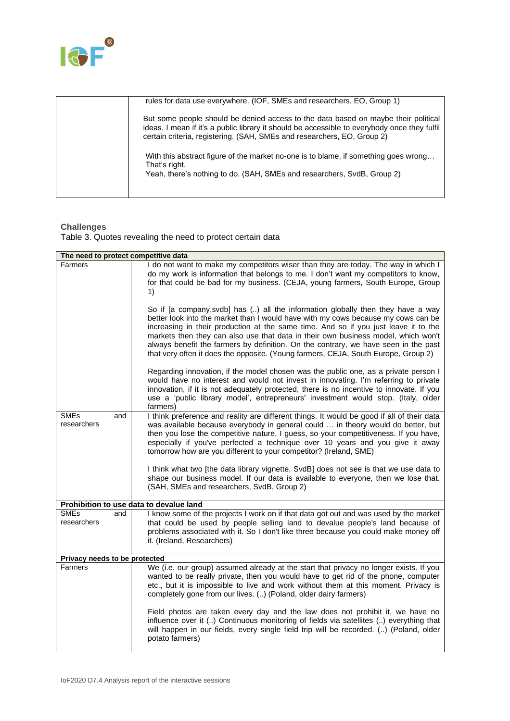

| rules for data use everywhere. (IOF, SMEs and researchers, EO, Group 1)                                                                                                                                                                                       |
|---------------------------------------------------------------------------------------------------------------------------------------------------------------------------------------------------------------------------------------------------------------|
| But some people should be denied access to the data based on maybe their political<br>ideas, I mean if it's a public library it should be accessible to everybody once they fulfil<br>certain criteria, registering. (SAH, SMEs and researchers, EO, Group 2) |
| With this abstract figure of the market no-one is to blame, if something goes wrong<br>That's right.<br>Yeah, there's nothing to do. (SAH, SMEs and researchers, SvdB, Group 2)                                                                               |
|                                                                                                                                                                                                                                                               |

## **Challenges**

Table 3. Quotes revealing the need to protect certain data

| Farmers<br>I do not want to make my competitors wiser than they are today. The way in which I<br>do my work is information that belongs to me. I don't want my competitors to know,<br>for that could be bad for my business. (CEJA, young farmers, South Europe, Group<br>1)<br>So if [a company, svdb] has () all the information globally then they have a way<br>better look into the market than I would have with my cows because my cows can be<br>increasing in their production at the same time. And so if you just leave it to the<br>markets then they can also use that data in their own business model, which won't<br>always benefit the farmers by definition. On the contrary, we have seen in the past<br>that very often it does the opposite. (Young farmers, CEJA, South Europe, Group 2)<br>Regarding innovation, if the model chosen was the public one, as a private person I<br>would have no interest and would not invest in innovating. I'm referring to private<br>innovation, if it is not adequately protected, there is no incentive to innovate. If you<br>use a 'public library model', entrepreneurs' investment would stop. (Italy, older<br>farmers)<br><b>SME<sub>s</sub></b><br>I think preference and reality are different things. It would be good if all of their data<br>and<br>researchers<br>was available because everybody in general could  in theory would do better, but<br>then you lose the competitive nature, I guess, so your competitiveness. If you have,<br>especially if you've perfected a technique over 10 years and you give it away<br>tomorrow how are you different to your competitor? (Ireland, SME)<br>I think what two [the data library vignette, SvdB] does not see is that we use data to<br>shape our business model. If our data is available to everyone, then we lose that.<br>(SAH, SMEs and researchers, SvdB, Group 2)<br>Prohibition to use data to devalue land<br><b>SMEs</b><br>I know some of the projects I work on if that data got out and was used by the market<br>and<br>researchers<br>that could be used by people selling land to devalue people's land because of |
|--------------------------------------------------------------------------------------------------------------------------------------------------------------------------------------------------------------------------------------------------------------------------------------------------------------------------------------------------------------------------------------------------------------------------------------------------------------------------------------------------------------------------------------------------------------------------------------------------------------------------------------------------------------------------------------------------------------------------------------------------------------------------------------------------------------------------------------------------------------------------------------------------------------------------------------------------------------------------------------------------------------------------------------------------------------------------------------------------------------------------------------------------------------------------------------------------------------------------------------------------------------------------------------------------------------------------------------------------------------------------------------------------------------------------------------------------------------------------------------------------------------------------------------------------------------------------------------------------------------------------------------------------------------------------------------------------------------------------------------------------------------------------------------------------------------------------------------------------------------------------------------------------------------------------------------------------------------------------------------------------------------------------------------------------------------------------------------------------------------------------------------------------------------------|
|                                                                                                                                                                                                                                                                                                                                                                                                                                                                                                                                                                                                                                                                                                                                                                                                                                                                                                                                                                                                                                                                                                                                                                                                                                                                                                                                                                                                                                                                                                                                                                                                                                                                                                                                                                                                                                                                                                                                                                                                                                                                                                                                                                    |
|                                                                                                                                                                                                                                                                                                                                                                                                                                                                                                                                                                                                                                                                                                                                                                                                                                                                                                                                                                                                                                                                                                                                                                                                                                                                                                                                                                                                                                                                                                                                                                                                                                                                                                                                                                                                                                                                                                                                                                                                                                                                                                                                                                    |
|                                                                                                                                                                                                                                                                                                                                                                                                                                                                                                                                                                                                                                                                                                                                                                                                                                                                                                                                                                                                                                                                                                                                                                                                                                                                                                                                                                                                                                                                                                                                                                                                                                                                                                                                                                                                                                                                                                                                                                                                                                                                                                                                                                    |
|                                                                                                                                                                                                                                                                                                                                                                                                                                                                                                                                                                                                                                                                                                                                                                                                                                                                                                                                                                                                                                                                                                                                                                                                                                                                                                                                                                                                                                                                                                                                                                                                                                                                                                                                                                                                                                                                                                                                                                                                                                                                                                                                                                    |
| problems associated with it. So I don't like three because you could make money off<br>it. (Ireland, Researchers)                                                                                                                                                                                                                                                                                                                                                                                                                                                                                                                                                                                                                                                                                                                                                                                                                                                                                                                                                                                                                                                                                                                                                                                                                                                                                                                                                                                                                                                                                                                                                                                                                                                                                                                                                                                                                                                                                                                                                                                                                                                  |
| Privacy needs to be protected                                                                                                                                                                                                                                                                                                                                                                                                                                                                                                                                                                                                                                                                                                                                                                                                                                                                                                                                                                                                                                                                                                                                                                                                                                                                                                                                                                                                                                                                                                                                                                                                                                                                                                                                                                                                                                                                                                                                                                                                                                                                                                                                      |
| We (i.e. our group) assumed already at the start that privacy no longer exists. If you<br>Farmers<br>wanted to be really private, then you would have to get rid of the phone, computer<br>etc., but it is impossible to live and work without them at this moment. Privacy is<br>completely gone from our lives. () (Poland, older dairy farmers)<br>Field photos are taken every day and the law does not prohibit it, we have no<br>influence over it () Continuous monitoring of fields via satellites () everything that<br>will happen in our fields, every single field trip will be recorded. () (Poland, older<br>potato farmers)                                                                                                                                                                                                                                                                                                                                                                                                                                                                                                                                                                                                                                                                                                                                                                                                                                                                                                                                                                                                                                                                                                                                                                                                                                                                                                                                                                                                                                                                                                                         |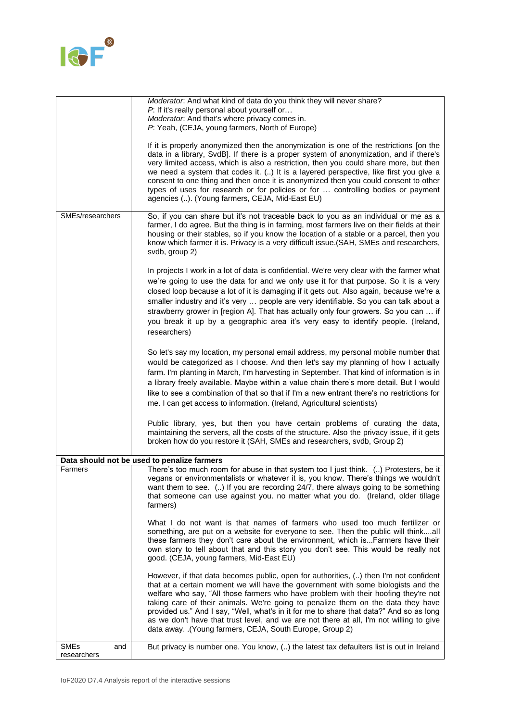

| P: If it's really personal about yourself or<br>Moderator: And that's where privacy comes in.                                                                                                                                                                                                                                                                                                                                                                                                                                                                                                           |  |
|---------------------------------------------------------------------------------------------------------------------------------------------------------------------------------------------------------------------------------------------------------------------------------------------------------------------------------------------------------------------------------------------------------------------------------------------------------------------------------------------------------------------------------------------------------------------------------------------------------|--|
| P: Yeah, (CEJA, young farmers, North of Europe)                                                                                                                                                                                                                                                                                                                                                                                                                                                                                                                                                         |  |
| If it is properly anonymized then the anonymization is one of the restrictions [on the<br>data in a library, SvdB]. If there is a proper system of anonymization, and if there's<br>very limited access, which is also a restriction, then you could share more, but then<br>we need a system that codes it. () It is a layered perspective, like first you give a<br>consent to one thing and then once it is anonymized then you could consent to other<br>types of uses for research or for policies or for  controlling bodies or payment<br>agencies (). (Young farmers, CEJA, Mid-East EU)        |  |
| So, if you can share but it's not traceable back to you as an individual or me as a<br>SMEs/researchers<br>farmer, I do agree. But the thing is in farming, most farmers live on their fields at their<br>housing or their stables, so if you know the location of a stable or a parcel, then you<br>know which farmer it is. Privacy is a very difficult issue. (SAH, SMEs and researchers,<br>svdb, group 2)                                                                                                                                                                                          |  |
| In projects I work in a lot of data is confidential. We're very clear with the farmer what<br>we're going to use the data for and we only use it for that purpose. So it is a very<br>closed loop because a lot of it is damaging if it gets out. Also again, because we're a<br>smaller industry and it's very  people are very identifiable. So you can talk about a<br>strawberry grower in [region A]. That has actually only four growers. So you can  if<br>you break it up by a geographic area it's very easy to identify people. (Ireland,<br>researchers)                                     |  |
| So let's say my location, my personal email address, my personal mobile number that<br>would be categorized as I choose. And then let's say my planning of how I actually<br>farm. I'm planting in March, I'm harvesting in September. That kind of information is in<br>a library freely available. Maybe within a value chain there's more detail. But I would<br>like to see a combination of that so that if I'm a new entrant there's no restrictions for<br>me. I can get access to information. (Ireland, Agricultural scientists)                                                               |  |
| Public library, yes, but then you have certain problems of curating the data,<br>maintaining the servers, all the costs of the structure. Also the privacy issue, if it gets<br>broken how do you restore it (SAH, SMEs and researchers, svdb, Group 2)                                                                                                                                                                                                                                                                                                                                                 |  |
| Data should not be used to penalize farmers                                                                                                                                                                                                                                                                                                                                                                                                                                                                                                                                                             |  |
| There's too much room for abuse in that system too I just think. () Protesters, be it<br>Farmers<br>vegans or environmentalists or whatever it is, you know. There's things we wouldn't<br>want them to see. () If you are recording 24/7, there always going to be something<br>that someone can use against you. no matter what you do. (Ireland, older tillage<br>farmers)                                                                                                                                                                                                                           |  |
| What I do not want is that names of farmers who used too much fertilizer or<br>something, are put on a website for everyone to see. Then the public will thinkall<br>these farmers they don't care about the environment, which isFarmers have their<br>own story to tell about that and this story you don't see. This would be really not<br>good. (CEJA, young farmers, Mid-East EU)                                                                                                                                                                                                                 |  |
| However, if that data becomes public, open for authorities, () then I'm not confident<br>that at a certain moment we will have the government with some biologists and the<br>welfare who say, "All those farmers who have problem with their hoofing they're not<br>taking care of their animals. We're going to penalize them on the data they have<br>provided us." And I say, "Well, what's in it for me to share that data?" And so as long<br>as we don't have that trust level, and we are not there at all, I'm not willing to give<br>data away. .(Young farmers, CEJA, South Europe, Group 2) |  |
| <b>SMEs</b><br>But privacy is number one. You know, () the latest tax defaulters list is out in Ireland<br>and<br>researchers                                                                                                                                                                                                                                                                                                                                                                                                                                                                           |  |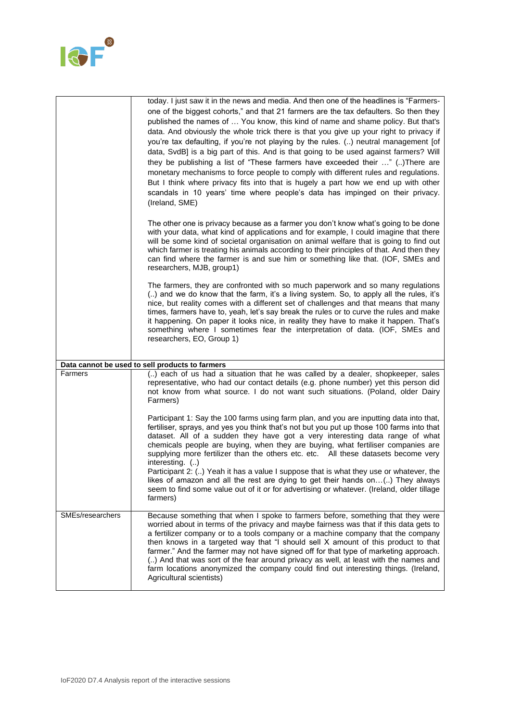

|                  | today. I just saw it in the news and media. And then one of the headlines is "Farmers-<br>one of the biggest cohorts," and that 21 farmers are the tax defaulters. So then they<br>published the names of  You know, this kind of name and shame policy. But that's<br>data. And obviously the whole trick there is that you give up your right to privacy if<br>you're tax defaulting, if you're not playing by the rules. () neutral management [of<br>data, SvdB] is a big part of this. And is that going to be used against farmers? Will<br>they be publishing a list of "These farmers have exceeded their " () There are<br>monetary mechanisms to force people to comply with different rules and regulations.<br>But I think where privacy fits into that is hugely a part how we end up with other<br>scandals in 10 years' time where people's data has impinged on their privacy.<br>(Ireland, SME) |
|------------------|------------------------------------------------------------------------------------------------------------------------------------------------------------------------------------------------------------------------------------------------------------------------------------------------------------------------------------------------------------------------------------------------------------------------------------------------------------------------------------------------------------------------------------------------------------------------------------------------------------------------------------------------------------------------------------------------------------------------------------------------------------------------------------------------------------------------------------------------------------------------------------------------------------------|
|                  | The other one is privacy because as a farmer you don't know what's going to be done<br>with your data, what kind of applications and for example, I could imagine that there<br>will be some kind of societal organisation on animal welfare that is going to find out<br>which farmer is treating his animals according to their principles of that. And then they<br>can find where the farmer is and sue him or something like that. (IOF, SMEs and<br>researchers, MJB, group1)                                                                                                                                                                                                                                                                                                                                                                                                                              |
|                  | The farmers, they are confronted with so much paperwork and so many regulations<br>() and we do know that the farm, it's a living system. So, to apply all the rules, it's<br>nice, but reality comes with a different set of challenges and that means that many<br>times, farmers have to, yeah, let's say break the rules or to curve the rules and make<br>it happening. On paper it looks nice, in reality they have to make it happen. That's<br>something where I sometimes fear the interpretation of data. (IOF, SMEs and<br>researchers, EO, Group 1)                                                                                                                                                                                                                                                                                                                                                  |
|                  | Data cannot be used to sell products to farmers                                                                                                                                                                                                                                                                                                                                                                                                                                                                                                                                                                                                                                                                                                                                                                                                                                                                  |
| Farmers          | () each of us had a situation that he was called by a dealer, shopkeeper, sales<br>representative, who had our contact details (e.g. phone number) yet this person did<br>not know from what source. I do not want such situations. (Poland, older Dairy<br>Farmers)                                                                                                                                                                                                                                                                                                                                                                                                                                                                                                                                                                                                                                             |
|                  | Participant 1: Say the 100 farms using farm plan, and you are inputting data into that,<br>fertiliser, sprays, and yes you think that's not but you put up those 100 farms into that<br>dataset. All of a sudden they have got a very interesting data range of what<br>chemicals people are buying, when they are buying, what fertiliser companies are<br>supplying more fertilizer than the others etc. etc. All these datasets become very<br>interesting. $(.)$<br>Participant 2: () Yeah it has a value I suppose that is what they use or whatever, the<br>likes of amazon and all the rest are dying to get their hands on() They always<br>seem to find some value out of it or for advertising or whatever. (Ireland, older tillage<br>farmers)                                                                                                                                                        |
| SMEs/researchers | Because something that when I spoke to farmers before, something that they were<br>worried about in terms of the privacy and maybe fairness was that if this data gets to<br>a fertilizer company or to a tools company or a machine company that the company<br>then knows in a targeted way that "I should sell X amount of this product to that<br>farmer." And the farmer may not have signed off for that type of marketing approach.<br>() And that was sort of the fear around privacy as well, at least with the names and<br>farm locations anonymized the company could find out interesting things. (Ireland,<br>Agricultural scientists)                                                                                                                                                                                                                                                             |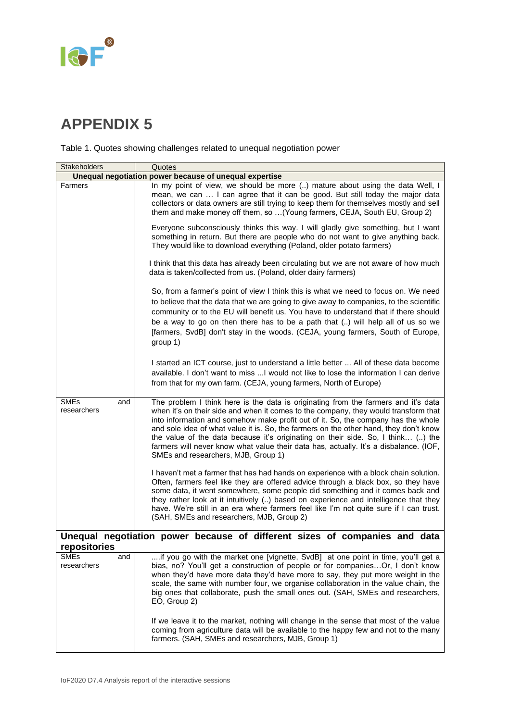# ISF®

# **APPENDIX 5**

Table 1. Quotes showing challenges related to unequal negotiation power

| <b>Stakeholders</b>               | Quotes                                                                                                                                                                                                                                                                                                                                                                                                                                                                                                                                                                      |  |
|-----------------------------------|-----------------------------------------------------------------------------------------------------------------------------------------------------------------------------------------------------------------------------------------------------------------------------------------------------------------------------------------------------------------------------------------------------------------------------------------------------------------------------------------------------------------------------------------------------------------------------|--|
|                                   | Unequal negotiation power because of unequal expertise                                                                                                                                                                                                                                                                                                                                                                                                                                                                                                                      |  |
| Farmers                           | In my point of view, we should be more () mature about using the data Well, I<br>mean, we can  I can agree that it can be good. But still today the major data<br>collectors or data owners are still trying to keep them for themselves mostly and sell<br>them and make money off them, so  (Young farmers, CEJA, South EU, Group 2)                                                                                                                                                                                                                                      |  |
|                                   | Everyone subconsciously thinks this way. I will gladly give something, but I want<br>something in return. But there are people who do not want to give anything back.<br>They would like to download everything (Poland, older potato farmers)                                                                                                                                                                                                                                                                                                                              |  |
|                                   | I think that this data has already been circulating but we are not aware of how much<br>data is taken/collected from us. (Poland, older dairy farmers)                                                                                                                                                                                                                                                                                                                                                                                                                      |  |
|                                   | So, from a farmer's point of view I think this is what we need to focus on. We need<br>to believe that the data that we are going to give away to companies, to the scientific<br>community or to the EU will benefit us. You have to understand that if there should<br>be a way to go on then there has to be a path that () will help all of us so we<br>[farmers, SvdB] don't stay in the woods. (CEJA, young farmers, South of Europe,<br>group 1)                                                                                                                     |  |
|                                   | I started an ICT course, just to understand a little better  All of these data become<br>available. I don't want to miss  I would not like to lose the information I can derive<br>from that for my own farm. (CEJA, young farmers, North of Europe)                                                                                                                                                                                                                                                                                                                        |  |
| <b>SMEs</b><br>and<br>researchers | The problem I think here is the data is originating from the farmers and it's data<br>when it's on their side and when it comes to the company, they would transform that<br>into information and somehow make profit out of it. So, the company has the whole<br>and sole idea of what value it is. So, the farmers on the other hand, they don't know<br>the value of the data because it's originating on their side. So, I think () the<br>farmers will never know what value their data has, actually. It's a disbalance. (IOF,<br>SMEs and researchers, MJB, Group 1) |  |
|                                   | I haven't met a farmer that has had hands on experience with a block chain solution.<br>Often, farmers feel like they are offered advice through a black box, so they have<br>some data, it went somewhere, some people did something and it comes back and<br>they rather look at it intuitively () based on experience and intelligence that they<br>have. We're still in an era where farmers feel like I'm not quite sure if I can trust.<br>(SAH, SMEs and researchers, MJB, Group 2)                                                                                  |  |
| repositories                      | Unequal negotiation power because of different sizes of companies and data                                                                                                                                                                                                                                                                                                                                                                                                                                                                                                  |  |
| SMEs<br>and<br>researchers        | if you go with the market one [vignette, SvdB] at one point in time, you'll get a<br>bias, no? You'll get a construction of people or for companiesOr, I don't know<br>when they'd have more data they'd have more to say, they put more weight in the<br>scale, the same with number four, we organise collaboration in the value chain, the<br>big ones that collaborate, push the small ones out. (SAH, SMEs and researchers,<br>EO, Group 2)                                                                                                                            |  |
|                                   | If we leave it to the market, nothing will change in the sense that most of the value<br>coming from agriculture data will be available to the happy few and not to the many<br>farmers. (SAH, SMEs and researchers, MJB, Group 1)                                                                                                                                                                                                                                                                                                                                          |  |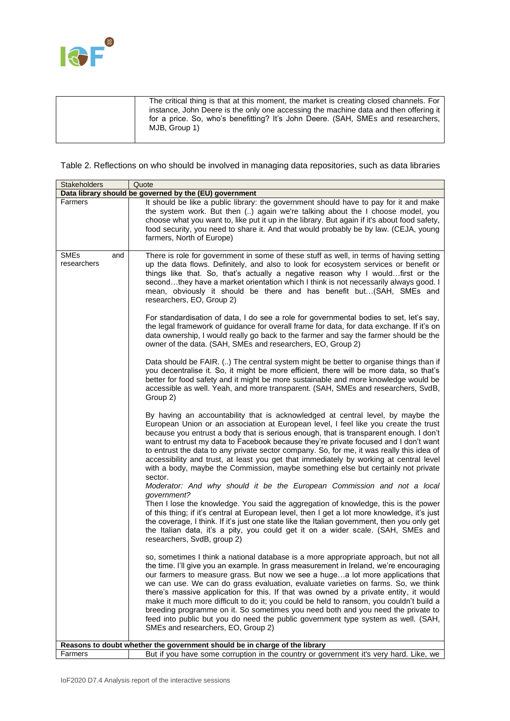

| The critical thing is that at this moment, the market is creating closed channels. For |
|----------------------------------------------------------------------------------------|
| instance, John Deere is the only one accessing the machine data and then offering it   |
| for a price. So, who's benefitting? It's John Deere. (SAH, SMEs and researchers,       |
| MJB. Group 1)                                                                          |
|                                                                                        |

| Stakeholders                      | Quote                                                                                                                                                                                                                                                                                                                                                                                                                                                                                                                                                                                                                                                                                                                                                      |
|-----------------------------------|------------------------------------------------------------------------------------------------------------------------------------------------------------------------------------------------------------------------------------------------------------------------------------------------------------------------------------------------------------------------------------------------------------------------------------------------------------------------------------------------------------------------------------------------------------------------------------------------------------------------------------------------------------------------------------------------------------------------------------------------------------|
|                                   | Data library should be governed by the (EU) government                                                                                                                                                                                                                                                                                                                                                                                                                                                                                                                                                                                                                                                                                                     |
| Farmers                           | It should be like a public library: the government should have to pay for it and make<br>the system work. But then () again we're talking about the I choose model, you<br>choose what you want to, like put it up in the library. But again if it's about food safety,<br>food security, you need to share it. And that would probably be by law. (CEJA, young<br>farmers, North of Europe)                                                                                                                                                                                                                                                                                                                                                               |
| <b>SMEs</b><br>and<br>researchers | There is role for government in some of these stuff as well, in terms of having setting<br>up the data flows. Definitely, and also to look for ecosystem services or benefit or<br>things like that. So, that's actually a negative reason why I wouldfirst or the<br>secondthey have a market orientation which I think is not necessarily always good. I<br>mean, obviously it should be there and has benefit but(SAH, SMEs and<br>researchers, EO, Group 2)                                                                                                                                                                                                                                                                                            |
|                                   | For standardisation of data, I do see a role for governmental bodies to set, let's say,<br>the legal framework of guidance for overall frame for data, for data exchange. If it's on<br>data ownership, I would really go back to the farmer and say the farmer should be the<br>owner of the data. (SAH, SMEs and researchers, EO, Group 2)                                                                                                                                                                                                                                                                                                                                                                                                               |
|                                   | Data should be FAIR. () The central system might be better to organise things than if<br>you decentralise it. So, it might be more efficient, there will be more data, so that's<br>better for food safety and it might be more sustainable and more knowledge would be<br>accessible as well. Yeah, and more transparent. (SAH, SMEs and researchers, SvdB,<br>Group 2)                                                                                                                                                                                                                                                                                                                                                                                   |
|                                   | By having an accountability that is acknowledged at central level, by maybe the<br>European Union or an association at European level, I feel like you create the trust<br>because you entrust a body that is serious enough, that is transparent enough. I don't<br>want to entrust my data to Facebook because they're private focused and I don't want<br>to entrust the data to any private sector company. So, for me, it was really this idea of<br>accessibility and trust, at least you get that immediately by working at central level<br>with a body, maybe the Commission, maybe something else but certainly not private<br>sector.                                                                                                           |
|                                   | Moderator: And why should it be the European Commission and not a local                                                                                                                                                                                                                                                                                                                                                                                                                                                                                                                                                                                                                                                                                    |
|                                   | government?<br>Then I lose the knowledge. You said the aggregation of knowledge, this is the power<br>of this thing; if it's central at European level, then I get a lot more knowledge, it's just<br>the coverage, I think. If it's just one state like the Italian government, then you only get<br>the Italian data, it's a pity, you could get it on a wider scale. (SAH, SMEs and<br>researchers, SvdB, group 2)                                                                                                                                                                                                                                                                                                                                      |
|                                   | so, sometimes I think a national database is a more appropriate approach, but not all<br>the time. I'll give you an example. In grass measurement in Ireland, we're encouraging<br>our farmers to measure grass. But now we see a hugea lot more applications that<br>we can use. We can do grass evaluation, evaluate varieties on farms. So, we think<br>there's massive application for this. If that was owned by a private entity, it would<br>make it much more difficult to do it; you could be held to ransom, you couldn't build a<br>breeding programme on it. So sometimes you need both and you need the private to<br>feed into public but you do need the public government type system as well. (SAH,<br>SMEs and researchers, EO, Group 2) |
|                                   | Reasons to doubt whether the government should be in charge of the library                                                                                                                                                                                                                                                                                                                                                                                                                                                                                                                                                                                                                                                                                 |
| Farmers                           | But if you have some corruption in the country or government it's very hard. Like, we                                                                                                                                                                                                                                                                                                                                                                                                                                                                                                                                                                                                                                                                      |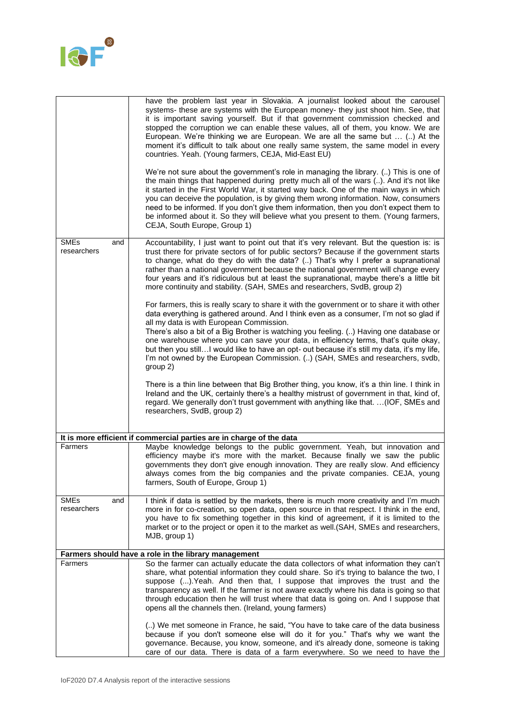

|                                   | have the problem last year in Slovakia. A journalist looked about the carousel<br>systems- these are systems with the European money- they just shoot him. See, that<br>it is important saving yourself. But if that government commission checked and<br>stopped the corruption we can enable these values, all of them, you know. We are<br>European. We're thinking we are European. We are all the same but  () At the<br>moment it's difficult to talk about one really same system, the same model in every<br>countries. Yeah. (Young farmers, CEJA, Mid-East EU)                                         |
|-----------------------------------|------------------------------------------------------------------------------------------------------------------------------------------------------------------------------------------------------------------------------------------------------------------------------------------------------------------------------------------------------------------------------------------------------------------------------------------------------------------------------------------------------------------------------------------------------------------------------------------------------------------|
|                                   | We're not sure about the government's role in managing the library. () This is one of<br>the main things that happened during pretty much all of the wars (). And it's not like<br>it started in the First World War, it started way back. One of the main ways in which<br>you can deceive the population, is by giving them wrong information. Now, consumers<br>need to be informed. If you don't give them information, then you don't expect them to<br>be informed about it. So they will believe what you present to them. (Young farmers,<br>CEJA, South Europe, Group 1)                                |
| <b>SMEs</b><br>and<br>researchers | Accountability, I just want to point out that it's very relevant. But the question is: is<br>trust there for private sectors of for public sectors? Because if the government starts<br>to change, what do they do with the data? () That's why I prefer a supranational<br>rather than a national government because the national government will change every<br>four years and it's ridiculous but at least the supranational, maybe there's a little bit<br>more continuity and stability. (SAH, SMEs and researchers, SvdB, group 2)                                                                        |
|                                   | For farmers, this is really scary to share it with the government or to share it with other<br>data everything is gathered around. And I think even as a consumer, I'm not so glad if<br>all my data is with European Commission.<br>There's also a bit of a Big Brother is watching you feeling. () Having one database or<br>one warehouse where you can save your data, in efficiency terms, that's quite okay,<br>but then you stillI would like to have an opt- out because it's still my data, it's my life,<br>I'm not owned by the European Commission. () (SAH, SMEs and researchers, svdb,<br>group 2) |
|                                   | There is a thin line between that Big Brother thing, you know, it's a thin line. I think in<br>Ireland and the UK, certainly there's a healthy mistrust of government in that, kind of,<br>regard. We generally don't trust government with anything like that.  (IOF, SMEs and<br>researchers, SvdB, group 2)                                                                                                                                                                                                                                                                                                   |
|                                   | It is more efficient if commercial parties are in charge of the data                                                                                                                                                                                                                                                                                                                                                                                                                                                                                                                                             |
| Farmers                           | Maybe knowledge belongs to the public government. Yeah, but innovation and<br>efficiency maybe it's more with the market. Because finally we saw the public<br>governments they don't give enough innovation. They are really slow. And efficiency<br>always comes from the big companies and the private companies. CEJA, young<br>farmers, South of Europe, Group 1)                                                                                                                                                                                                                                           |
| <b>SMEs</b><br>and<br>researchers | I think if data is settled by the markets, there is much more creativity and I'm much<br>more in for co-creation, so open data, open source in that respect. I think in the end,<br>you have to fix something together in this kind of agreement, if it is limited to the<br>market or to the project or open it to the market as well. (SAH, SMEs and researchers,<br>MJB, group 1)                                                                                                                                                                                                                             |
|                                   | Farmers should have a role in the library management                                                                                                                                                                                                                                                                                                                                                                                                                                                                                                                                                             |
| Farmers                           | So the farmer can actually educate the data collectors of what information they can't<br>share, what potential information they could share. So it's trying to balance the two, I<br>suppose (). Yeah. And then that, I suppose that improves the trust and the<br>transparency as well. If the farmer is not aware exactly where his data is going so that<br>through education then he will trust where that data is going on. And I suppose that<br>opens all the channels then. (Ireland, young farmers)                                                                                                     |
|                                   | () We met someone in France, he said, "You have to take care of the data business<br>because if you don't someone else will do it for you." That's why we want the<br>governance. Because, you know, someone, and it's already done, someone is taking<br>care of our data. There is data of a farm everywhere. So we need to have the                                                                                                                                                                                                                                                                           |